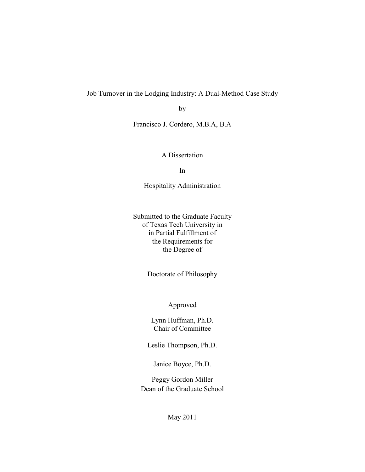Job Turnover in the Lodging Industry: A Dual-Method Case Study

by

Francisco J. Cordero, M.B.A, B.A

A Dissertation

In

Hospitality Administration

Submitted to the Graduate Faculty of Texas Tech University in in Partial Fulfillment of the Requirements for the Degree of

Doctorate of Philosophy

Approved

Lynn Huffman, Ph.D. Chair of Committee

Leslie Thompson, Ph.D.

Janice Boyce, Ph.D.

Peggy Gordon Miller Dean of the Graduate School

May 2011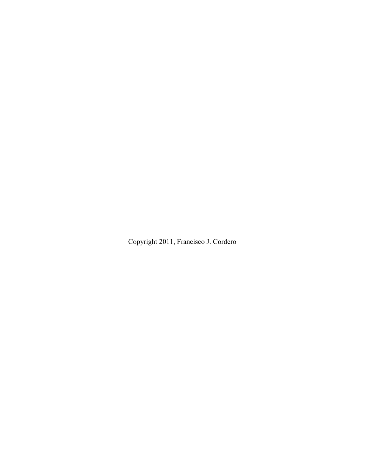Copyright 2011, Francisco J. Cordero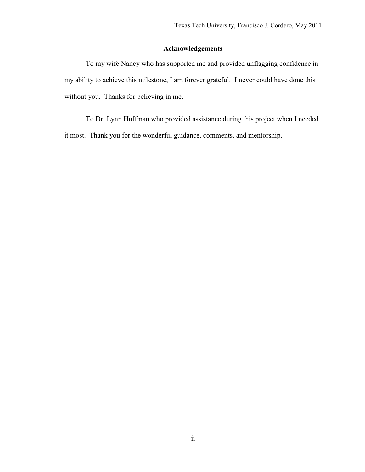# **Acknowledgements**

To my wife Nancy who has supported me and provided unflagging confidence in my ability to achieve this milestone, I am forever grateful. I never could have done this without you. Thanks for believing in me.

To Dr. Lynn Huffman who provided assistance during this project when I needed it most. Thank you for the wonderful guidance, comments, and mentorship.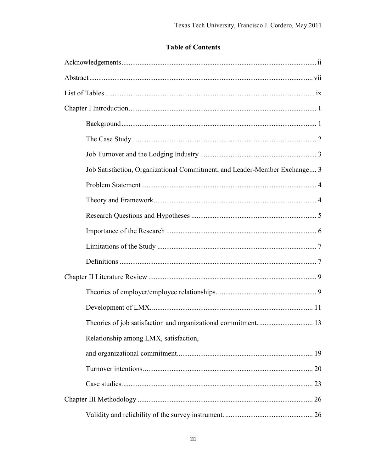# **Table of Contents**

| Job Satisfaction, Organizational Commitment, and Leader-Member Exchange 3 |  |
|---------------------------------------------------------------------------|--|
|                                                                           |  |
|                                                                           |  |
|                                                                           |  |
|                                                                           |  |
|                                                                           |  |
|                                                                           |  |
|                                                                           |  |
|                                                                           |  |
|                                                                           |  |
| Theories of job satisfaction and organizational commitment 13             |  |
| Relationship among LMX, satisfaction,                                     |  |
|                                                                           |  |
|                                                                           |  |
|                                                                           |  |
|                                                                           |  |
|                                                                           |  |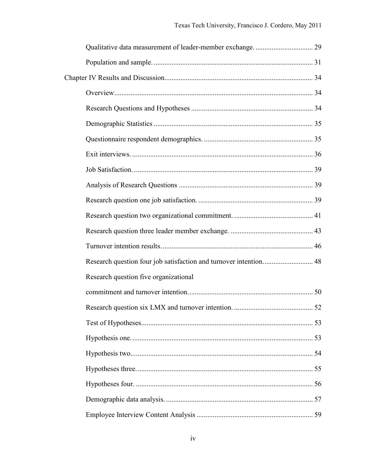| Research question four job satisfaction and turnover intention 48 |  |
|-------------------------------------------------------------------|--|
| Research question five organizational                             |  |
|                                                                   |  |
|                                                                   |  |
|                                                                   |  |
|                                                                   |  |
|                                                                   |  |
|                                                                   |  |
|                                                                   |  |
|                                                                   |  |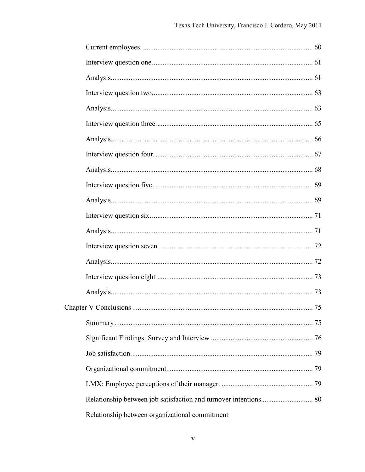| Relationship between organizational commitment |  |
|------------------------------------------------|--|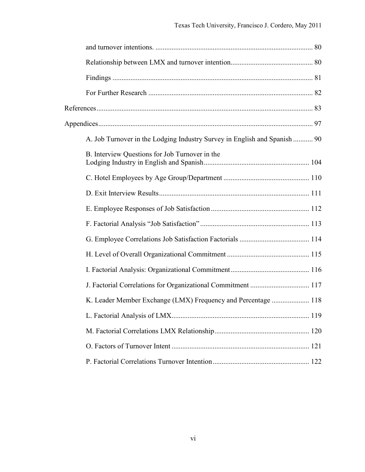| A. Job Turnover in the Lodging Industry Survey in English and Spanish  90 |  |
|---------------------------------------------------------------------------|--|
| B. Interview Questions for Job Turnover in the                            |  |
|                                                                           |  |
|                                                                           |  |
|                                                                           |  |
|                                                                           |  |
|                                                                           |  |
|                                                                           |  |
|                                                                           |  |
| J. Factorial Correlations for Organizational Commitment  117              |  |
| K. Leader Member Exchange (LMX) Frequency and Percentage  118             |  |
|                                                                           |  |
|                                                                           |  |
|                                                                           |  |
|                                                                           |  |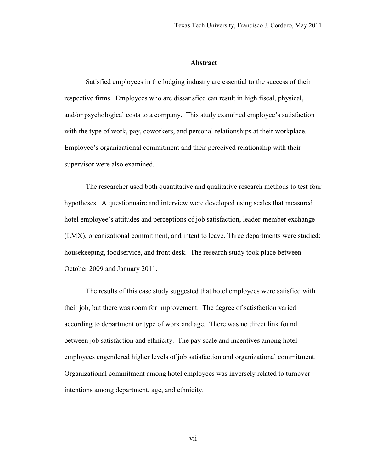#### **Abstract**

Satisfied employees in the lodging industry are essential to the success of their respective firms. Employees who are dissatisfied can result in high fiscal, physical, and/or psychological costs to a company. This study examined employee's satisfaction with the type of work, pay, coworkers, and personal relationships at their workplace. Employee's organizational commitment and their perceived relationship with their supervisor were also examined.

The researcher used both quantitative and qualitative research methods to test four hypotheses. A questionnaire and interview were developed using scales that measured hotel employee's attitudes and perceptions of job satisfaction, leader-member exchange (LMX), organizational commitment, and intent to leave. Three departments were studied: housekeeping, foodservice, and front desk. The research study took place between October 2009 and January 2011.

The results of this case study suggested that hotel employees were satisfied with their job, but there was room for improvement. The degree of satisfaction varied according to department or type of work and age. There was no direct link found between job satisfaction and ethnicity. The pay scale and incentives among hotel employees engendered higher levels of job satisfaction and organizational commitment. Organizational commitment among hotel employees was inversely related to turnover intentions among department, age, and ethnicity.

vii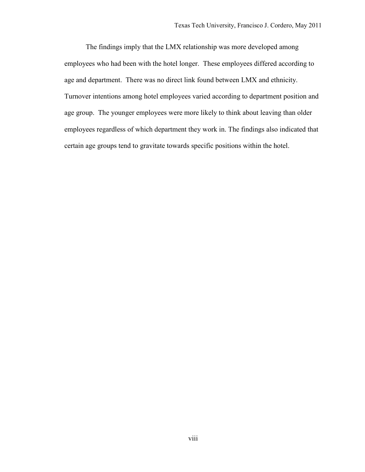The findings imply that the LMX relationship was more developed among employees who had been with the hotel longer. These employees differed according to age and department. There was no direct link found between LMX and ethnicity. Turnover intentions among hotel employees varied according to department position and age group. The younger employees were more likely to think about leaving than older employees regardless of which department they work in. The findings also indicated that certain age groups tend to gravitate towards specific positions within the hotel.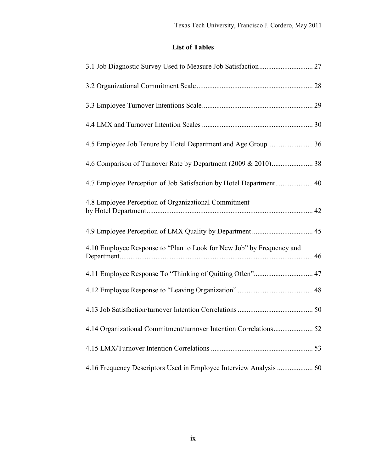# **List of Tables**

| 4.8 Employee Perception of Organizational Commitment                  |  |
|-----------------------------------------------------------------------|--|
|                                                                       |  |
| 4.10 Employee Response to "Plan to Look for New Job" by Frequency and |  |
| 4.11 Employee Response To "Thinking of Quitting Often" 47             |  |
|                                                                       |  |
|                                                                       |  |
| 4.14 Organizational Commitment/turnover Intention Correlations 52     |  |
|                                                                       |  |
|                                                                       |  |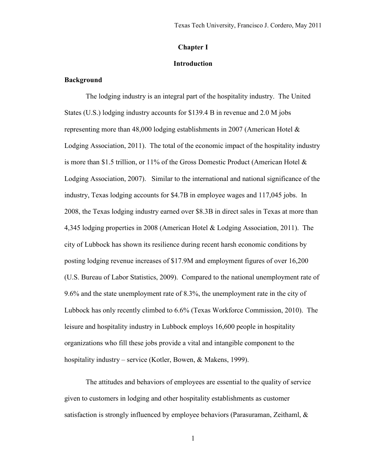## **Chapter I**

## **Introduction**

# **Background**

The lodging industry is an integral part of the hospitality industry. The United States (U.S.) lodging industry accounts for \$139.4 B in revenue and 2.0 M jobs representing more than 48,000 lodging establishments in 2007 (American Hotel & Lodging Association, 2011). The total of the economic impact of the hospitality industry is more than \$1.5 trillion, or 11% of the Gross Domestic Product (American Hotel  $\&$ Lodging Association, 2007). Similar to the international and national significance of the industry, Texas lodging accounts for \$4.7B in employee wages and 117,045 jobs. In 2008, the Texas lodging industry earned over \$8.3B in direct sales in Texas at more than 4,345 lodging properties in 2008 (American Hotel & Lodging Association, 2011). The city of Lubbock has shown its resilience during recent harsh economic conditions by posting lodging revenue increases of \$17.9M and employment figures of over 16,200 (U.S. Bureau of Labor Statistics, 2009). Compared to the national unemployment rate of 9.6% and the state unemployment rate of 8.3%, the unemployment rate in the city of Lubbock has only recently climbed to 6.6% (Texas Workforce Commission, 2010). The leisure and hospitality industry in Lubbock employs 16,600 people in hospitality organizations who fill these jobs provide a vital and intangible component to the hospitality industry – service (Kotler, Bowen, & Makens, 1999).

The attitudes and behaviors of employees are essential to the quality of service given to customers in lodging and other hospitality establishments as customer satisfaction is strongly influenced by employee behaviors (Parasuraman, Zeithaml, &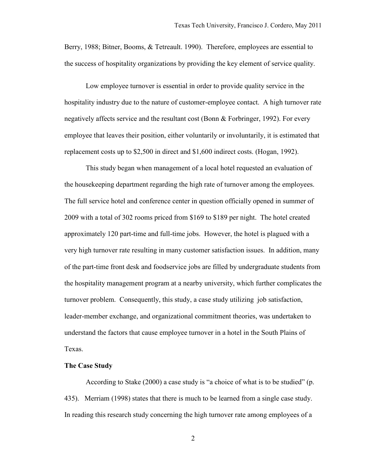Berry, 1988; Bitner, Booms, & Tetreault. 1990). Therefore, employees are essential to the success of hospitality organizations by providing the key element of service quality.

Low employee turnover is essential in order to provide quality service in the hospitality industry due to the nature of customer-employee contact. A high turnover rate negatively affects service and the resultant cost (Bonn & Forbringer, 1992). For every employee that leaves their position, either voluntarily or involuntarily, it is estimated that replacement costs up to \$2,500 in direct and \$1,600 indirect costs. (Hogan, 1992).

This study began when management of a local hotel requested an evaluation of the housekeeping department regarding the high rate of turnover among the employees. The full service hotel and conference center in question officially opened in summer of 2009 with a total of 302 rooms priced from \$169 to \$189 per night. The hotel created approximately 120 part-time and full-time jobs. However, the hotel is plagued with a very high turnover rate resulting in many customer satisfaction issues. In addition, many of the part-time front desk and foodservice jobs are filled by undergraduate students from the hospitality management program at a nearby university, which further complicates the turnover problem. Consequently, this study, a case study utilizing job satisfaction, leader-member exchange, and organizational commitment theories, was undertaken to understand the factors that cause employee turnover in a hotel in the South Plains of Texas.

# **The Case Study**

According to Stake (2000) a case study is "a choice of what is to be studied" (p. 435). Merriam (1998) states that there is much to be learned from a single case study. In reading this research study concerning the high turnover rate among employees of a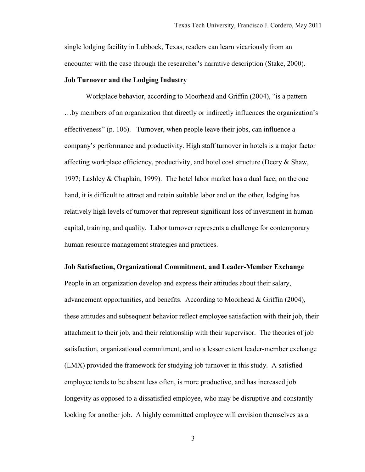single lodging facility in Lubbock, Texas, readers can learn vicariously from an encounter with the case through the researcher's narrative description (Stake, 2000).

#### **Job Turnover and the Lodging Industry**

Workplace behavior, according to Moorhead and Griffin (2004), "is a pattern …by members of an organization that directly or indirectly influences the organization's effectiveness" (p. 106). Turnover, when people leave their jobs, can influence a company's performance and productivity. High staff turnover in hotels is a major factor affecting workplace efficiency, productivity, and hotel cost structure (Deery & Shaw, 1997; Lashley & Chaplain, 1999). The hotel labor market has a dual face; on the one hand, it is difficult to attract and retain suitable labor and on the other, lodging has relatively high levels of turnover that represent significant loss of investment in human capital, training, and quality. Labor turnover represents a challenge for contemporary human resource management strategies and practices.

#### **Job Satisfaction, Organizational Commitment, and Leader-Member Exchange**

People in an organization develop and express their attitudes about their salary, advancement opportunities, and benefits. According to Moorhead & Griffin (2004), these attitudes and subsequent behavior reflect employee satisfaction with their job, their attachment to their job, and their relationship with their supervisor. The theories of job satisfaction, organizational commitment, and to a lesser extent leader-member exchange (LMX) provided the framework for studying job turnover in this study. A satisfied employee tends to be absent less often, is more productive, and has increased job longevity as opposed to a dissatisfied employee, who may be disruptive and constantly looking for another job. A highly committed employee will envision themselves as a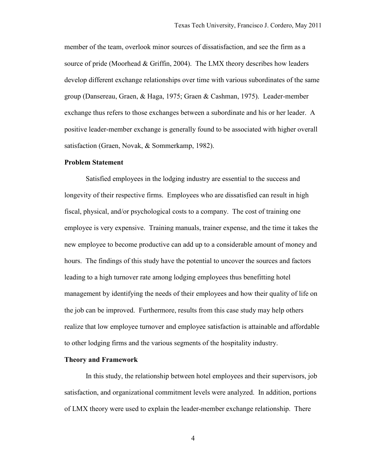member of the team, overlook minor sources of dissatisfaction, and see the firm as a source of pride (Moorhead & Griffin, 2004). The LMX theory describes how leaders develop different exchange relationships over time with various subordinates of the same group (Dansereau, Graen, & Haga, 1975; Graen & Cashman, 1975). Leader-member exchange thus refers to those exchanges between a subordinate and his or her leader. A positive leader-member exchange is generally found to be associated with higher overall satisfaction (Graen, Novak, & Sommerkamp, 1982).

#### **Problem Statement**

Satisfied employees in the lodging industry are essential to the success and longevity of their respective firms. Employees who are dissatisfied can result in high fiscal, physical, and/or psychological costs to a company. The cost of training one employee is very expensive. Training manuals, trainer expense, and the time it takes the new employee to become productive can add up to a considerable amount of money and hours. The findings of this study have the potential to uncover the sources and factors leading to a high turnover rate among lodging employees thus benefitting hotel management by identifying the needs of their employees and how their quality of life on the job can be improved. Furthermore, results from this case study may help others realize that low employee turnover and employee satisfaction is attainable and affordable to other lodging firms and the various segments of the hospitality industry.

#### **Theory and Framework**

In this study, the relationship between hotel employees and their supervisors, job satisfaction, and organizational commitment levels were analyzed. In addition, portions of LMX theory were used to explain the leader-member exchange relationship. There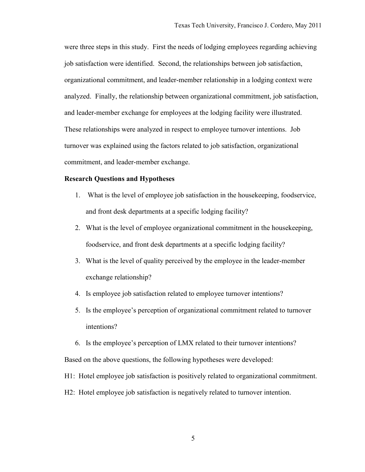were three steps in this study. First the needs of lodging employees regarding achieving job satisfaction were identified. Second, the relationships between job satisfaction, organizational commitment, and leader-member relationship in a lodging context were analyzed. Finally, the relationship between organizational commitment, job satisfaction, and leader-member exchange for employees at the lodging facility were illustrated. These relationships were analyzed in respect to employee turnover intentions. Job turnover was explained using the factors related to job satisfaction, organizational commitment, and leader-member exchange.

# **Research Questions and Hypotheses**

- 1. What is the level of employee job satisfaction in the housekeeping, foodservice, and front desk departments at a specific lodging facility?
- 2. What is the level of employee organizational commitment in the housekeeping, foodservice, and front desk departments at a specific lodging facility?
- 3. What is the level of quality perceived by the employee in the leader-member exchange relationship?
- 4. Is employee job satisfaction related to employee turnover intentions?
- 5. Is the employee's perception of organizational commitment related to turnover intentions?
- 6. Is the employee's perception of LMX related to their turnover intentions? Based on the above questions, the following hypotheses were developed:
- H1: Hotel employee job satisfaction is positively related to organizational commitment.
- H2: Hotel employee job satisfaction is negatively related to turnover intention.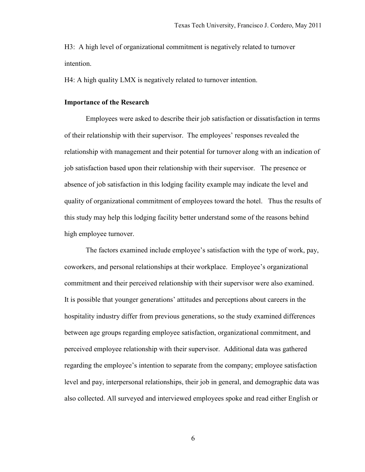H3: A high level of organizational commitment is negatively related to turnover intention.

H4: A high quality LMX is negatively related to turnover intention.

#### **Importance of the Research**

Employees were asked to describe their job satisfaction or dissatisfaction in terms of their relationship with their supervisor. The employees' responses revealed the relationship with management and their potential for turnover along with an indication of job satisfaction based upon their relationship with their supervisor. The presence or absence of job satisfaction in this lodging facility example may indicate the level and quality of organizational commitment of employees toward the hotel. Thus the results of this study may help this lodging facility better understand some of the reasons behind high employee turnover.

The factors examined include employee's satisfaction with the type of work, pay, coworkers, and personal relationships at their workplace. Employee's organizational commitment and their perceived relationship with their supervisor were also examined. It is possible that younger generations' attitudes and perceptions about careers in the hospitality industry differ from previous generations, so the study examined differences between age groups regarding employee satisfaction, organizational commitment, and perceived employee relationship with their supervisor. Additional data was gathered regarding the employee's intention to separate from the company; employee satisfaction level and pay, interpersonal relationships, their job in general, and demographic data was also collected. All surveyed and interviewed employees spoke and read either English or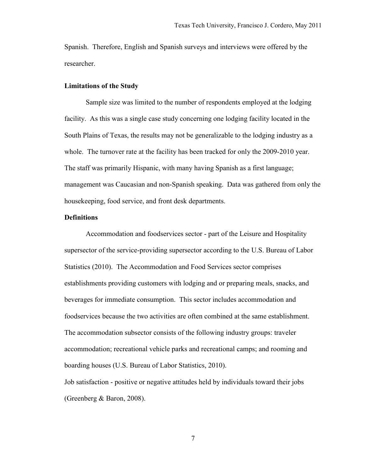Spanish. Therefore, English and Spanish surveys and interviews were offered by the researcher.

#### **Limitations of the Study**

Sample size was limited to the number of respondents employed at the lodging facility. As this was a single case study concerning one lodging facility located in the South Plains of Texas, the results may not be generalizable to the lodging industry as a whole. The turnover rate at the facility has been tracked for only the 2009-2010 year. The staff was primarily Hispanic, with many having Spanish as a first language; management was Caucasian and non-Spanish speaking. Data was gathered from only the housekeeping, food service, and front desk departments.

# **Definitions**

Accommodation and foodservices sector - part of the Leisure and Hospitality supersector of the service-providing supersector according to the U.S. Bureau of Labor Statistics (2010). The Accommodation and Food Services sector comprises establishments providing customers with lodging and or preparing meals, snacks, and beverages for immediate consumption. This sector includes accommodation and foodservices because the two activities are often combined at the same establishment. The accommodation subsector consists of the following industry groups: traveler accommodation; recreational vehicle parks and recreational camps; and rooming and boarding houses (U.S. Bureau of Labor Statistics, 2010).

Job satisfaction - positive or negative attitudes held by individuals toward their jobs (Greenberg & Baron, 2008).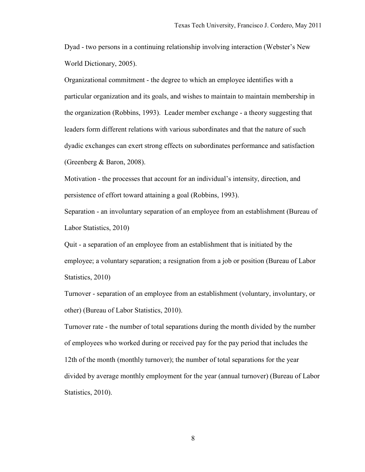Dyad - two persons in a continuing relationship involving interaction (Webster's New World Dictionary, 2005).

Organizational commitment - the degree to which an employee identifies with a particular organization and its goals, and wishes to maintain to maintain membership in the organization (Robbins, 1993). Leader member exchange - a theory suggesting that leaders form different relations with various subordinates and that the nature of such dyadic exchanges can exert strong effects on subordinates performance and satisfaction (Greenberg & Baron, 2008).

Motivation - the processes that account for an individual's intensity, direction, and persistence of effort toward attaining a goal (Robbins, 1993).

Separation - an involuntary separation of an employee from an establishment (Bureau of Labor Statistics, 2010)

Quit - a separation of an employee from an establishment that is initiated by the employee; a voluntary separation; a resignation from a job or position (Bureau of Labor Statistics, 2010)

Turnover - separation of an employee from an establishment (voluntary, involuntary, or other) (Bureau of Labor Statistics, 2010).

Turnover rate - the number of total separations during the month divided by the number of employees who worked during or received pay for the pay period that includes the 12th of the month (monthly turnover); the number of total separations for the year divided by average monthly employment for the year (annual turnover) (Bureau of Labor Statistics, 2010).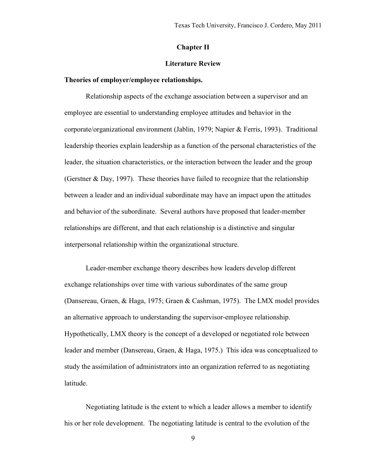#### **Chapter II**

# **Literature Review**

#### **Theories of employer/employee relationships.**

Relationship aspects of the exchange association between a supervisor and an employee are essential to understanding employee attitudes and behavior in the corporate/organizational environment (Jablin, 1979; Napier & Ferris, 1993). Traditional leadership theories explain leadership as a function of the personal characteristics of the leader, the situation characteristics, or the interaction between the leader and the group (Gerstner & Day, 1997). These theories have failed to recognize that the relationship between a leader and an individual subordinate may have an impact upon the attitudes and behavior of the subordinate. Several authors have proposed that leader-member relationships are different, and that each relationship is a distinctive and singular interpersonal relationship within the organizational structure.

Leader-member exchange theory describes how leaders develop different exchange relationships over time with various subordinates of the same group (Dansereau, Graen, & Haga, 1975; Graen & Cashman, 1975). The LMX model provides an alternative approach to understanding the supervisor-employee relationship. Hypothetically, LMX theory is the concept of a developed or negotiated role between leader and member (Dansereau, Graen, & Haga, 1975.) This idea was conceptualized to study the assimilation of administrators into an organization referred to as negotiating latitude.

Negotiating latitude is the extent to which a leader allows a member to identify his or her role development. The negotiating latitude is central to the evolution of the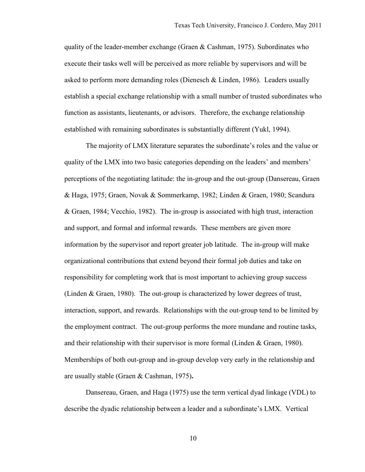quality of the leader-member exchange (Graen & Cashman, 1975). Subordinates who execute their tasks well will be perceived as more reliable by supervisors and will be asked to perform more demanding roles (Dienesch  $&$  Linden, 1986). Leaders usually establish a special exchange relationship with a small number of trusted subordinates who function as assistants, lieutenants, or advisors. Therefore, the exchange relationship established with remaining subordinates is substantially different (Yukl, 1994).

The majority of LMX literature separates the subordinate's roles and the value or quality of the LMX into two basic categories depending on the leaders' and members' perceptions of the negotiating latitude: the in-group and the out-group (Dansereau, Graen & Haga, 1975; Graen, Novak & Sommerkamp, 1982; Linden & Graen, 1980; Scandura & Graen, 1984; Vecchio, 1982). The in-group is associated with high trust, interaction and support, and formal and informal rewards. These members are given more information by the supervisor and report greater job latitude. The in-group will make organizational contributions that extend beyond their formal job duties and take on responsibility for completing work that is most important to achieving group success (Linden & Graen, 1980). The out-group is characterized by lower degrees of trust, interaction, support, and rewards. Relationships with the out-group tend to be limited by the employment contract. The out-group performs the more mundane and routine tasks, and their relationship with their supervisor is more formal (Linden  $\&$  Graen, 1980). Memberships of both out-group and in-group develop very early in the relationship and are usually stable (Graen & Cashman, 1975)**.**

Dansereau, Graen, and Haga (1975) use the term vertical dyad linkage (VDL) to describe the dyadic relationship between a leader and a subordinate's LMX. Vertical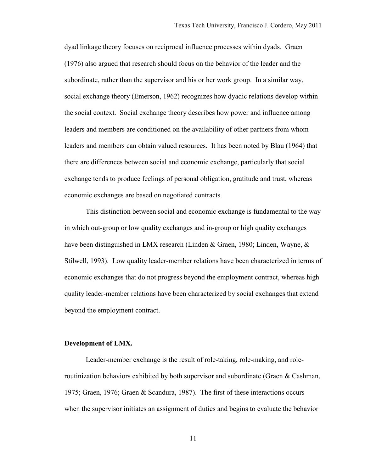dyad linkage theory focuses on reciprocal influence processes within dyads. Graen (1976) also argued that research should focus on the behavior of the leader and the subordinate, rather than the supervisor and his or her work group. In a similar way, social exchange theory (Emerson, 1962) recognizes how dyadic relations develop within the social context. Social exchange theory describes how power and influence among leaders and members are conditioned on the availability of other partners from whom leaders and members can obtain valued resources. It has been noted by Blau (1964) that there are differences between social and economic exchange, particularly that social exchange tends to produce feelings of personal obligation, gratitude and trust, whereas economic exchanges are based on negotiated contracts.

This distinction between social and economic exchange is fundamental to the way in which out-group or low quality exchanges and in-group or high quality exchanges have been distinguished in LMX research (Linden & Graen, 1980; Linden, Wayne, & Stilwell, 1993). Low quality leader-member relations have been characterized in terms of economic exchanges that do not progress beyond the employment contract, whereas high quality leader-member relations have been characterized by social exchanges that extend beyond the employment contract.

#### **Development of LMX.**

Leader-member exchange is the result of role-taking, role-making, and roleroutinization behaviors exhibited by both supervisor and subordinate (Graen & Cashman, 1975; Graen, 1976; Graen & Scandura, 1987). The first of these interactions occurs when the supervisor initiates an assignment of duties and begins to evaluate the behavior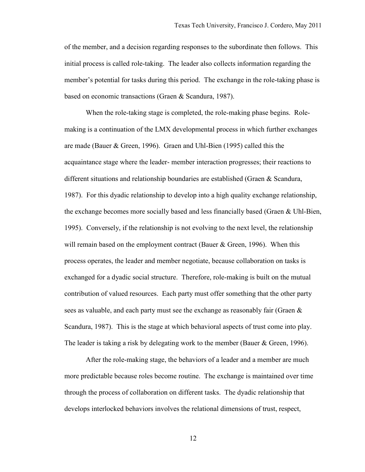of the member, and a decision regarding responses to the subordinate then follows. This initial process is called role-taking. The leader also collects information regarding the member's potential for tasks during this period. The exchange in the role-taking phase is based on economic transactions (Graen & Scandura, 1987).

When the role-taking stage is completed, the role-making phase begins. Rolemaking is a continuation of the LMX developmental process in which further exchanges are made (Bauer & Green, 1996). Graen and Uhl-Bien (1995) called this the acquaintance stage where the leader- member interaction progresses; their reactions to different situations and relationship boundaries are established (Graen & Scandura, 1987). For this dyadic relationship to develop into a high quality exchange relationship, the exchange becomes more socially based and less financially based (Graen & Uhl-Bien, 1995). Conversely, if the relationship is not evolving to the next level, the relationship will remain based on the employment contract (Bauer & Green, 1996). When this process operates, the leader and member negotiate, because collaboration on tasks is exchanged for a dyadic social structure. Therefore, role-making is built on the mutual contribution of valued resources. Each party must offer something that the other party sees as valuable, and each party must see the exchange as reasonably fair (Graen & Scandura, 1987). This is the stage at which behavioral aspects of trust come into play. The leader is taking a risk by delegating work to the member (Bauer & Green, 1996).

After the role-making stage, the behaviors of a leader and a member are much more predictable because roles become routine. The exchange is maintained over time through the process of collaboration on different tasks. The dyadic relationship that develops interlocked behaviors involves the relational dimensions of trust, respect,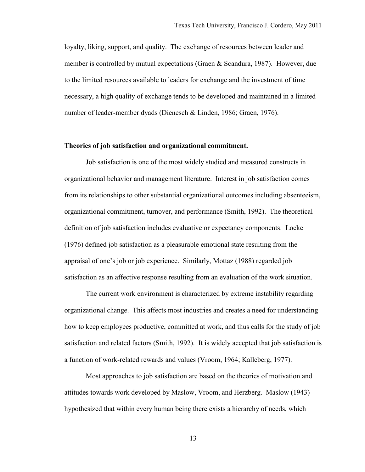loyalty, liking, support, and quality. The exchange of resources between leader and member is controlled by mutual expectations (Graen & Scandura, 1987). However, due to the limited resources available to leaders for exchange and the investment of time necessary, a high quality of exchange tends to be developed and maintained in a limited number of leader-member dyads (Dienesch & Linden, 1986; Graen, 1976).

# **Theories of job satisfaction and organizational commitment.**

Job satisfaction is one of the most widely studied and measured constructs in organizational behavior and management literature. Interest in job satisfaction comes from its relationships to other substantial organizational outcomes including absenteeism, organizational commitment, turnover, and performance (Smith, 1992). The theoretical definition of job satisfaction includes evaluative or expectancy components. Locke (1976) defined job satisfaction as a pleasurable emotional state resulting from the appraisal of one's job or job experience. Similarly, Mottaz (1988) regarded job satisfaction as an affective response resulting from an evaluation of the work situation.

The current work environment is characterized by extreme instability regarding organizational change. This affects most industries and creates a need for understanding how to keep employees productive, committed at work, and thus calls for the study of job satisfaction and related factors (Smith, 1992). It is widely accepted that job satisfaction is a function of work-related rewards and values (Vroom, 1964; Kalleberg, 1977).

Most approaches to job satisfaction are based on the theories of motivation and attitudes towards work developed by Maslow, Vroom, and Herzberg. Maslow (1943) hypothesized that within every human being there exists a hierarchy of needs, which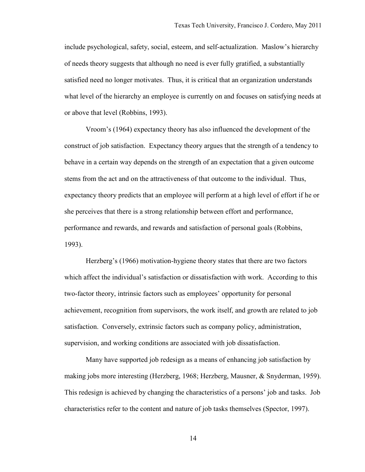include psychological, safety, social, esteem, and self-actualization. Maslow's hierarchy of needs theory suggests that although no need is ever fully gratified, a substantially satisfied need no longer motivates. Thus, it is critical that an organization understands what level of the hierarchy an employee is currently on and focuses on satisfying needs at or above that level (Robbins, 1993).

Vroom's (1964) expectancy theory has also influenced the development of the construct of job satisfaction. Expectancy theory argues that the strength of a tendency to behave in a certain way depends on the strength of an expectation that a given outcome stems from the act and on the attractiveness of that outcome to the individual. Thus, expectancy theory predicts that an employee will perform at a high level of effort if he or she perceives that there is a strong relationship between effort and performance, performance and rewards, and rewards and satisfaction of personal goals (Robbins, 1993).

Herzberg's (1966) motivation-hygiene theory states that there are two factors which affect the individual's satisfaction or dissatisfaction with work. According to this two-factor theory, intrinsic factors such as employees' opportunity for personal achievement, recognition from supervisors, the work itself, and growth are related to job satisfaction. Conversely, extrinsic factors such as company policy, administration, supervision, and working conditions are associated with job dissatisfaction.

Many have supported job redesign as a means of enhancing job satisfaction by making jobs more interesting (Herzberg, 1968; Herzberg, Mausner, & Snyderman, 1959). This redesign is achieved by changing the characteristics of a persons' job and tasks. Job characteristics refer to the content and nature of job tasks themselves (Spector, 1997).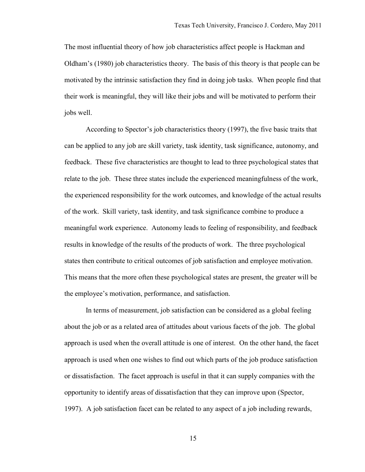The most influential theory of how job characteristics affect people is Hackman and Oldham's (1980) job characteristics theory. The basis of this theory is that people can be motivated by the intrinsic satisfaction they find in doing job tasks. When people find that their work is meaningful, they will like their jobs and will be motivated to perform their jobs well.

According to Spector's job characteristics theory (1997), the five basic traits that can be applied to any job are skill variety, task identity, task significance, autonomy, and feedback. These five characteristics are thought to lead to three psychological states that relate to the job. These three states include the experienced meaningfulness of the work, the experienced responsibility for the work outcomes, and knowledge of the actual results of the work. Skill variety, task identity, and task significance combine to produce a meaningful work experience. Autonomy leads to feeling of responsibility, and feedback results in knowledge of the results of the products of work. The three psychological states then contribute to critical outcomes of job satisfaction and employee motivation. This means that the more often these psychological states are present, the greater will be the employee's motivation, performance, and satisfaction.

In terms of measurement, job satisfaction can be considered as a global feeling about the job or as a related area of attitudes about various facets of the job. The global approach is used when the overall attitude is one of interest. On the other hand, the facet approach is used when one wishes to find out which parts of the job produce satisfaction or dissatisfaction. The facet approach is useful in that it can supply companies with the opportunity to identify areas of dissatisfaction that they can improve upon (Spector, 1997). A job satisfaction facet can be related to any aspect of a job including rewards,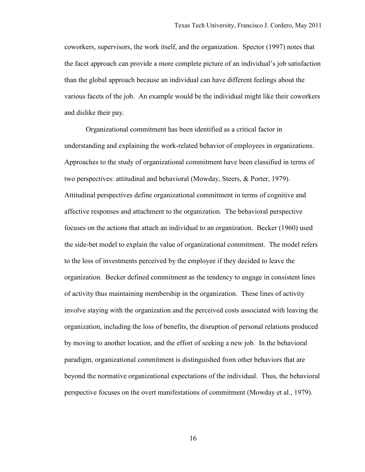coworkers, supervisors, the work itself, and the organization. Spector (1997) notes that the facet approach can provide a more complete picture of an individual's job satisfaction than the global approach because an individual can have different feelings about the various facets of the job. An example would be the individual might like their coworkers and dislike their pay.

Organizational commitment has been identified as a critical factor in understanding and explaining the work-related behavior of employees in organizations. Approaches to the study of organizational commitment have been classified in terms of two perspectives: attitudinal and behavioral (Mowday, Steers, & Porter, 1979). Attitudinal perspectives define organizational commitment in terms of cognitive and affective responses and attachment to the organization. The behavioral perspective focuses on the actions that attach an individual to an organization. Becker (1960) used the side-bet model to explain the value of organizational commitment. The model refers to the loss of investments perceived by the employee if they decided to leave the organization. Becker defined commitment as the tendency to engage in consistent lines of activity thus maintaining membership in the organization. These lines of activity involve staying with the organization and the perceived costs associated with leaving the organization, including the loss of benefits, the disruption of personal relations produced by moving to another location, and the effort of seeking a new job. In the behavioral paradigm, organizational commitment is distinguished from other behaviors that are beyond the normative organizational expectations of the individual. Thus, the behavioral perspective focuses on the overt manifestations of commitment (Mowday et al., 1979).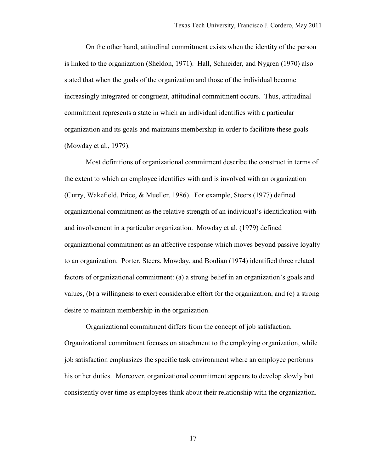On the other hand, attitudinal commitment exists when the identity of the person is linked to the organization (Sheldon, 1971). Hall, Schneider, and Nygren (1970) also stated that when the goals of the organization and those of the individual become increasingly integrated or congruent, attitudinal commitment occurs. Thus, attitudinal commitment represents a state in which an individual identifies with a particular organization and its goals and maintains membership in order to facilitate these goals (Mowday et al., 1979).

Most definitions of organizational commitment describe the construct in terms of the extent to which an employee identifies with and is involved with an organization (Curry, Wakefield, Price, & Mueller. 1986). For example, Steers (1977) defined organizational commitment as the relative strength of an individual's identification with and involvement in a particular organization. Mowday et al. (1979) defined organizational commitment as an affective response which moves beyond passive loyalty to an organization. Porter, Steers, Mowday, and Boulian (1974) identified three related factors of organizational commitment: (a) a strong belief in an organization's goals and values, (b) a willingness to exert considerable effort for the organization, and (c) a strong desire to maintain membership in the organization.

Organizational commitment differs from the concept of job satisfaction. Organizational commitment focuses on attachment to the employing organization, while job satisfaction emphasizes the specific task environment where an employee performs his or her duties. Moreover, organizational commitment appears to develop slowly but consistently over time as employees think about their relationship with the organization.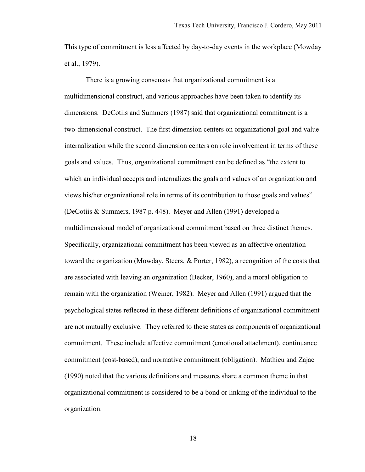This type of commitment is less affected by day-to-day events in the workplace (Mowday et al., 1979).

There is a growing consensus that organizational commitment is a multidimensional construct, and various approaches have been taken to identify its dimensions. DeCotiis and Summers (1987) said that organizational commitment is a two-dimensional construct. The first dimension centers on organizational goal and value internalization while the second dimension centers on role involvement in terms of these goals and values. Thus, organizational commitment can be defined as "the extent to which an individual accepts and internalizes the goals and values of an organization and views his/her organizational role in terms of its contribution to those goals and values" (DeCotiis & Summers, 1987 p. 448). Meyer and Allen (1991) developed a multidimensional model of organizational commitment based on three distinct themes. Specifically, organizational commitment has been viewed as an affective orientation toward the organization (Mowday, Steers, & Porter, 1982), a recognition of the costs that are associated with leaving an organization (Becker, 1960), and a moral obligation to remain with the organization (Weiner, 1982). Meyer and Allen (1991) argued that the psychological states reflected in these different definitions of organizational commitment are not mutually exclusive. They referred to these states as components of organizational commitment. These include affective commitment (emotional attachment), continuance commitment (cost-based), and normative commitment (obligation). Mathieu and Zajac (1990) noted that the various definitions and measures share a common theme in that organizational commitment is considered to be a bond or linking of the individual to the organization.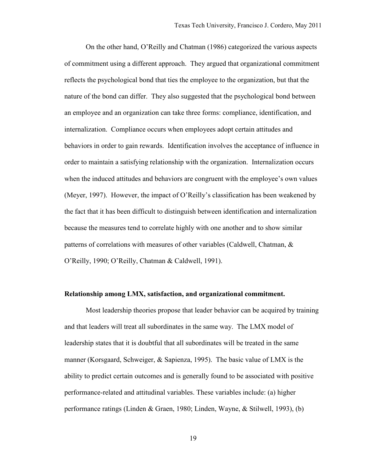On the other hand, O'Reilly and Chatman (1986) categorized the various aspects of commitment using a different approach. They argued that organizational commitment reflects the psychological bond that ties the employee to the organization, but that the nature of the bond can differ. They also suggested that the psychological bond between an employee and an organization can take three forms: compliance, identification, and internalization. Compliance occurs when employees adopt certain attitudes and behaviors in order to gain rewards. Identification involves the acceptance of influence in order to maintain a satisfying relationship with the organization. Internalization occurs when the induced attitudes and behaviors are congruent with the employee's own values (Meyer, 1997). However, the impact of O'Reilly's classification has been weakened by the fact that it has been difficult to distinguish between identification and internalization because the measures tend to correlate highly with one another and to show similar patterns of correlations with measures of other variables (Caldwell, Chatman, & O'Reilly, 1990; O'Reilly, Chatman & Caldwell, 1991).

#### **Relationship among LMX, satisfaction, and organizational commitment.**

Most leadership theories propose that leader behavior can be acquired by training and that leaders will treat all subordinates in the same way. The LMX model of leadership states that it is doubtful that all subordinates will be treated in the same manner (Korsgaard, Schweiger, & Sapienza, 1995). The basic value of LMX is the ability to predict certain outcomes and is generally found to be associated with positive performance-related and attitudinal variables. These variables include: (a) higher performance ratings (Linden & Graen, 1980; Linden, Wayne, & Stilwell, 1993), (b)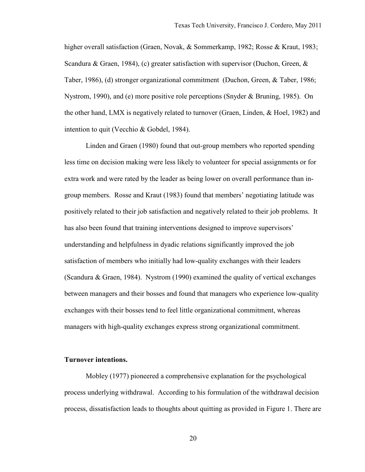higher overall satisfaction (Graen, Novak, & Sommerkamp, 1982; Rosse & Kraut, 1983; Scandura & Graen, 1984), (c) greater satisfaction with supervisor (Duchon, Green,  $\&$ Taber, 1986), (d) stronger organizational commitment (Duchon, Green, & Taber, 1986; Nystrom, 1990), and (e) more positive role perceptions (Snyder & Bruning, 1985). On the other hand, LMX is negatively related to turnover (Graen, Linden, & Hoel, 1982) and intention to quit (Vecchio & Gobdel, 1984).

Linden and Graen (1980) found that out-group members who reported spending less time on decision making were less likely to volunteer for special assignments or for extra work and were rated by the leader as being lower on overall performance than ingroup members. Rosse and Kraut (1983) found that members' negotiating latitude was positively related to their job satisfaction and negatively related to their job problems. It has also been found that training interventions designed to improve supervisors' understanding and helpfulness in dyadic relations significantly improved the job satisfaction of members who initially had low-quality exchanges with their leaders (Scandura & Graen, 1984). Nystrom (1990) examined the quality of vertical exchanges between managers and their bosses and found that managers who experience low-quality exchanges with their bosses tend to feel little organizational commitment, whereas managers with high-quality exchanges express strong organizational commitment.

#### **Turnover intentions.**

Mobley (1977) pioneered a comprehensive explanation for the psychological process underlying withdrawal. According to his formulation of the withdrawal decision process, dissatisfaction leads to thoughts about quitting as provided in Figure 1. There are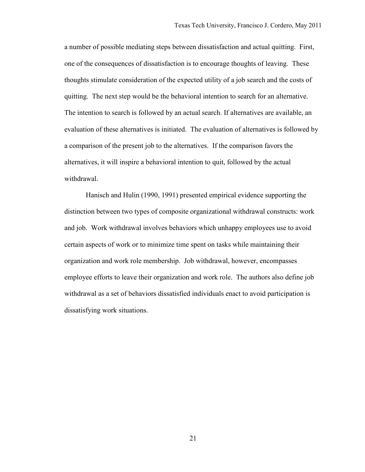a number of possible mediating steps between dissatisfaction and actual quitting. First, one of the consequences of dissatisfaction is to encourage thoughts of leaving. These thoughts stimulate consideration of the expected utility of a job search and the costs of quitting. The next step would be the behavioral intention to search for an alternative. The intention to search is followed by an actual search. If alternatives are available, an evaluation of these alternatives is initiated. The evaluation of alternatives is followed by a comparison of the present job to the alternatives. If the comparison favors the alternatives, it will inspire a behavioral intention to quit, followed by the actual withdrawal.

Hanisch and Hulin (1990, 1991) presented empirical evidence supporting the distinction between two types of composite organizational withdrawal constructs: work and job. Work withdrawal involves behaviors which unhappy employees use to avoid certain aspects of work or to minimize time spent on tasks while maintaining their organization and work role membership. Job withdrawal, however, encompasses employee efforts to leave their organization and work role. The authors also define job withdrawal as a set of behaviors dissatisfied individuals enact to avoid participation is dissatisfying work situations.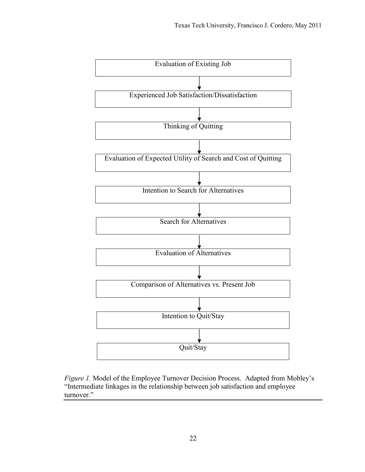

*Figure 1.* Model of the Employee Turnover Decision Process. Adapted from Mobley's "Intermediate linkages in the relationship between job satisfaction and employee turnover."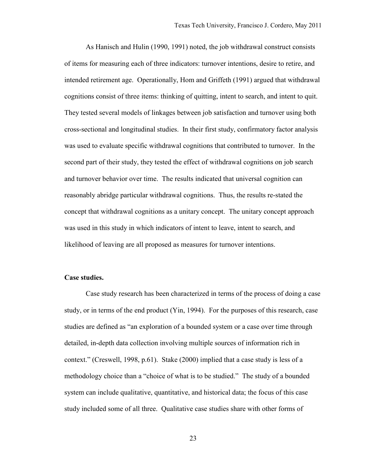As Hanisch and Hulin (1990, 1991) noted, the job withdrawal construct consists of items for measuring each of three indicators: turnover intentions, desire to retire, and intended retirement age. Operationally, Hom and Griffeth (1991) argued that withdrawal cognitions consist of three items: thinking of quitting, intent to search, and intent to quit. They tested several models of linkages between job satisfaction and turnover using both cross-sectional and longitudinal studies. In their first study, confirmatory factor analysis was used to evaluate specific withdrawal cognitions that contributed to turnover. In the second part of their study, they tested the effect of withdrawal cognitions on job search and turnover behavior over time. The results indicated that universal cognition can reasonably abridge particular withdrawal cognitions. Thus, the results re-stated the concept that withdrawal cognitions as a unitary concept. The unitary concept approach was used in this study in which indicators of intent to leave, intent to search, and likelihood of leaving are all proposed as measures for turnover intentions.

#### **Case studies.**

Case study research has been characterized in terms of the process of doing a case study, or in terms of the end product (Yin, 1994). For the purposes of this research, case studies are defined as "an exploration of a bounded system or a case over time through detailed, in-depth data collection involving multiple sources of information rich in context." (Creswell, 1998, p.61). Stake (2000) implied that a case study is less of a methodology choice than a "choice of what is to be studied." The study of a bounded system can include qualitative, quantitative, and historical data; the focus of this case study included some of all three. Qualitative case studies share with other forms of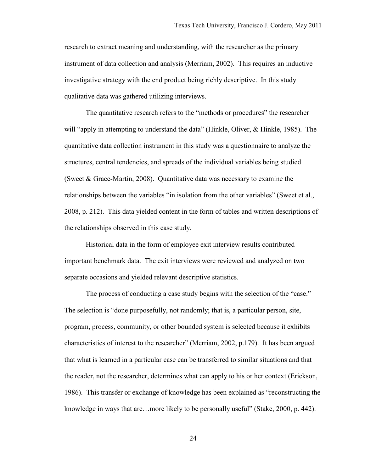research to extract meaning and understanding, with the researcher as the primary instrument of data collection and analysis (Merriam, 2002). This requires an inductive investigative strategy with the end product being richly descriptive. In this study qualitative data was gathered utilizing interviews.

The quantitative research refers to the "methods or procedures" the researcher will "apply in attempting to understand the data" (Hinkle, Oliver, & Hinkle, 1985). The quantitative data collection instrument in this study was a questionnaire to analyze the structures, central tendencies, and spreads of the individual variables being studied (Sweet & Grace-Martin, 2008). Quantitative data was necessary to examine the relationships between the variables "in isolation from the other variables" (Sweet et al., 2008, p. 212). This data yielded content in the form of tables and written descriptions of the relationships observed in this case study.

Historical data in the form of employee exit interview results contributed important benchmark data. The exit interviews were reviewed and analyzed on two separate occasions and yielded relevant descriptive statistics.

The process of conducting a case study begins with the selection of the "case." The selection is "done purposefully, not randomly; that is, a particular person, site, program, process, community, or other bounded system is selected because it exhibits characteristics of interest to the researcher" (Merriam, 2002, p.179). It has been argued that what is learned in a particular case can be transferred to similar situations and that the reader, not the researcher, determines what can apply to his or her context (Erickson, 1986). This transfer or exchange of knowledge has been explained as "reconstructing the knowledge in ways that are…more likely to be personally useful" (Stake, 2000, p. 442).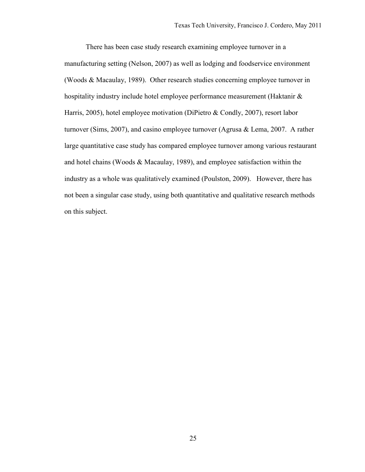There has been case study research examining employee turnover in a manufacturing setting (Nelson, 2007) as well as lodging and foodservice environment (Woods & Macaulay, 1989). Other research studies concerning employee turnover in hospitality industry include hotel employee performance measurement (Haktanir & Harris, 2005), hotel employee motivation (DiPietro & Condly, 2007), resort labor turnover (Sims, 2007), and casino employee turnover (Agrusa & Lema, 2007. A rather large quantitative case study has compared employee turnover among various restaurant and hotel chains (Woods & Macaulay, 1989), and employee satisfaction within the industry as a whole was qualitatively examined (Poulston, 2009). However, there has not been a singular case study, using both quantitative and qualitative research methods on this subject.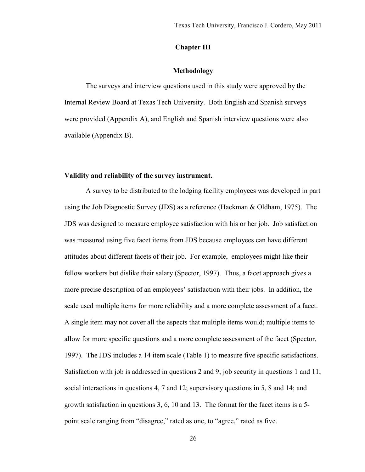# **Chapter III**

#### **Methodology**

The surveys and interview questions used in this study were approved by the Internal Review Board at Texas Tech University. Both English and Spanish surveys were provided (Appendix A), and English and Spanish interview questions were also available (Appendix B).

# **Validity and reliability of the survey instrument.**

A survey to be distributed to the lodging facility employees was developed in part using the Job Diagnostic Survey (JDS) as a reference (Hackman & Oldham, 1975). The JDS was designed to measure employee satisfaction with his or her job. Job satisfaction was measured using five facet items from JDS because employees can have different attitudes about different facets of their job. For example, employees might like their fellow workers but dislike their salary (Spector, 1997). Thus, a facet approach gives a more precise description of an employees' satisfaction with their jobs. In addition, the scale used multiple items for more reliability and a more complete assessment of a facet. A single item may not cover all the aspects that multiple items would; multiple items to allow for more specific questions and a more complete assessment of the facet (Spector, 1997). The JDS includes a 14 item scale (Table 1) to measure five specific satisfactions. Satisfaction with job is addressed in questions 2 and 9; job security in questions 1 and 11; social interactions in questions 4, 7 and 12; supervisory questions in 5, 8 and 14; and growth satisfaction in questions 3, 6, 10 and 13. The format for the facet items is a 5 point scale ranging from "disagree," rated as one, to "agree," rated as five.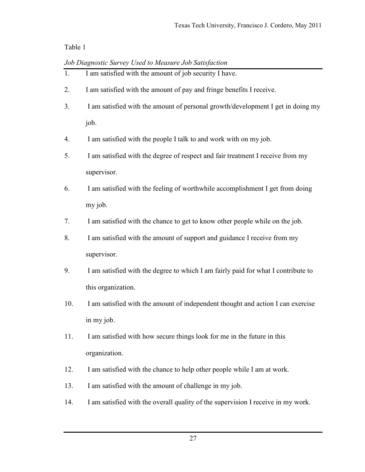|  |  |  | Job Diagnostic Survey Used to Measure Job Satisfaction |
|--|--|--|--------------------------------------------------------|
|  |  |  |                                                        |

- 1. I am satisfied with the amount of job security I have. 2. I am satisfied with the amount of pay and fringe benefits I receive. 3. I am satisfied with the amount of personal growth/development I get in doing my job. 4. I am satisfied with the people I talk to and work with on my job. 5. I am satisfied with the degree of respect and fair treatment I receive from my supervisor. 6. I am satisfied with the feeling of worthwhile accomplishment I get from doing my job. 7. I am satisfied with the chance to get to know other people while on the job. 8. I am satisfied with the amount of support and guidance I receive from my supervisor. 9. I am satisfied with the degree to which I am fairly paid for what I contribute to this organization. 10. I am satisfied with the amount of independent thought and action I can exercise in my job. 11. I am satisfied with how secure things look for me in the future in this organization. 12. I am satisfied with the chance to help other people while I am at work.
- 13. I am satisfied with the amount of challenge in my job.
- 14. I am satisfied with the overall quality of the supervision I receive in my work.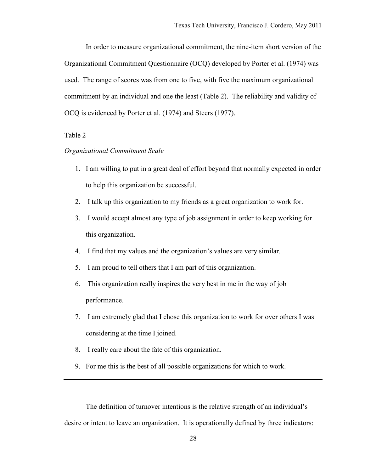In order to measure organizational commitment, the nine-item short version of the Organizational Commitment Questionnaire (OCQ) developed by Porter et al. (1974) was used. The range of scores was from one to five, with five the maximum organizational commitment by an individual and one the least (Table 2). The reliability and validity of OCQ is evidenced by Porter et al. (1974) and Steers (1977).

### Table 2

# *Organizational Commitment Scale*

- 1. I am willing to put in a great deal of effort beyond that normally expected in order to help this organization be successful.
- 2. I talk up this organization to my friends as a great organization to work for.
- 3. I would accept almost any type of job assignment in order to keep working for this organization.
- 4. I find that my values and the organization's values are very similar.
- 5. I am proud to tell others that I am part of this organization.
- 6. This organization really inspires the very best in me in the way of job performance.
- 7. I am extremely glad that I chose this organization to work for over others I was considering at the time I joined.
- 8. I really care about the fate of this organization.
- 9. For me this is the best of all possible organizations for which to work.

The definition of turnover intentions is the relative strength of an individual's desire or intent to leave an organization. It is operationally defined by three indicators: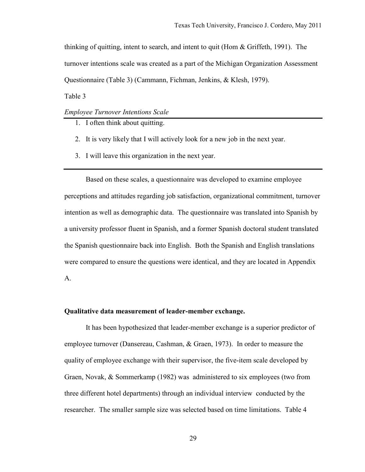thinking of quitting, intent to search, and intent to quit (Hom  $\&$  Griffeth, 1991). The turnover intentions scale was created as a part of the Michigan Organization Assessment Questionnaire (Table 3) (Cammann, Fichman, Jenkins, & Klesh, 1979).

Table 3

*Employee Turnover Intentions Scale* 

- 1. I often think about quitting.
- 2. It is very likely that I will actively look for a new job in the next year.
- 3. I will leave this organization in the next year.

Based on these scales, a questionnaire was developed to examine employee perceptions and attitudes regarding job satisfaction, organizational commitment, turnover intention as well as demographic data. The questionnaire was translated into Spanish by a university professor fluent in Spanish, and a former Spanish doctoral student translated the Spanish questionnaire back into English. Both the Spanish and English translations were compared to ensure the questions were identical, and they are located in Appendix A.

### **Qualitative data measurement of leader-member exchange.**

It has been hypothesized that leader-member exchange is a superior predictor of employee turnover (Dansereau, Cashman, & Graen, 1973). In order to measure the quality of employee exchange with their supervisor, the five-item scale developed by Graen, Novak, & Sommerkamp (1982) was administered to six employees (two from three different hotel departments) through an individual interview conducted by the researcher. The smaller sample size was selected based on time limitations. Table 4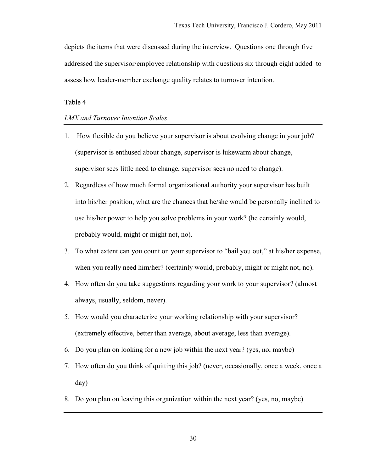depicts the items that were discussed during the interview. Questions one through five addressed the supervisor/employee relationship with questions six through eight added to assess how leader-member exchange quality relates to turnover intention.

# Table 4

# *LMX and Turnover Intention Scales*

- 1. How flexible do you believe your supervisor is about evolving change in your job? (supervisor is enthused about change, supervisor is lukewarm about change, supervisor sees little need to change, supervisor sees no need to change).
- 2. Regardless of how much formal organizational authority your supervisor has built into his/her position, what are the chances that he/she would be personally inclined to use his/her power to help you solve problems in your work? (he certainly would, probably would, might or might not, no).
- 3. To what extent can you count on your supervisor to "bail you out," at his/her expense, when you really need him/her? (certainly would, probably, might or might not, no).
- 4. How often do you take suggestions regarding your work to your supervisor? (almost always, usually, seldom, never).
- 5. How would you characterize your working relationship with your supervisor? (extremely effective, better than average, about average, less than average).
- 6. Do you plan on looking for a new job within the next year? (yes, no, maybe)
- 7. How often do you think of quitting this job? (never, occasionally, once a week, once a day)
- 8. Do you plan on leaving this organization within the next year? (yes, no, maybe)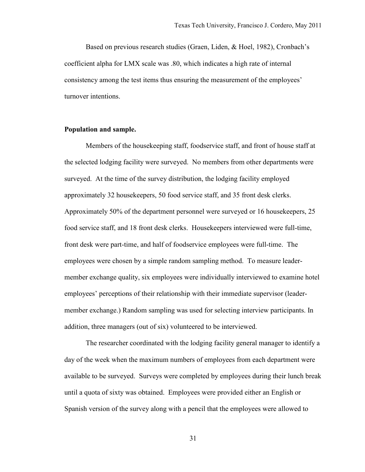Based on previous research studies (Graen, Liden, & Hoel, 1982), Cronbach's coefficient alpha for LMX scale was .80, which indicates a high rate of internal consistency among the test items thus ensuring the measurement of the employees' turnover intentions.

### **Population and sample.**

Members of the housekeeping staff, foodservice staff, and front of house staff at the selected lodging facility were surveyed. No members from other departments were surveyed. At the time of the survey distribution, the lodging facility employed approximately 32 housekeepers, 50 food service staff, and 35 front desk clerks. Approximately 50% of the department personnel were surveyed or 16 housekeepers, 25 food service staff, and 18 front desk clerks. Housekeepers interviewed were full-time, front desk were part-time, and half of foodservice employees were full-time. The employees were chosen by a simple random sampling method. To measure leadermember exchange quality, six employees were individually interviewed to examine hotel employees' perceptions of their relationship with their immediate supervisor (leadermember exchange.) Random sampling was used for selecting interview participants. In addition, three managers (out of six) volunteered to be interviewed.

The researcher coordinated with the lodging facility general manager to identify a day of the week when the maximum numbers of employees from each department were available to be surveyed. Surveys were completed by employees during their lunch break until a quota of sixty was obtained. Employees were provided either an English or Spanish version of the survey along with a pencil that the employees were allowed to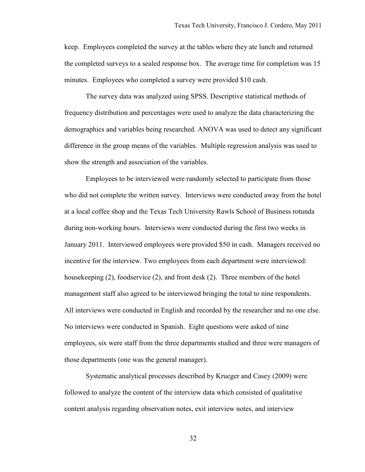keep. Employees completed the survey at the tables where they ate lunch and returned the completed surveys to a sealed response box. The average time for completion was 15 minutes. Employees who completed a survey were provided \$10 cash.

The survey data was analyzed using SPSS. Descriptive statistical methods of frequency distribution and percentages were used to analyze the data characterizing the demographics and variables being researched. ANOVA was used to detect any significant difference in the group means of the variables. Multiple regression analysis was used to show the strength and association of the variables.

Employees to be interviewed were randomly selected to participate from those who did not complete the written survey. Interviews were conducted away from the hotel at a local coffee shop and the Texas Tech University Rawls School of Business rotunda during non-working hours. Interviews were conducted during the first two weeks in January 2011. Interviewed employees were provided \$50 in cash. Managers received no incentive for the interview. Two employees from each department were interviewed: housekeeping (2), foodservice (2), and front desk (2). Three members of the hotel management staff also agreed to be interviewed bringing the total to nine respondents. All interviews were conducted in English and recorded by the researcher and no one else. No interviews were conducted in Spanish. Eight questions were asked of nine employees, six were staff from the three departments studied and three were managers of those departments (one was the general manager).

Systematic analytical processes described by Krueger and Casey (2009) were followed to analyze the content of the interview data which consisted of qualitative content analysis regarding observation notes, exit interview notes, and interview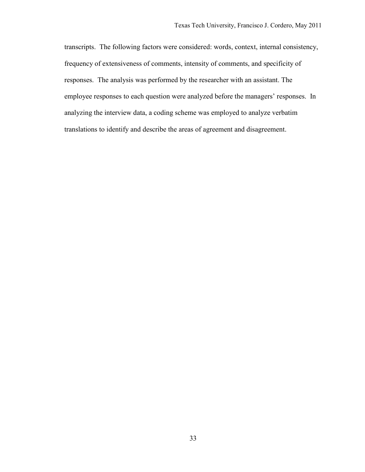transcripts. The following factors were considered: words, context, internal consistency, frequency of extensiveness of comments, intensity of comments, and specificity of responses. The analysis was performed by the researcher with an assistant. The employee responses to each question were analyzed before the managers' responses. In analyzing the interview data, a coding scheme was employed to analyze verbatim translations to identify and describe the areas of agreement and disagreement.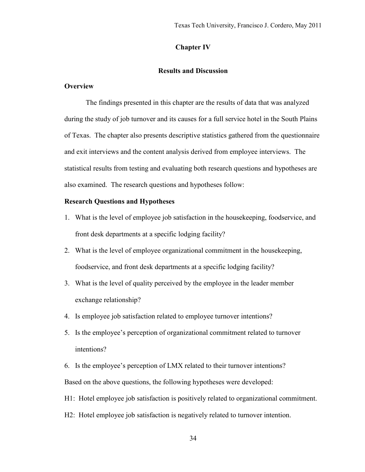# **Chapter IV**

#### **Results and Discussion**

## **Overview**

The findings presented in this chapter are the results of data that was analyzed during the study of job turnover and its causes for a full service hotel in the South Plains of Texas. The chapter also presents descriptive statistics gathered from the questionnaire and exit interviews and the content analysis derived from employee interviews. The statistical results from testing and evaluating both research questions and hypotheses are also examined. The research questions and hypotheses follow:

### **Research Questions and Hypotheses**

- 1. What is the level of employee job satisfaction in the housekeeping, foodservice, and front desk departments at a specific lodging facility?
- 2. What is the level of employee organizational commitment in the housekeeping, foodservice, and front desk departments at a specific lodging facility?
- 3. What is the level of quality perceived by the employee in the leader member exchange relationship?
- 4. Is employee job satisfaction related to employee turnover intentions?
- 5. Is the employee's perception of organizational commitment related to turnover intentions?
- 6. Is the employee's perception of LMX related to their turnover intentions? Based on the above questions, the following hypotheses were developed:
- H1: Hotel employee job satisfaction is positively related to organizational commitment.
- H2: Hotel employee job satisfaction is negatively related to turnover intention.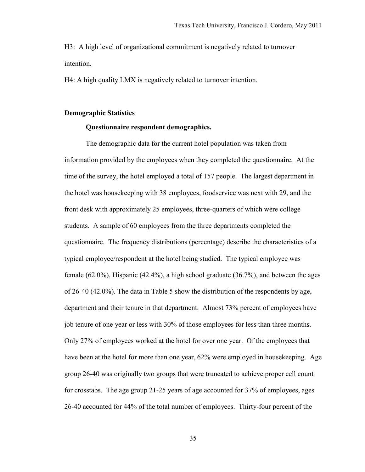H3: A high level of organizational commitment is negatively related to turnover intention.

H4: A high quality LMX is negatively related to turnover intention.

#### **Demographic Statistics**

### **Questionnaire respondent demographics.**

The demographic data for the current hotel population was taken from information provided by the employees when they completed the questionnaire. At the time of the survey, the hotel employed a total of 157 people. The largest department in the hotel was housekeeping with 38 employees, foodservice was next with 29, and the front desk with approximately 25 employees, three-quarters of which were college students. A sample of 60 employees from the three departments completed the questionnaire. The frequency distributions (percentage) describe the characteristics of a typical employee/respondent at the hotel being studied. The typical employee was female (62.0%), Hispanic (42.4%), a high school graduate (36.7%), and between the ages of 26-40 (42.0%). The data in Table 5 show the distribution of the respondents by age, department and their tenure in that department. Almost 73% percent of employees have job tenure of one year or less with 30% of those employees for less than three months. Only 27% of employees worked at the hotel for over one year. Of the employees that have been at the hotel for more than one year, 62% were employed in housekeeping. Age group 26-40 was originally two groups that were truncated to achieve proper cell count for crosstabs. The age group 21-25 years of age accounted for 37% of employees, ages 26-40 accounted for 44% of the total number of employees. Thirty-four percent of the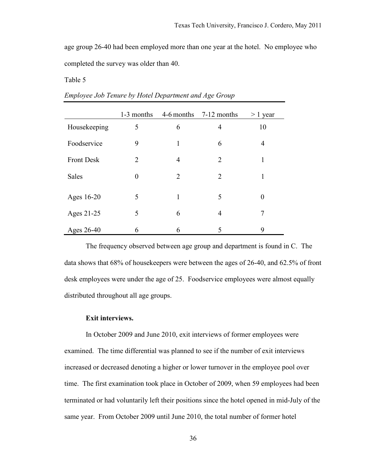age group 26-40 had been employed more than one year at the hotel. No employee who completed the survey was older than 40.

Table 5

|                   | 1-3 months     |                | 4-6 months 7-12 months | $> 1$ year |
|-------------------|----------------|----------------|------------------------|------------|
| Housekeeping      | 5              | 6              | $\overline{4}$         | 10         |
| Foodservice       | 9              | 1              | 6                      | 4          |
| <b>Front Desk</b> | 2              | $\overline{4}$ | $\overline{2}$         | 1          |
| <b>Sales</b>      | $\overline{0}$ | $\overline{2}$ | $\overline{2}$         |            |
| Ages 16-20        | 5              | 1              | 5                      | $\theta$   |
| Ages 21-25        | 5              | 6              | $\overline{4}$         | 7          |
| Ages 26-40        | 6              | 6              | 5                      | 9          |

*Employee Job Tenure by Hotel Department and Age Group* 

The frequency observed between age group and department is found in C. The data shows that 68% of housekeepers were between the ages of 26-40, and 62.5% of front desk employees were under the age of 25. Foodservice employees were almost equally distributed throughout all age groups.

# **Exit interviews.**

 In October 2009 and June 2010, exit interviews of former employees were examined. The time differential was planned to see if the number of exit interviews increased or decreased denoting a higher or lower turnover in the employee pool over time. The first examination took place in October of 2009, when 59 employees had been terminated or had voluntarily left their positions since the hotel opened in mid-July of the same year. From October 2009 until June 2010, the total number of former hotel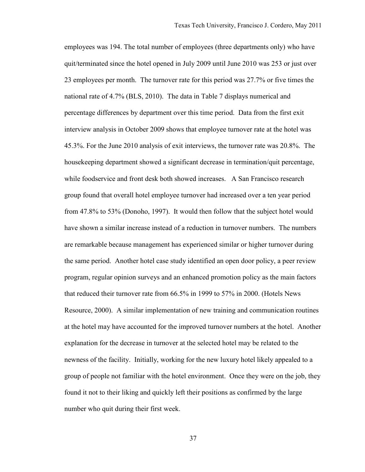employees was 194. The total number of employees (three departments only) who have quit/terminated since the hotel opened in July 2009 until June 2010 was 253 or just over 23 employees per month. The turnover rate for this period was 27.7% or five times the national rate of 4.7% (BLS, 2010). The data in Table 7 displays numerical and percentage differences by department over this time period. Data from the first exit interview analysis in October 2009 shows that employee turnover rate at the hotel was 45.3%. For the June 2010 analysis of exit interviews, the turnover rate was 20.8%. The housekeeping department showed a significant decrease in termination/quit percentage, while foodservice and front desk both showed increases. A San Francisco research group found that overall hotel employee turnover had increased over a ten year period from 47.8% to 53% (Donoho, 1997). It would then follow that the subject hotel would have shown a similar increase instead of a reduction in turnover numbers. The numbers are remarkable because management has experienced similar or higher turnover during the same period. Another hotel case study identified an open door policy, a peer review program, regular opinion surveys and an enhanced promotion policy as the main factors that reduced their turnover rate from 66.5% in 1999 to 57% in 2000. (Hotels News Resource, 2000). A similar implementation of new training and communication routines at the hotel may have accounted for the improved turnover numbers at the hotel. Another explanation for the decrease in turnover at the selected hotel may be related to the newness of the facility. Initially, working for the new luxury hotel likely appealed to a group of people not familiar with the hotel environment. Once they were on the job, they found it not to their liking and quickly left their positions as confirmed by the large number who quit during their first week.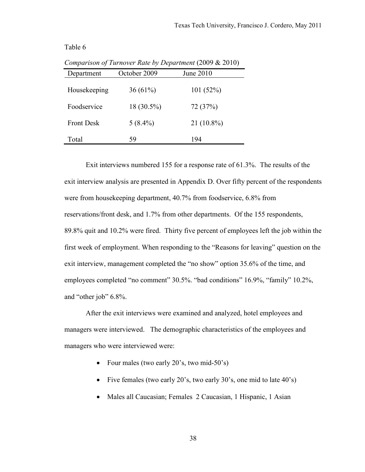| Department        | October 2009 | June 2010    |  |
|-------------------|--------------|--------------|--|
| Housekeeping      | $36(61\%)$   | 101(52%)     |  |
| Foodservice       | 18 (30.5%)   | 72 (37%)     |  |
| <b>Front Desk</b> | $5(8.4\%)$   | $21(10.8\%)$ |  |
| Total             | 59           | 194          |  |

*Comparison of Turnover Rate by Department* (2009 & 2010)

Exit interviews numbered 155 for a response rate of 61.3%. The results of the exit interview analysis are presented in Appendix D. Over fifty percent of the respondents were from housekeeping department, 40.7% from foodservice, 6.8% from reservations/front desk, and 1.7% from other departments. Of the 155 respondents, 89.8% quit and 10.2% were fired. Thirty five percent of employees left the job within the first week of employment. When responding to the "Reasons for leaving" question on the exit interview, management completed the "no show" option 35.6% of the time, and employees completed "no comment" 30.5%. "bad conditions" 16.9%, "family" 10.2%, and "other job" 6.8%.

After the exit interviews were examined and analyzed, hotel employees and managers were interviewed. The demographic characteristics of the employees and managers who were interviewed were:

- Four males (two early 20's, two mid-50's)
- Five females (two early 20's, two early 30's, one mid to late 40's)
- Males all Caucasian; Females 2 Caucasian, 1 Hispanic, 1 Asian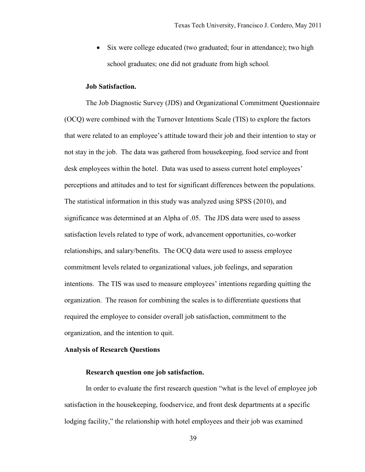Six were college educated (two graduated; four in attendance); two high school graduates; one did not graduate from high school*.* 

#### **Job Satisfaction.**

 The Job Diagnostic Survey (JDS) and Organizational Commitment Questionnaire (OCQ) were combined with the Turnover Intentions Scale (TIS) to explore the factors that were related to an employee's attitude toward their job and their intention to stay or not stay in the job. The data was gathered from housekeeping, food service and front desk employees within the hotel. Data was used to assess current hotel employees' perceptions and attitudes and to test for significant differences between the populations. The statistical information in this study was analyzed using SPSS (2010), and significance was determined at an Alpha of .05. The JDS data were used to assess satisfaction levels related to type of work, advancement opportunities, co-worker relationships, and salary/benefits. The OCQ data were used to assess employee commitment levels related to organizational values, job feelings, and separation intentions. The TIS was used to measure employees' intentions regarding quitting the organization. The reason for combining the scales is to differentiate questions that required the employee to consider overall job satisfaction, commitment to the organization, and the intention to quit.

#### **Analysis of Research Questions**

# **Research question one job satisfaction.**

In order to evaluate the first research question "what is the level of employee job satisfaction in the housekeeping, foodservice, and front desk departments at a specific lodging facility," the relationship with hotel employees and their job was examined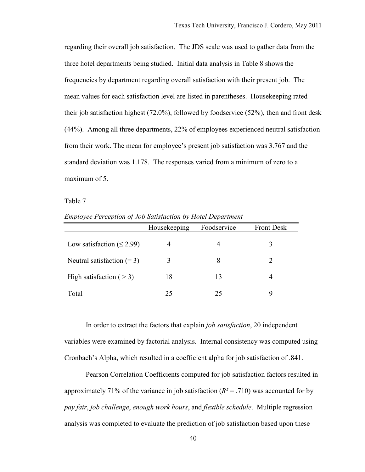regarding their overall job satisfaction. The JDS scale was used to gather data from the three hotel departments being studied. Initial data analysis in Table 8 shows the frequencies by department regarding overall satisfaction with their present job. The mean values for each satisfaction level are listed in parentheses. Housekeeping rated their job satisfaction highest (72.0%), followed by foodservice (52%), then and front desk (44%). Among all three departments, 22% of employees experienced neutral satisfaction from their work. The mean for employee's present job satisfaction was 3.767 and the standard deviation was 1.178. The responses varied from a minimum of zero to a maximum of 5.

Table 7

*Employee Perception of Job Satisfaction by Hotel Department* 

|                                 | Housekeeping | Foodservice | <b>Front Desk</b> |
|---------------------------------|--------------|-------------|-------------------|
| Low satisfaction ( $\leq$ 2.99) |              |             | 3                 |
| Neutral satisfaction $(= 3)$    | 3            | 8           | 2                 |
| High satisfaction $($ > 3)      | 18           | 13          |                   |
| Total                           | 25           | 25          | 9                 |

In order to extract the factors that explain *job satisfaction*, 20 independent variables were examined by factorial analysis. Internal consistency was computed using Cronbach's Alpha, which resulted in a coefficient alpha for job satisfaction of .841.

Pearson Correlation Coefficients computed for job satisfaction factors resulted in approximately 71% of the variance in job satisfaction  $(R^2 = .710)$  was accounted for by *pay fair*, *job challenge*, *enough work hours*, and *flexible schedule*. Multiple regression analysis was completed to evaluate the prediction of job satisfaction based upon these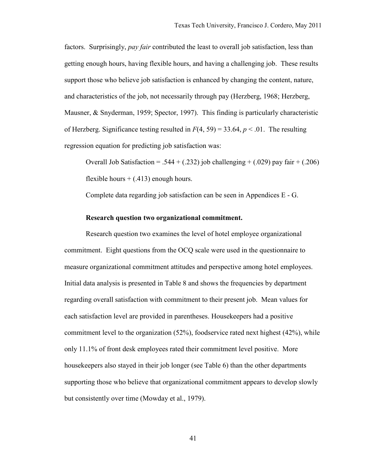factors. Surprisingly, *pay fair* contributed the least to overall job satisfaction, less than getting enough hours, having flexible hours, and having a challenging job. These results support those who believe job satisfaction is enhanced by changing the content, nature, and characteristics of the job, not necessarily through pay (Herzberg, 1968; Herzberg, Mausner, & Snyderman, 1959; Spector, 1997). This finding is particularly characteristic of Herzberg. Significance testing resulted in  $F(4, 59) = 33.64$ ,  $p < .01$ . The resulting regression equation for predicting job satisfaction was:

Overall Job Satisfaction = .544 + (.232) job challenging + (.029) pay fair + (.206) flexible hours  $+$  (.413) enough hours.

Complete data regarding job satisfaction can be seen in Appendices E - G.

#### **Research question two organizational commitment.**

Research question two examines the level of hotel employee organizational commitment. Eight questions from the OCQ scale were used in the questionnaire to measure organizational commitment attitudes and perspective among hotel employees. Initial data analysis is presented in Table 8 and shows the frequencies by department regarding overall satisfaction with commitment to their present job. Mean values for each satisfaction level are provided in parentheses. Housekeepers had a positive commitment level to the organization (52%), foodservice rated next highest (42%), while only 11.1% of front desk employees rated their commitment level positive. More housekeepers also stayed in their job longer (see Table 6) than the other departments supporting those who believe that organizational commitment appears to develop slowly but consistently over time (Mowday et al., 1979).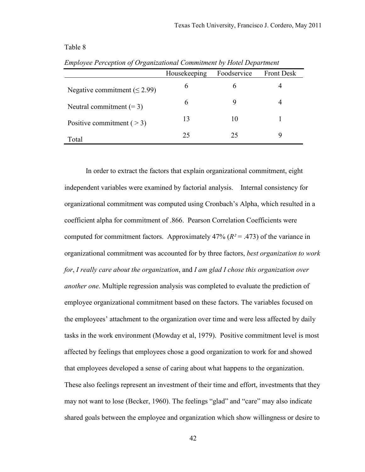|                                    | Housekeeping | Foodservice | <b>Front Desk</b> |
|------------------------------------|--------------|-------------|-------------------|
| Negative commitment ( $\leq$ 2.99) | 6            |             |                   |
| Neutral commitment $(= 3)$         | 6            |             |                   |
| Positive commitment $($ > 3)       | 13           | 10          |                   |
| Total                              | 25           | 25          |                   |

*Employee Perception of Organizational Commitment by Hotel Department* 

In order to extract the factors that explain organizational commitment, eight independent variables were examined by factorial analysis. Internal consistency for organizational commitment was computed using Cronbach's Alpha, which resulted in a coefficient alpha for commitment of .866. Pearson Correlation Coefficients were computed for commitment factors. Approximately  $47\%$  ( $R^2 = .473$ ) of the variance in organizational commitment was accounted for by three factors, *best organization to work for*, *I really care about the organization*, and *I am glad I chose this organization over another one*. Multiple regression analysis was completed to evaluate the prediction of employee organizational commitment based on these factors. The variables focused on the employees' attachment to the organization over time and were less affected by daily tasks in the work environment (Mowday et al, 1979). Positive commitment level is most affected by feelings that employees chose a good organization to work for and showed that employees developed a sense of caring about what happens to the organization. These also feelings represent an investment of their time and effort, investments that they may not want to lose (Becker, 1960). The feelings "glad" and "care" may also indicate shared goals between the employee and organization which show willingness or desire to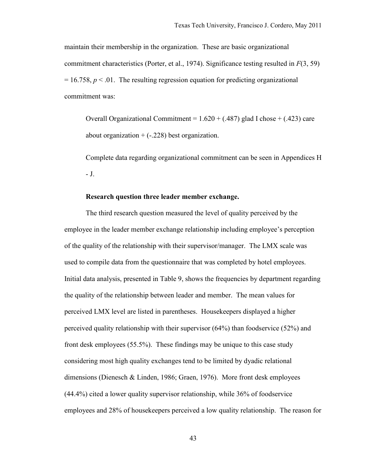maintain their membership in the organization. These are basic organizational commitment characteristics (Porter, et al., 1974). Significance testing resulted in *F*(3, 59)  $= 16.758$ ,  $p < 0.01$ . The resulting regression equation for predicting organizational commitment was:

Overall Organizational Commitment =  $1.620 + (.487)$  glad I chose  $+ (.423)$  care about organization  $+ (-228)$  best organization.

Complete data regarding organizational commitment can be seen in Appendices H - J.

### **Research question three leader member exchange.**

The third research question measured the level of quality perceived by the employee in the leader member exchange relationship including employee's perception of the quality of the relationship with their supervisor/manager. The LMX scale was used to compile data from the questionnaire that was completed by hotel employees. Initial data analysis, presented in Table 9, shows the frequencies by department regarding the quality of the relationship between leader and member. The mean values for perceived LMX level are listed in parentheses. Housekeepers displayed a higher perceived quality relationship with their supervisor (64%) than foodservice (52%) and front desk employees (55.5%). These findings may be unique to this case study considering most high quality exchanges tend to be limited by dyadic relational dimensions (Dienesch & Linden, 1986; Graen, 1976). More front desk employees (44.4%) cited a lower quality supervisor relationship, while 36% of foodservice employees and 28% of housekeepers perceived a low quality relationship. The reason for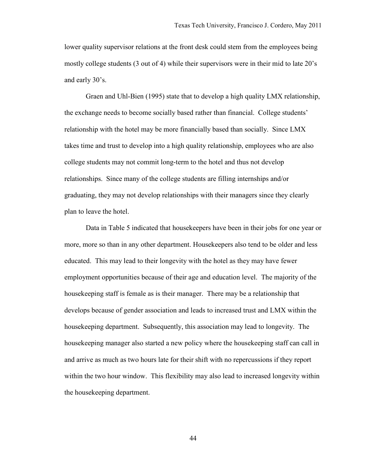lower quality supervisor relations at the front desk could stem from the employees being mostly college students (3 out of 4) while their supervisors were in their mid to late 20's and early 30's.

Graen and Uhl-Bien (1995) state that to develop a high quality LMX relationship, the exchange needs to become socially based rather than financial. College students' relationship with the hotel may be more financially based than socially. Since LMX takes time and trust to develop into a high quality relationship, employees who are also college students may not commit long-term to the hotel and thus not develop relationships. Since many of the college students are filling internships and/or graduating, they may not develop relationships with their managers since they clearly plan to leave the hotel.

Data in Table 5 indicated that housekeepers have been in their jobs for one year or more, more so than in any other department. Housekeepers also tend to be older and less educated. This may lead to their longevity with the hotel as they may have fewer employment opportunities because of their age and education level. The majority of the housekeeping staff is female as is their manager. There may be a relationship that develops because of gender association and leads to increased trust and LMX within the housekeeping department. Subsequently, this association may lead to longevity. The housekeeping manager also started a new policy where the housekeeping staff can call in and arrive as much as two hours late for their shift with no repercussions if they report within the two hour window. This flexibility may also lead to increased longevity within the housekeeping department.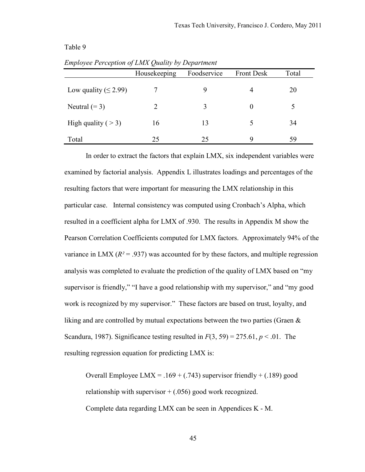|                            | Housekeeping | Foodservice | <b>Front Desk</b> | Total |
|----------------------------|--------------|-------------|-------------------|-------|
| Low quality ( $\leq$ 2.99) |              | 9           | 4                 | 20    |
| Neutral $(= 3)$            |              | 3           | $\Omega$          | 5     |
| High quality ( $>$ 3)      | 16           | 13          |                   | 34    |
| Total                      | 25           | 25          | Q                 | 59    |

*Employee Perception of LMX Quality by Department* 

In order to extract the factors that explain LMX, six independent variables were examined by factorial analysis. Appendix L illustrates loadings and percentages of the resulting factors that were important for measuring the LMX relationship in this particular case. Internal consistency was computed using Cronbach's Alpha, which resulted in a coefficient alpha for LMX of .930. The results in Appendix M show the Pearson Correlation Coefficients computed for LMX factors. Approximately 94% of the variance in LMX  $(R^2 = .937)$  was accounted for by these factors, and multiple regression analysis was completed to evaluate the prediction of the quality of LMX based on "my supervisor is friendly," "I have a good relationship with my supervisor," and "my good work is recognized by my supervisor." These factors are based on trust, loyalty, and liking and are controlled by mutual expectations between the two parties (Graen  $\&$ Scandura, 1987). Significance testing resulted in  $F(3, 59) = 275.61$ ,  $p < .01$ . The resulting regression equation for predicting LMX is:

Overall Employee LMX =  $.169 + (.743)$  supervisor friendly + (.189) good relationship with supervisor  $+$  (.056) good work recognized. Complete data regarding LMX can be seen in Appendices K - M.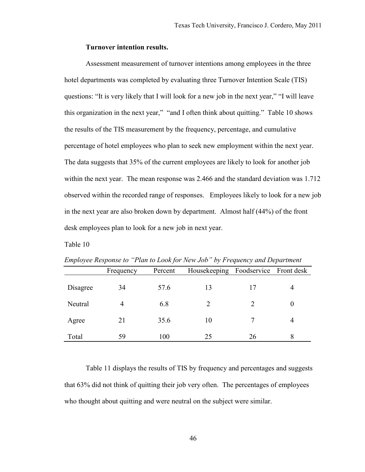### **Turnover intention results.**

 Assessment measurement of turnover intentions among employees in the three hotel departments was completed by evaluating three Turnover Intention Scale (TIS) questions: "It is very likely that I will look for a new job in the next year," "I will leave this organization in the next year," "and I often think about quitting." Table 10 shows the results of the TIS measurement by the frequency, percentage, and cumulative percentage of hotel employees who plan to seek new employment within the next year. The data suggests that 35% of the current employees are likely to look for another job within the next year. The mean response was 2.466 and the standard deviation was 1.712 observed within the recorded range of responses. Employees likely to look for a new job in the next year are also broken down by department. Almost half (44%) of the front desk employees plan to look for a new job in next year.

### Table 10

|          | Frequency | Percent | Housekeeping | Foodservice | Front desk |
|----------|-----------|---------|--------------|-------------|------------|
| Disagree | 34        | 57.6    | 13           |             |            |
| Neutral  | 4         | 6.8     |              |             |            |
| Agree    | 21        | 35.6    | 10           |             |            |
| Total    | 59        | 100     | 25           | 26          | 8          |

*Employee Response to "Plan to Look for New Job" by Frequency and Department* 

Table 11 displays the results of TIS by frequency and percentages and suggests that 63% did not think of quitting their job very often. The percentages of employees who thought about quitting and were neutral on the subject were similar.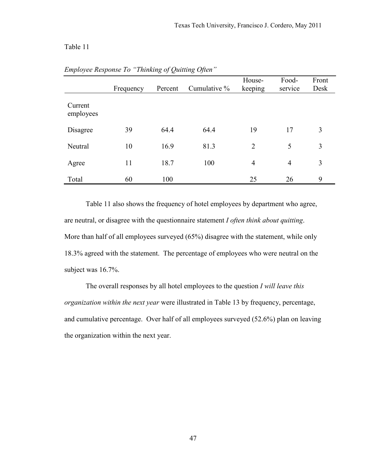|                      | Frequency | Percent | Cumulative % | House-<br>keeping | Food-<br>service | Front<br>Desk |
|----------------------|-----------|---------|--------------|-------------------|------------------|---------------|
| Current<br>employees |           |         |              |                   |                  |               |
| Disagree             | 39        | 64.4    | 64.4         | 19                | 17               | 3             |
| Neutral              | 10        | 16.9    | 81.3         | $\overline{2}$    | 5                | 3             |
| Agree                | 11        | 18.7    | 100          | $\overline{4}$    | $\overline{4}$   | 3             |
| Total                | 60        | 100     |              | 25                | 26               | 9             |

*Employee Response To "Thinking of Quitting Often"* 

Table 11 also shows the frequency of hotel employees by department who agree, are neutral, or disagree with the questionnaire statement *I often think about quitting*. More than half of all employees surveyed (65%) disagree with the statement, while only 18.3% agreed with the statement. The percentage of employees who were neutral on the subject was 16.7%.

The overall responses by all hotel employees to the question *I will leave this organization within the next year* were illustrated in Table 13 by frequency, percentage, and cumulative percentage. Over half of all employees surveyed (52.6%) plan on leaving the organization within the next year.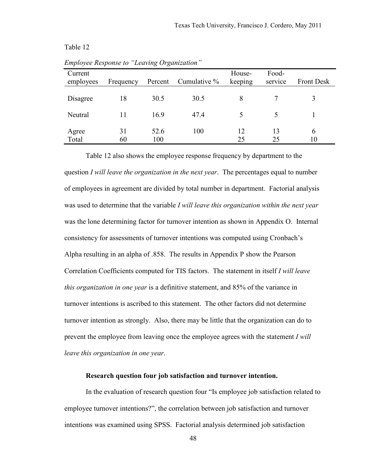| Current<br>employees | Frequency | Percent     | Cumulative % | House-<br>keeping | Food-<br>service | <b>Front Desk</b> |
|----------------------|-----------|-------------|--------------|-------------------|------------------|-------------------|
| Disagree             | 18        | 30.5        | 30.5         | 8                 |                  |                   |
| Neutral              | 11        | 16.9        | 47.4         | 5                 |                  |                   |
| Agree<br>Total       | 31<br>60  | 52.6<br>100 | 100          | 12<br>25          | 13<br>25         | 6<br>10           |

*Employee Response to "Leaving Organization"* 

Table 12 also shows the employee response frequency by department to the question *I will leave the organization in the next year*. The percentages equal to number of employees in agreement are divided by total number in department. Factorial analysis was used to determine that the variable *I will leave this organization within the next year* was the lone determining factor for turnover intention as shown in Appendix O. Internal consistency for assessments of turnover intentions was computed using Cronbach's Alpha resulting in an alpha of .858. The results in Appendix P show the Pearson Correlation Coefficients computed for TIS factors. The statement in itself *I will leave this organization in one year* is a definitive statement, and 85% of the variance in turnover intentions is ascribed to this statement. The other factors did not determine turnover intention as strongly. Also, there may be little that the organization can do to prevent the employee from leaving once the employee agrees with the statement *I will leave this organization in one year*.

### **Research question four job satisfaction and turnover intention.**

 In the evaluation of research question four "Is employee job satisfaction related to employee turnover intentions?", the correlation between job satisfaction and turnover intentions was examined using SPSS. Factorial analysis determined job satisfaction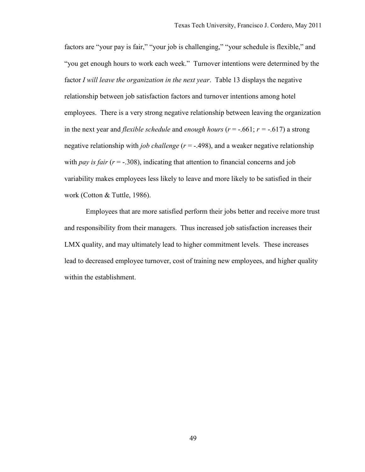factors are "your pay is fair," "your job is challenging," "your schedule is flexible," and "you get enough hours to work each week." Turnover intentions were determined by the factor *I will leave the organization in the next year*. Table 13 displays the negative relationship between job satisfaction factors and turnover intentions among hotel employees. There is a very strong negative relationship between leaving the organization in the next year and *flexible schedule* and *enough hours* ( $r = -.661$ ;  $r = -.617$ ) a strong negative relationship with *job challenge* (*r* = -.498), and a weaker negative relationship with *pay is fair*  $(r = .308)$ , indicating that attention to financial concerns and job variability makes employees less likely to leave and more likely to be satisfied in their work (Cotton & Tuttle, 1986).

Employees that are more satisfied perform their jobs better and receive more trust and responsibility from their managers. Thus increased job satisfaction increases their LMX quality, and may ultimately lead to higher commitment levels. These increases lead to decreased employee turnover, cost of training new employees, and higher quality within the establishment.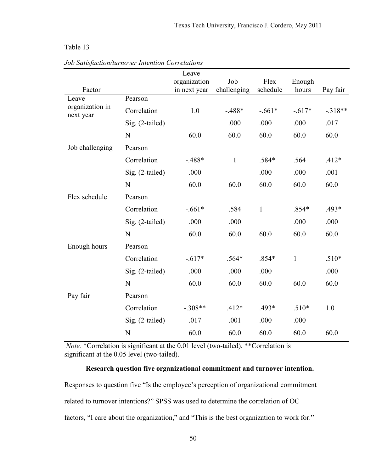|                                                                                                                                                                                                                                           |                 | Leave        |             |              |              |           |
|-------------------------------------------------------------------------------------------------------------------------------------------------------------------------------------------------------------------------------------------|-----------------|--------------|-------------|--------------|--------------|-----------|
|                                                                                                                                                                                                                                           |                 | organization | Job         | Flex         | Enough       |           |
| Factor                                                                                                                                                                                                                                    |                 | in next year | challenging | schedule     | hours        | Pay fair  |
| Leave<br>organization in                                                                                                                                                                                                                  | Pearson         |              |             |              |              |           |
| next year                                                                                                                                                                                                                                 | Correlation     | 1.0          | $-488*$     | $-.661*$     | $-.617*$     | $-.318**$ |
| .000<br>.000<br>Sig. (2-tailed)<br>60.0<br>60.0<br>60.0<br>N<br>Job challenging<br>Pearson<br>Correlation<br>$-488*$<br>$\mathbf{1}$<br>.584*<br>.000<br>.000<br>Sig. (2-tailed)<br>60.0<br>60.0<br>60.0<br>N<br>Flex schedule<br>Pearson | .000            | .017         |             |              |              |           |
|                                                                                                                                                                                                                                           |                 |              |             |              | 60.0         | 60.0      |
|                                                                                                                                                                                                                                           |                 |              |             |              |              |           |
|                                                                                                                                                                                                                                           |                 |              |             |              | .564         | $.412*$   |
|                                                                                                                                                                                                                                           |                 |              |             |              | .000         | .001      |
|                                                                                                                                                                                                                                           |                 |              |             |              | 60.0         | 60.0      |
|                                                                                                                                                                                                                                           |                 |              |             |              |              |           |
|                                                                                                                                                                                                                                           | Correlation     | $-.661*$     | .584        | $\mathbf{1}$ | $.854*$      | $.493*$   |
|                                                                                                                                                                                                                                           | Sig. (2-tailed) | .000         | .000        |              | .000         | .000      |
|                                                                                                                                                                                                                                           | N               | 60.0         | 60.0        | 60.0         | 60.0         | 60.0      |
| Enough hours                                                                                                                                                                                                                              | Pearson         |              |             |              |              |           |
|                                                                                                                                                                                                                                           | Correlation     | $-.617*$     | $.564*$     | $.854*$      | $\mathbf{1}$ | $.510*$   |
|                                                                                                                                                                                                                                           | Sig. (2-tailed) | .000         | .000        | .000         |              | .000      |
|                                                                                                                                                                                                                                           | $\mathbf N$     | 60.0         | 60.0        | 60.0         | 60.0         | 60.0      |
| Pay fair                                                                                                                                                                                                                                  | Pearson         |              |             |              |              |           |
|                                                                                                                                                                                                                                           | Correlation     | $-.308**$    | $.412*$     | .493*        | $.510*$      | 1.0       |
|                                                                                                                                                                                                                                           | Sig. (2-tailed) | .017         | .001        | .000         | .000         |           |
|                                                                                                                                                                                                                                           | N               | 60.0         | 60.0        | 60.0         | 60.0         | 60.0      |
|                                                                                                                                                                                                                                           |                 |              |             |              |              |           |

*Job Satisfaction/turnover Intention Correlations*

*Note.* \*Correlation is significant at the 0.01 level (two-tailed). \*\*Correlation is significant at the 0.05 level (two-tailed).

# **Research question five organizational commitment and turnover intention.**

Responses to question five "Is the employee's perception of organizational commitment related to turnover intentions?" SPSS was used to determine the correlation of OC factors, "I care about the organization," and "This is the best organization to work for."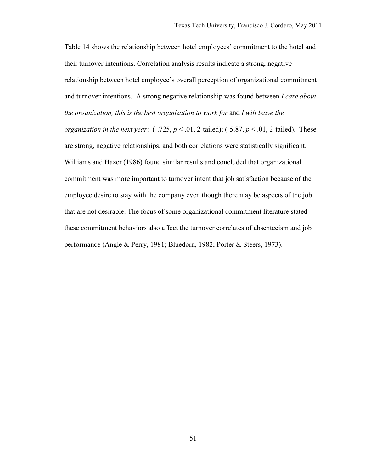Table 14 shows the relationship between hotel employees' commitment to the hotel and their turnover intentions. Correlation analysis results indicate a strong, negative relationship between hotel employee's overall perception of organizational commitment and turnover intentions. A strong negative relationship was found between *I care about the organization, this is the best organization to work for* and *I will leave the organization in the next year*:  $(-.725, p \le 0.01, 2$ -tailed);  $(-5.87, p \le 0.01, 2$ -tailed). These are strong, negative relationships, and both correlations were statistically significant. Williams and Hazer (1986) found similar results and concluded that organizational commitment was more important to turnover intent that job satisfaction because of the employee desire to stay with the company even though there may be aspects of the job that are not desirable. The focus of some organizational commitment literature stated these commitment behaviors also affect the turnover correlates of absenteeism and job performance (Angle & Perry, 1981; Bluedorn, 1982; Porter & Steers, 1973).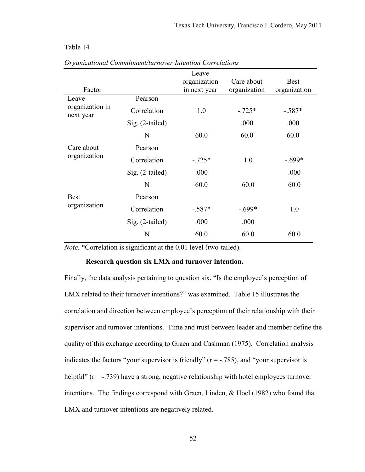|                              |                   | Leave        |              |              |
|------------------------------|-------------------|--------------|--------------|--------------|
|                              |                   | organization | Care about   | <b>Best</b>  |
| Factor                       |                   | in next year | organization | organization |
| Leave                        | Pearson           |              |              |              |
| organization in<br>next year | Correlation       | 1.0          | $-.725*$     | $-.587*$     |
|                              | Sig. (2-tailed)   |              | .000         | .000         |
|                              | N                 | 60.0         | 60.0         | 60.0         |
| Care about                   | Pearson           |              |              |              |
| organization                 | Correlation       | $-.725*$     | 1.0          | $-.699*$     |
|                              | Sig. (2-tailed)   | .000         |              | .000         |
|                              | N                 | 60.0         | 60.0         | 60.0         |
| <b>Best</b>                  | Pearson           |              |              |              |
| organization                 | Correlation       | $-.587*$     | $-.699*$     | 1.0          |
|                              | $Sig. (2-tailed)$ | .000         | .000         |              |
|                              | N                 | 60.0         | 60.0         | 60.0         |

*Organizational Commitment/turnover Intention Correlations* 

*Note.* \*Correlation is significant at the 0.01 level (two-tailed).

#### **Research question six LMX and turnover intention.**

Finally, the data analysis pertaining to question six, "Is the employee's perception of LMX related to their turnover intentions?" was examined. Table 15 illustrates the correlation and direction between employee's perception of their relationship with their supervisor and turnover intentions. Time and trust between leader and member define the quality of this exchange according to Graen and Cashman (1975). Correlation analysis indicates the factors "your supervisor is friendly"  $(r = -0.785)$ , and "your supervisor is helpful" ( $r = -0.739$ ) have a strong, negative relationship with hotel employees turnover intentions. The findings correspond with Graen, Linden, & Hoel (1982) who found that LMX and turnover intentions are negatively related.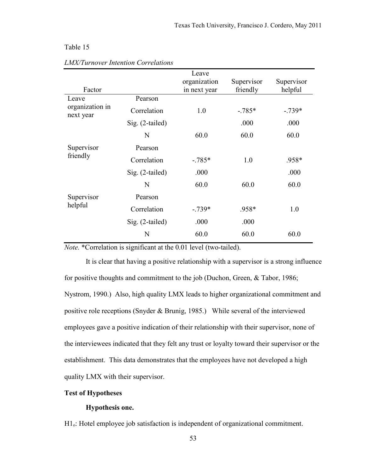| Factor                       |                   | Leave<br>organization<br>in next year | Supervisor<br>friendly | Supervisor<br>helpful |
|------------------------------|-------------------|---------------------------------------|------------------------|-----------------------|
| Leave                        | Pearson           |                                       |                        |                       |
| organization in<br>next year | Correlation       | 1.0                                   | $-.785*$               | $-739*$               |
|                              | $Sig.$ (2-tailed) |                                       | .000                   | .000                  |
|                              | N                 | 60.0                                  | 60.0                   | 60.0                  |
| Supervisor                   | Pearson           |                                       |                        |                       |
| friendly                     | Correlation       | $-.785*$                              | 1.0                    | .958*                 |
|                              | Sig. (2-tailed)   | .000                                  |                        | .000                  |
|                              | N                 | 60.0                                  | 60.0                   | 60.0                  |
| Supervisor                   | Pearson           |                                       |                        |                       |
| helpful                      | Correlation       | $-739*$                               | .958*                  | 1.0                   |
|                              | $Sig.$ (2-tailed) | .000                                  | .000                   |                       |
|                              | N                 | 60.0                                  | 60.0                   | 60.0                  |

#### *LMX/Turnover Intention Correlations*

*Note.* \*Correlation is significant at the 0.01 level (two-tailed).

It is clear that having a positive relationship with a supervisor is a strong influence for positive thoughts and commitment to the job (Duchon, Green, & Tabor, 1986; Nystrom, 1990.) Also, high quality LMX leads to higher organizational commitment and positive role receptions (Snyder & Brunig, 1985.) While several of the interviewed employees gave a positive indication of their relationship with their supervisor, none of the interviewees indicated that they felt any trust or loyalty toward their supervisor or the establishment. This data demonstrates that the employees have not developed a high quality LMX with their supervisor.

# **Test of Hypotheses**

# **Hypothesis one.**

H1. Hotel employee job satisfaction is independent of organizational commitment.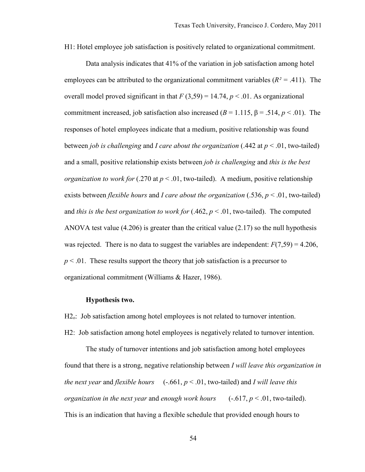H1: Hotel employee job satisfaction is positively related to organizational commitment.

Data analysis indicates that 41% of the variation in job satisfaction among hotel employees can be attributed to the organizational commitment variables (*R² =* .411). The overall model proved significant in that  $F(3,59) = 14.74$ ,  $p < .01$ . As organizational commitment increased, job satisfaction also increased ( $B = 1.115$ ,  $\beta = .514$ ,  $p < .01$ ). The responses of hotel employees indicate that a medium, positive relationship was found between *job is challenging* and *I care about the organization* (.442 at *p* < .01, two-tailed) and a small, positive relationship exists between *job is challenging* and *this is the best organization to work for* (.270 at  $p < .01$ , two-tailed). A medium, positive relationship exists between *flexible hours* and *I care about the organization* (.536, *p* < .01, two-tailed) and *this is the best organization to work for*  $(.462, p < .01,$  two-tailed). The computed ANOVA test value  $(4.206)$  is greater than the critical value  $(2.17)$  so the null hypothesis was rejected. There is no data to suggest the variables are independent:  $F(7,59) = 4.206$ , *p* < .01. These results support the theory that job satisfaction is a precursor to organizational commitment (Williams & Hazer, 1986).

#### **Hypothesis two.**

H<sub>2</sub>.: Job satisfaction among hotel employees is not related to turnover intention. H2: Job satisfaction among hotel employees is negatively related to turnover intention.

The study of turnover intentions and job satisfaction among hotel employees found that there is a strong, negative relationship between *I will leave this organization in the next year* and *flexible hours*  $(-.661, p \le 0.01,$  two-tailed) and *I will leave this organization in the next year and enough work hours*  $(-.617, p < .01,$  two-tailed). This is an indication that having a flexible schedule that provided enough hours to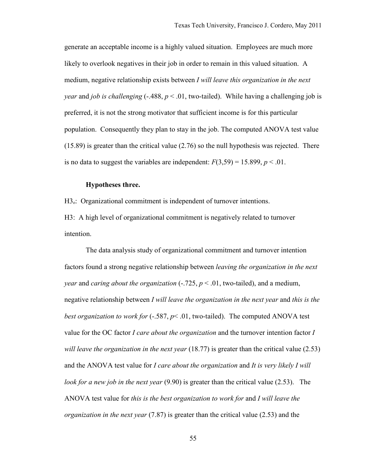generate an acceptable income is a highly valued situation. Employees are much more likely to overlook negatives in their job in order to remain in this valued situation. A medium, negative relationship exists between *I will leave this organization in the next year* and *job is challenging* (-.488,  $p < .01$ , two-tailed). While having a challenging job is preferred, it is not the strong motivator that sufficient income is for this particular population. Consequently they plan to stay in the job. The computed ANOVA test value (15.89) is greater than the critical value (2.76) so the null hypothesis was rejected. There is no data to suggest the variables are independent:  $F(3,59) = 15.899$ ,  $p < 0.01$ .

### **Hypotheses three.**

H<sub>3</sub>. Organizational commitment is independent of turnover intentions.

H3: A high level of organizational commitment is negatively related to turnover intention.

 The data analysis study of organizational commitment and turnover intention factors found a strong negative relationship between *leaving the organization in the next year* and *caring about the organization*  $(-.725, p < .01,$  two-tailed), and a medium, negative relationship between *I will leave the organization in the next year* and *this is the best organization to work for* (-.587,  $p$ < .01, two-tailed). The computed ANOVA test value for the OC factor *I care about the organization* and the turnover intention factor *I will leave the organization in the next year* (18.77) is greater than the critical value (2.53) and the ANOVA test value for *I care about the organization* and *It is very likely I will look for a new job in the next year* (9.90) is greater than the critical value (2.53). The ANOVA test value for *this is the best organization to work for* and *I will leave the organization in the next year* (7.87) is greater than the critical value (2.53) and the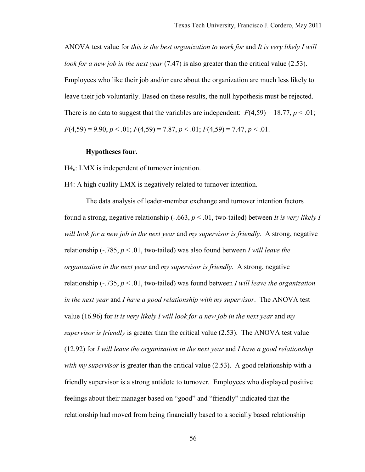ANOVA test value for *this is the best organization to work for* and *It is very likely I will look for a new job in the next year* (7.47) is also greater than the critical value (2.53). Employees who like their job and/or care about the organization are much less likely to leave their job voluntarily. Based on these results, the null hypothesis must be rejected. There is no data to suggest that the variables are independent:  $F(4,59) = 18.77$ ,  $p < .01$ ; *F*(4,59) = 9.90, *p* < .01; *F*(4,59) = 7.87, *p* < .01; *F*(4,59) = 7.47, *p* < .01.

### **Hypotheses four.**

H<sub>4</sub>. LMX is independent of turnover intention.

H4: A high quality LMX is negatively related to turnover intention.

 The data analysis of leader-member exchange and turnover intention factors found a strong, negative relationship (-.663, *p* < .01, two-tailed) between *It is very likely I will look for a new job in the next year* and *my supervisor is friendly.* A strong, negative relationship  $(-.785, p < .01,$  two-tailed) was also found between *I will leave the organization in the next year* and *my supervisor is friendly*. A strong, negative relationship (-.735, *p* < .01, two-tailed) was found between *I will leave the organization in the next year* and *I have a good relationship with my supervisor*. The ANOVA test value (16.96) for *it is very likely I will look for a new job in the next year* and *my supervisor is friendly* is greater than the critical value (2.53). The ANOVA test value (12.92) for *I will leave the organization in the next year* and *I have a good relationship with my supervisor* is greater than the critical value (2.53). A good relationship with a friendly supervisor is a strong antidote to turnover. Employees who displayed positive feelings about their manager based on "good" and "friendly" indicated that the relationship had moved from being financially based to a socially based relationship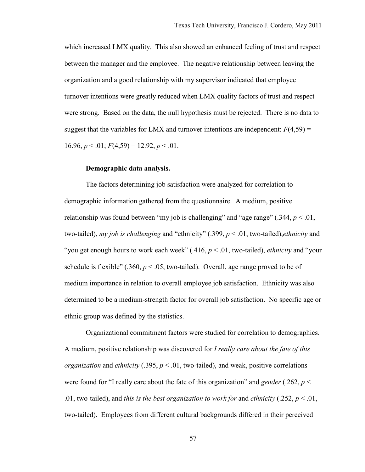which increased LMX quality. This also showed an enhanced feeling of trust and respect between the manager and the employee. The negative relationship between leaving the organization and a good relationship with my supervisor indicated that employee turnover intentions were greatly reduced when LMX quality factors of trust and respect were strong. Based on the data, the null hypothesis must be rejected. There is no data to suggest that the variables for LMX and turnover intentions are independent:  $F(4,59) =$ 16.96,  $p < .01$ ;  $F(4.59) = 12.92$ ,  $p < .01$ .

# **Demographic data analysis.**

 The factors determining job satisfaction were analyzed for correlation to demographic information gathered from the questionnaire. A medium, positive relationship was found between "my job is challenging" and "age range"  $(.344, p < .01,$ two-tailed), *my job is challenging* and "ethnicity" (.399, *p* < .01, two-tailed),*ethnicity* and "you get enough hours to work each week" (.416, *p* < .01, two-tailed), *ethnicity* and "your schedule is flexible" (.360,  $p < .05$ , two-tailed). Overall, age range proved to be of medium importance in relation to overall employee job satisfaction. Ethnicity was also determined to be a medium-strength factor for overall job satisfaction. No specific age or ethnic group was defined by the statistics.

Organizational commitment factors were studied for correlation to demographics. A medium, positive relationship was discovered for *I really care about the fate of this organization* and *ethnicity* (.395,  $p < .01$ , two-tailed), and weak, positive correlations were found for "I really care about the fate of this organization" and *gender* (.262, *p* < .01, two-tailed), and *this is the best organization to work for* and *ethnicity* (.252,  $p < 0.01$ , two-tailed). Employees from different cultural backgrounds differed in their perceived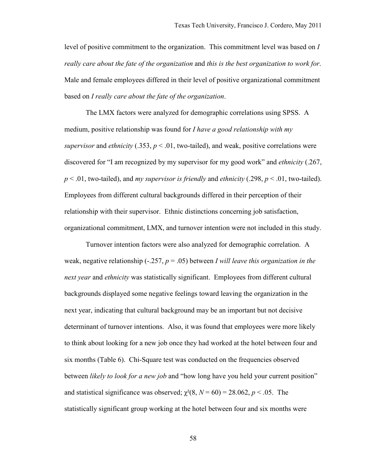level of positive commitment to the organization. This commitment level was based on *I really care about the fate of the organization* and *this is the best organization to work for*. Male and female employees differed in their level of positive organizational commitment based on *I really care about the fate of the organization*.

 The LMX factors were analyzed for demographic correlations using SPSS. A medium, positive relationship was found for *I have a good relationship with my supervisor* and *ethnicity* (.353,  $p < .01$ , two-tailed), and weak, positive correlations were discovered for "I am recognized by my supervisor for my good work" and *ethnicity* (.267, *p* < .01, two-tailed), and *my supervisor is friendly* and *ethnicity* (.298, *p* < .01, two-tailed). Employees from different cultural backgrounds differed in their perception of their relationship with their supervisor. Ethnic distinctions concerning job satisfaction, organizational commitment, LMX, and turnover intention were not included in this study.

 Turnover intention factors were also analyzed for demographic correlation. A weak, negative relationship (-.257, *p* = .05) between *I will leave this organization in the next year* and *ethnicity* was statistically significant. Employees from different cultural backgrounds displayed some negative feelings toward leaving the organization in the next year, indicating that cultural background may be an important but not decisive determinant of turnover intentions. Also, it was found that employees were more likely to think about looking for a new job once they had worked at the hotel between four and six months (Table 6). Chi-Square test was conducted on the frequencies observed between *likely to look for a new job* and "how long have you held your current position" and statistical significance was observed;  $\chi^2(8, N = 60) = 28.062$ ,  $p < .05$ . The statistically significant group working at the hotel between four and six months were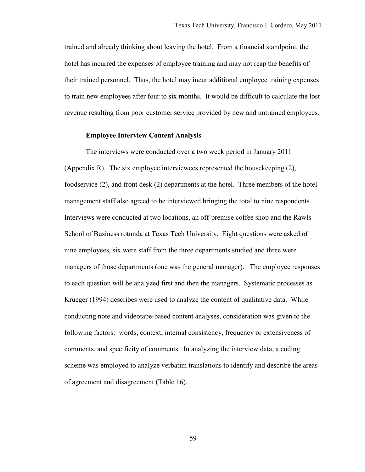trained and already thinking about leaving the hotel. From a financial standpoint, the hotel has incurred the expenses of employee training and may not reap the benefits of their trained personnel. Thus, the hotel may incur additional employee training expenses to train new employees after four to six months. It would be difficult to calculate the lost revenue resulting from poor customer service provided by new and untrained employees.

# **Employee Interview Content Analysis**

 The interviews were conducted over a two week period in January 2011 (Appendix R). The six employee interviewees represented the housekeeping (2), foodservice (2), and front desk (2) departments at the hotel. Three members of the hotel management staff also agreed to be interviewed bringing the total to nine respondents. Interviews were conducted at two locations, an off-premise coffee shop and the Rawls School of Business rotunda at Texas Tech University. Eight questions were asked of nine employees, six were staff from the three departments studied and three were managers of those departments (one was the general manager). The employee responses to each question will be analyzed first and then the managers. Systematic processes as Krueger (1994) describes were used to analyze the content of qualitative data. While conducting note and videotape-based content analyses, consideration was given to the following factors: words, context, internal consistency, frequency or extensiveness of comments, and specificity of comments. In analyzing the interview data, a coding scheme was employed to analyze verbatim translations to identify and describe the areas of agreement and disagreement (Table 16).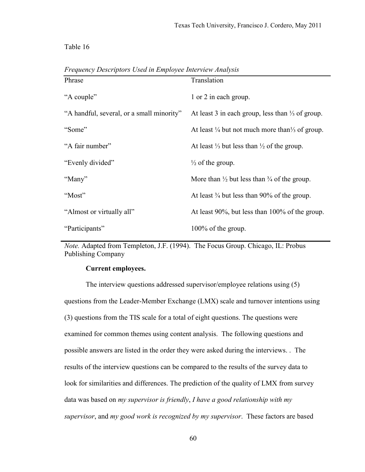| Phrase                                    | Translation                                                           |
|-------------------------------------------|-----------------------------------------------------------------------|
| "A couple"                                | 1 or 2 in each group.                                                 |
| "A handful, several, or a small minority" | At least 3 in each group, less than $\frac{1}{3}$ of group.           |
| "Some"                                    | At least $\frac{1}{4}$ but not much more than $\frac{1}{3}$ of group. |
| "A fair number"                           | At least $\frac{1}{3}$ but less than $\frac{1}{2}$ of the group.      |
| "Evenly divided"                          | $\frac{1}{2}$ of the group.                                           |
| "Many"                                    | More than $\frac{1}{2}$ but less than $\frac{3}{4}$ of the group.     |
| "Most"                                    | At least $\frac{3}{4}$ but less than 90% of the group.                |
| "Almost or virtually all"                 | At least 90%, but less than 100% of the group.                        |
| "Participants"                            | 100% of the group.                                                    |

*Frequency Descriptors Used in Employee Interview Analysis* 

*Note.* Adapted from Templeton, J.F. (1994). The Focus Group. Chicago, IL: Probus Publishing Company

# **Current employees.**

The interview questions addressed supervisor/employee relations using (5) questions from the Leader-Member Exchange (LMX) scale and turnover intentions using (3) questions from the TIS scale for a total of eight questions. The questions were examined for common themes using content analysis. The following questions and possible answers are listed in the order they were asked during the interviews. . The results of the interview questions can be compared to the results of the survey data to look for similarities and differences. The prediction of the quality of LMX from survey data was based on *my supervisor is friendly*, *I have a good relationship with my supervisor*, and *my good work is recognized by my supervisor*. These factors are based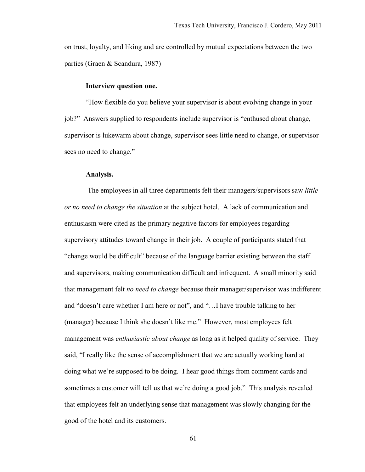on trust, loyalty, and liking and are controlled by mutual expectations between the two parties (Graen & Scandura, 1987)

#### **Interview question one.**

"How flexible do you believe your supervisor is about evolving change in your job?" Answers supplied to respondents include supervisor is "enthused about change, supervisor is lukewarm about change, supervisor sees little need to change, or supervisor sees no need to change."

#### **Analysis.**

 The employees in all three departments felt their managers/supervisors saw *little or no need to change the situation* at the subject hotel. A lack of communication and enthusiasm were cited as the primary negative factors for employees regarding supervisory attitudes toward change in their job. A couple of participants stated that "change would be difficult" because of the language barrier existing between the staff and supervisors, making communication difficult and infrequent. A small minority said that management felt *no need to change* because their manager/supervisor was indifferent and "doesn't care whether I am here or not", and "…I have trouble talking to her (manager) because I think she doesn't like me." However, most employees felt management was *enthusiastic about change* as long as it helped quality of service. They said, "I really like the sense of accomplishment that we are actually working hard at doing what we're supposed to be doing. I hear good things from comment cards and sometimes a customer will tell us that we're doing a good job." This analysis revealed that employees felt an underlying sense that management was slowly changing for the good of the hotel and its customers.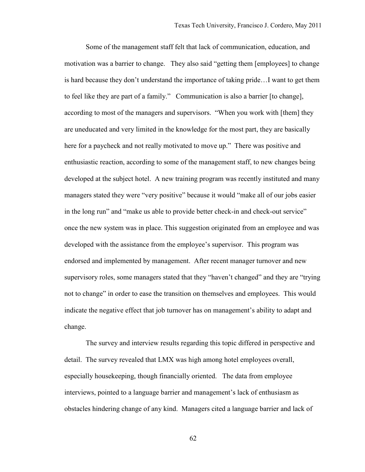Some of the management staff felt that lack of communication, education, and motivation was a barrier to change. They also said "getting them [employees] to change is hard because they don't understand the importance of taking pride…I want to get them to feel like they are part of a family." Communication is also a barrier [to change], according to most of the managers and supervisors. "When you work with [them] they are uneducated and very limited in the knowledge for the most part, they are basically here for a paycheck and not really motivated to move up." There was positive and enthusiastic reaction, according to some of the management staff, to new changes being developed at the subject hotel. A new training program was recently instituted and many managers stated they were "very positive" because it would "make all of our jobs easier in the long run" and "make us able to provide better check-in and check-out service" once the new system was in place. This suggestion originated from an employee and was developed with the assistance from the employee's supervisor. This program was endorsed and implemented by management. After recent manager turnover and new supervisory roles, some managers stated that they "haven't changed" and they are "trying not to change" in order to ease the transition on themselves and employees. This would indicate the negative effect that job turnover has on management's ability to adapt and change.

The survey and interview results regarding this topic differed in perspective and detail. The survey revealed that LMX was high among hotel employees overall, especially housekeeping, though financially oriented. The data from employee interviews, pointed to a language barrier and management's lack of enthusiasm as obstacles hindering change of any kind. Managers cited a language barrier and lack of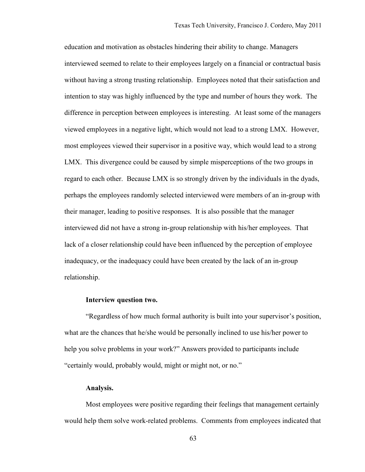education and motivation as obstacles hindering their ability to change. Managers interviewed seemed to relate to their employees largely on a financial or contractual basis without having a strong trusting relationship. Employees noted that their satisfaction and intention to stay was highly influenced by the type and number of hours they work. The difference in perception between employees is interesting. At least some of the managers viewed employees in a negative light, which would not lead to a strong LMX. However, most employees viewed their supervisor in a positive way, which would lead to a strong LMX. This divergence could be caused by simple misperceptions of the two groups in regard to each other. Because LMX is so strongly driven by the individuals in the dyads, perhaps the employees randomly selected interviewed were members of an in-group with their manager, leading to positive responses. It is also possible that the manager interviewed did not have a strong in-group relationship with his/her employees. That lack of a closer relationship could have been influenced by the perception of employee inadequacy, or the inadequacy could have been created by the lack of an in-group relationship.

## **Interview question two.**

"Regardless of how much formal authority is built into your supervisor's position, what are the chances that he/she would be personally inclined to use his/her power to help you solve problems in your work?" Answers provided to participants include "certainly would, probably would, might or might not, or no."

#### **Analysis.**

Most employees were positive regarding their feelings that management certainly would help them solve work-related problems. Comments from employees indicated that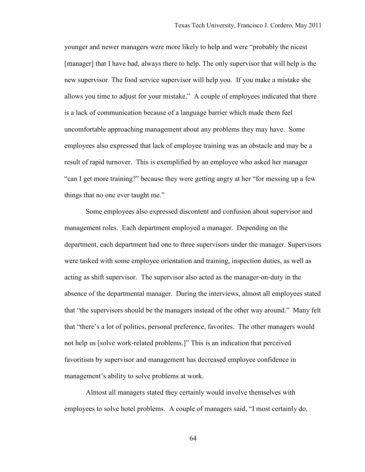younger and newer managers were more likely to help and were "probably the nicest [manager] that I have had, always there to help. The only supervisor that will help is the new supervisor. The food service supervisor will help you. If you make a mistake she allows you time to adjust for your mistake." A couple of employees indicated that there is a lack of communication because of a language barrier which made them feel uncomfortable approaching management about any problems they may have. Some employees also expressed that lack of employee training was an obstacle and may be a result of rapid turnover. This is exemplified by an employee who asked her manager "can I get more training?" because they were getting angry at her "for messing up a few things that no one ever taught me."

Some employees also expressed discontent and confusion about supervisor and management roles. Each department employed a manager. Depending on the department, each department had one to three supervisors under the manager. Supervisors were tasked with some employee orientation and training, inspection duties, as well as acting as shift supervisor. The supervisor also acted as the manager-on-duty in the absence of the departmental manager. During the interviews, almost all employees stated that "the supervisors should be the managers instead of the other way around." Many felt that "there's a lot of politics, personal preference, favorites. The other managers would not help us [solve work-related problems.]" This is an indication that perceived favoritism by supervisor and management has decreased employee confidence in management's ability to solve problems at work.

Almost all managers stated they certainly would involve themselves with employees to solve hotel problems. A couple of managers said, "I most certainly do,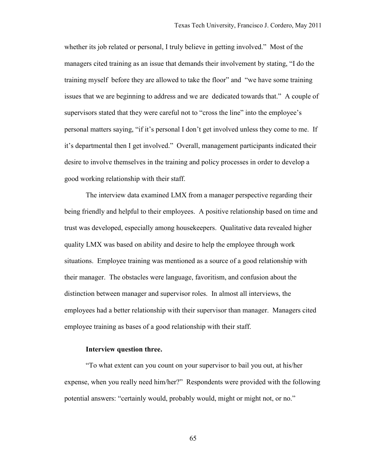whether its job related or personal, I truly believe in getting involved." Most of the managers cited training as an issue that demands their involvement by stating, "I do the training myself before they are allowed to take the floor" and "we have some training issues that we are beginning to address and we are dedicated towards that." A couple of supervisors stated that they were careful not to "cross the line" into the employee's personal matters saying, "if it's personal I don't get involved unless they come to me. If it's departmental then I get involved." Overall, management participants indicated their desire to involve themselves in the training and policy processes in order to develop a good working relationship with their staff.

The interview data examined LMX from a manager perspective regarding their being friendly and helpful to their employees. A positive relationship based on time and trust was developed, especially among housekeepers. Qualitative data revealed higher quality LMX was based on ability and desire to help the employee through work situations. Employee training was mentioned as a source of a good relationship with their manager. The obstacles were language, favoritism, and confusion about the distinction between manager and supervisor roles. In almost all interviews, the employees had a better relationship with their supervisor than manager. Managers cited employee training as bases of a good relationship with their staff.

## **Interview question three.**

"To what extent can you count on your supervisor to bail you out, at his/her expense, when you really need him/her?" Respondents were provided with the following potential answers: "certainly would, probably would, might or might not, or no."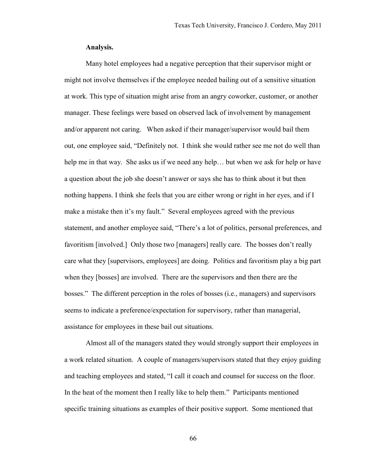## **Analysis.**

Many hotel employees had a negative perception that their supervisor might or might not involve themselves if the employee needed bailing out of a sensitive situation at work. This type of situation might arise from an angry coworker, customer, or another manager. These feelings were based on observed lack of involvement by management and/or apparent not caring. When asked if their manager/supervisor would bail them out, one employee said, "Definitely not. I think she would rather see me not do well than help me in that way. She asks us if we need any help… but when we ask for help or have a question about the job she doesn't answer or says she has to think about it but then nothing happens. I think she feels that you are either wrong or right in her eyes, and if I make a mistake then it's my fault." Several employees agreed with the previous statement, and another employee said, "There's a lot of politics, personal preferences, and favoritism [involved.] Only those two [managers] really care. The bosses don't really care what they [supervisors, employees] are doing. Politics and favoritism play a big part when they [bosses] are involved. There are the supervisors and then there are the bosses." The different perception in the roles of bosses (i.e., managers) and supervisors seems to indicate a preference/expectation for supervisory, rather than managerial, assistance for employees in these bail out situations.

Almost all of the managers stated they would strongly support their employees in a work related situation. A couple of managers/supervisors stated that they enjoy guiding and teaching employees and stated, "I call it coach and counsel for success on the floor. In the heat of the moment then I really like to help them." Participants mentioned specific training situations as examples of their positive support. Some mentioned that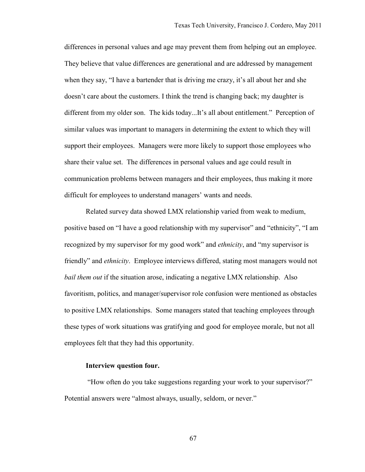differences in personal values and age may prevent them from helping out an employee. They believe that value differences are generational and are addressed by management when they say, "I have a bartender that is driving me crazy, it's all about her and she doesn't care about the customers. I think the trend is changing back; my daughter is different from my older son. The kids today...It's all about entitlement." Perception of similar values was important to managers in determining the extent to which they will support their employees. Managers were more likely to support those employees who share their value set. The differences in personal values and age could result in communication problems between managers and their employees, thus making it more difficult for employees to understand managers' wants and needs.

Related survey data showed LMX relationship varied from weak to medium, positive based on "I have a good relationship with my supervisor" and "ethnicity", "I am recognized by my supervisor for my good work" and *ethnicity*, and "my supervisor is friendly" and *ethnicity*. Employee interviews differed, stating most managers would not *bail them out* if the situation arose, indicating a negative LMX relationship. Also favoritism, politics, and manager/supervisor role confusion were mentioned as obstacles to positive LMX relationships. Some managers stated that teaching employees through these types of work situations was gratifying and good for employee morale, but not all employees felt that they had this opportunity.

## **Interview question four.**

 "How often do you take suggestions regarding your work to your supervisor?" Potential answers were "almost always, usually, seldom, or never."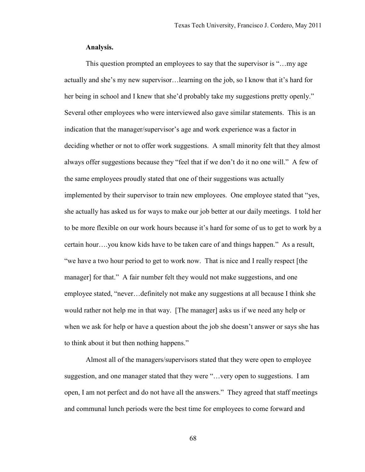## **Analysis.**

This question prompted an employees to say that the supervisor is "…my age actually and she's my new supervisor…learning on the job, so I know that it's hard for her being in school and I knew that she'd probably take my suggestions pretty openly." Several other employees who were interviewed also gave similar statements. This is an indication that the manager/supervisor's age and work experience was a factor in deciding whether or not to offer work suggestions. A small minority felt that they almost always offer suggestions because they "feel that if we don't do it no one will." A few of the same employees proudly stated that one of their suggestions was actually implemented by their supervisor to train new employees. One employee stated that "yes, she actually has asked us for ways to make our job better at our daily meetings. I told her to be more flexible on our work hours because it's hard for some of us to get to work by a certain hour….you know kids have to be taken care of and things happen." As a result, "we have a two hour period to get to work now. That is nice and I really respect [the manager] for that." A fair number felt they would not make suggestions, and one employee stated, "never…definitely not make any suggestions at all because I think she would rather not help me in that way. [The manager] asks us if we need any help or when we ask for help or have a question about the job she doesn't answer or says she has to think about it but then nothing happens."

Almost all of the managers/supervisors stated that they were open to employee suggestion, and one manager stated that they were "…very open to suggestions. I am open, I am not perfect and do not have all the answers." They agreed that staff meetings and communal lunch periods were the best time for employees to come forward and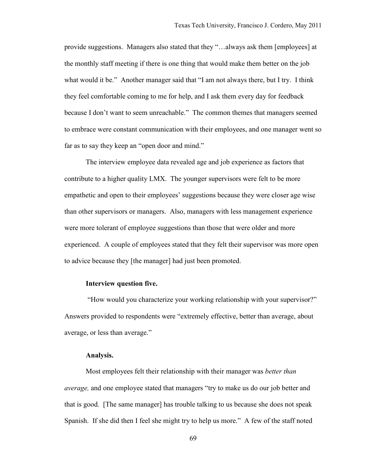provide suggestions. Managers also stated that they "…always ask them [employees] at the monthly staff meeting if there is one thing that would make them better on the job what would it be." Another manager said that "I am not always there, but I try. I think they feel comfortable coming to me for help, and I ask them every day for feedback because I don't want to seem unreachable." The common themes that managers seemed to embrace were constant communication with their employees, and one manager went so far as to say they keep an "open door and mind."

The interview employee data revealed age and job experience as factors that contribute to a higher quality LMX. The younger supervisors were felt to be more empathetic and open to their employees' suggestions because they were closer age wise than other supervisors or managers. Also, managers with less management experience were more tolerant of employee suggestions than those that were older and more experienced. A couple of employees stated that they felt their supervisor was more open to advice because they [the manager] had just been promoted.

## **Interview question five.**

 "How would you characterize your working relationship with your supervisor?" Answers provided to respondents were "extremely effective, better than average, about average, or less than average."

## **Analysis.**

Most employees felt their relationship with their manager was *better than average,* and one employee stated that managers "try to make us do our job better and that is good. [The same manager] has trouble talking to us because she does not speak Spanish. If she did then I feel she might try to help us more." A few of the staff noted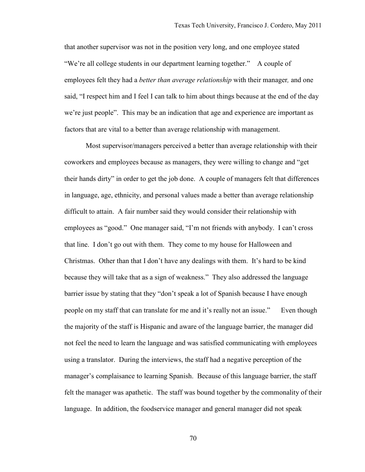that another supervisor was not in the position very long, and one employee stated "We're all college students in our department learning together." A couple of employees felt they had a *better than average relationship* with their manager*,* and one said, "I respect him and I feel I can talk to him about things because at the end of the day we're just people". This may be an indication that age and experience are important as factors that are vital to a better than average relationship with management.

Most supervisor/managers perceived a better than average relationship with their coworkers and employees because as managers, they were willing to change and "get their hands dirty" in order to get the job done. A couple of managers felt that differences in language, age, ethnicity, and personal values made a better than average relationship difficult to attain. A fair number said they would consider their relationship with employees as "good." One manager said, "I'm not friends with anybody. I can't cross that line. I don't go out with them. They come to my house for Halloween and Christmas. Other than that I don't have any dealings with them. It's hard to be kind because they will take that as a sign of weakness." They also addressed the language barrier issue by stating that they "don't speak a lot of Spanish because I have enough people on my staff that can translate for me and it's really not an issue." Even though the majority of the staff is Hispanic and aware of the language barrier, the manager did not feel the need to learn the language and was satisfied communicating with employees using a translator. During the interviews, the staff had a negative perception of the manager's complaisance to learning Spanish. Because of this language barrier, the staff felt the manager was apathetic. The staff was bound together by the commonality of their language. In addition, the foodservice manager and general manager did not speak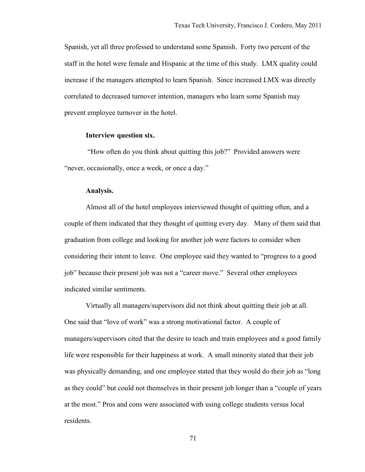Spanish, yet all three professed to understand some Spanish. Forty two percent of the staff in the hotel were female and Hispanic at the time of this study. LMX quality could increase if the managers attempted to learn Spanish. Since increased LMX was directly correlated to decreased turnover intention, managers who learn some Spanish may prevent employee turnover in the hotel.

#### **Interview question six.**

 "How often do you think about quitting this job?" Provided answers were "never, occasionally, once a week, or once a day."

#### **Analysis.**

Almost all of the hotel employees interviewed thought of quitting often, and a couple of them indicated that they thought of quitting every day. Many of them said that graduation from college and looking for another job were factors to consider when considering their intent to leave. One employee said they wanted to "progress to a good job" because their present job was not a "career move." Several other employees indicated similar sentiments.

Virtually all managers/supervisors did not think about quitting their job at all. One said that "love of work" was a strong motivational factor. A couple of managers/supervisors cited that the desire to teach and train employees and a good family life were responsible for their happiness at work. A small minority stated that their job was physically demanding, and one employee stated that they would do their job as "long as they could" but could not themselves in their present job longer than a "couple of years at the most." Pros and cons were associated with using college students versus local residents.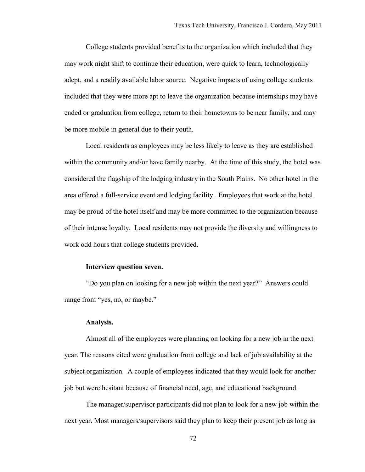College students provided benefits to the organization which included that they may work night shift to continue their education, were quick to learn, technologically adept, and a readily available labor source. Negative impacts of using college students included that they were more apt to leave the organization because internships may have ended or graduation from college, return to their hometowns to be near family, and may be more mobile in general due to their youth.

Local residents as employees may be less likely to leave as they are established within the community and/or have family nearby. At the time of this study, the hotel was considered the flagship of the lodging industry in the South Plains. No other hotel in the area offered a full-service event and lodging facility. Employees that work at the hotel may be proud of the hotel itself and may be more committed to the organization because of their intense loyalty. Local residents may not provide the diversity and willingness to work odd hours that college students provided.

## **Interview question seven.**

"Do you plan on looking for a new job within the next year?" Answers could range from "yes, no, or maybe."

#### **Analysis.**

Almost all of the employees were planning on looking for a new job in the next year. The reasons cited were graduation from college and lack of job availability at the subject organization. A couple of employees indicated that they would look for another job but were hesitant because of financial need, age, and educational background.

The manager/supervisor participants did not plan to look for a new job within the next year. Most managers/supervisors said they plan to keep their present job as long as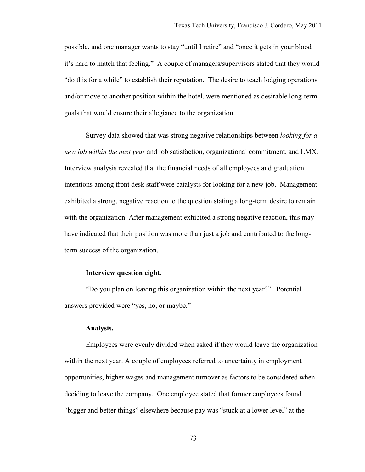possible, and one manager wants to stay "until I retire" and "once it gets in your blood it's hard to match that feeling." A couple of managers/supervisors stated that they would "do this for a while" to establish their reputation. The desire to teach lodging operations and/or move to another position within the hotel, were mentioned as desirable long-term goals that would ensure their allegiance to the organization.

Survey data showed that was strong negative relationships between *looking for a new job within the next year* and job satisfaction, organizational commitment, and LMX. Interview analysis revealed that the financial needs of all employees and graduation intentions among front desk staff were catalysts for looking for a new job. Management exhibited a strong, negative reaction to the question stating a long-term desire to remain with the organization. After management exhibited a strong negative reaction, this may have indicated that their position was more than just a job and contributed to the longterm success of the organization.

### **Interview question eight.**

"Do you plan on leaving this organization within the next year?" Potential answers provided were "yes, no, or maybe."

#### **Analysis.**

Employees were evenly divided when asked if they would leave the organization within the next year. A couple of employees referred to uncertainty in employment opportunities, higher wages and management turnover as factors to be considered when deciding to leave the company. One employee stated that former employees found "bigger and better things" elsewhere because pay was "stuck at a lower level" at the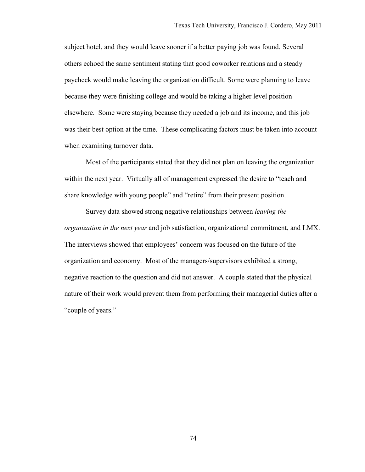subject hotel, and they would leave sooner if a better paying job was found. Several others echoed the same sentiment stating that good coworker relations and a steady paycheck would make leaving the organization difficult. Some were planning to leave because they were finishing college and would be taking a higher level position elsewhere. Some were staying because they needed a job and its income, and this job was their best option at the time. These complicating factors must be taken into account when examining turnover data.

Most of the participants stated that they did not plan on leaving the organization within the next year. Virtually all of management expressed the desire to "teach and share knowledge with young people" and "retire" from their present position.

Survey data showed strong negative relationships between *leaving the organization in the next year* and job satisfaction, organizational commitment, and LMX. The interviews showed that employees' concern was focused on the future of the organization and economy. Most of the managers/supervisors exhibited a strong, negative reaction to the question and did not answer. A couple stated that the physical nature of their work would prevent them from performing their managerial duties after a "couple of years."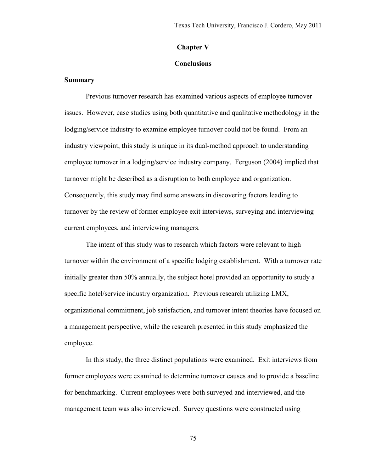# **Chapter V**

## **Conclusions**

## **Summary**

 Previous turnover research has examined various aspects of employee turnover issues. However, case studies using both quantitative and qualitative methodology in the lodging/service industry to examine employee turnover could not be found. From an industry viewpoint, this study is unique in its dual-method approach to understanding employee turnover in a lodging/service industry company. Ferguson (2004) implied that turnover might be described as a disruption to both employee and organization. Consequently, this study may find some answers in discovering factors leading to turnover by the review of former employee exit interviews, surveying and interviewing current employees, and interviewing managers.

 The intent of this study was to research which factors were relevant to high turnover within the environment of a specific lodging establishment. With a turnover rate initially greater than 50% annually, the subject hotel provided an opportunity to study a specific hotel/service industry organization. Previous research utilizing LMX, organizational commitment, job satisfaction, and turnover intent theories have focused on a management perspective, while the research presented in this study emphasized the employee.

 In this study, the three distinct populations were examined. Exit interviews from former employees were examined to determine turnover causes and to provide a baseline for benchmarking. Current employees were both surveyed and interviewed, and the management team was also interviewed. Survey questions were constructed using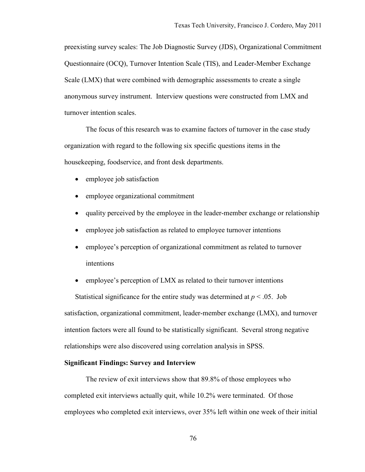preexisting survey scales: The Job Diagnostic Survey (JDS), Organizational Commitment Questionnaire (OCQ), Turnover Intention Scale (TIS), and Leader-Member Exchange Scale (LMX) that were combined with demographic assessments to create a single anonymous survey instrument. Interview questions were constructed from LMX and turnover intention scales.

 The focus of this research was to examine factors of turnover in the case study organization with regard to the following six specific questions items in the housekeeping, foodservice, and front desk departments.

- employee job satisfaction
- employee organizational commitment
- quality perceived by the employee in the leader-member exchange or relationship
- employee job satisfaction as related to employee turnover intentions
- employee's perception of organizational commitment as related to turnover intentions
- employee's perception of LMX as related to their turnover intentions

Statistical significance for the entire study was determined at  $p < .05$ . Job satisfaction, organizational commitment, leader-member exchange (LMX), and turnover intention factors were all found to be statistically significant. Several strong negative relationships were also discovered using correlation analysis in SPSS.

#### **Significant Findings: Survey and Interview**

 The review of exit interviews show that 89.8% of those employees who completed exit interviews actually quit, while 10.2% were terminated. Of those employees who completed exit interviews, over 35% left within one week of their initial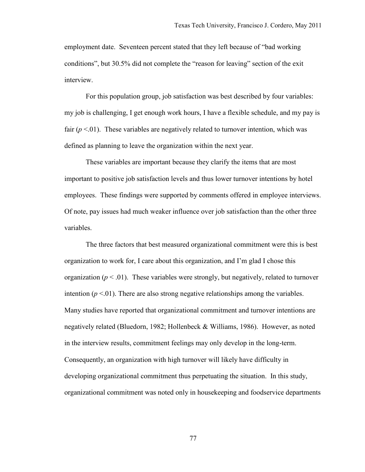employment date. Seventeen percent stated that they left because of "bad working conditions", but 30.5% did not complete the "reason for leaving" section of the exit interview.

 For this population group, job satisfaction was best described by four variables: my job is challenging, I get enough work hours, I have a flexible schedule, and my pay is fair  $(p < 01)$ . These variables are negatively related to turnover intention, which was defined as planning to leave the organization within the next year.

These variables are important because they clarify the items that are most important to positive job satisfaction levels and thus lower turnover intentions by hotel employees. These findings were supported by comments offered in employee interviews. Of note, pay issues had much weaker influence over job satisfaction than the other three variables.

The three factors that best measured organizational commitment were this is best organization to work for, I care about this organization, and I'm glad I chose this organization ( $p < 0.01$ ). These variables were strongly, but negatively, related to turnover intention  $(p < 01)$ . There are also strong negative relationships among the variables. Many studies have reported that organizational commitment and turnover intentions are negatively related (Bluedorn, 1982; Hollenbeck & Williams, 1986). However, as noted in the interview results, commitment feelings may only develop in the long-term. Consequently, an organization with high turnover will likely have difficulty in developing organizational commitment thus perpetuating the situation. In this study, organizational commitment was noted only in housekeeping and foodservice departments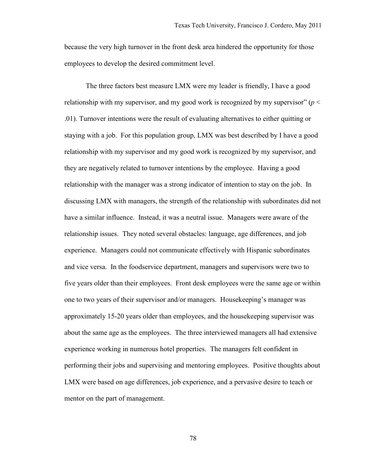because the very high turnover in the front desk area hindered the opportunity for those employees to develop the desired commitment level.

The three factors best measure LMX were my leader is friendly, I have a good relationship with my supervisor, and my good work is recognized by my supervisor" ( $p <$ .01). Turnover intentions were the result of evaluating alternatives to either quitting or staying with a job. For this population group, LMX was best described by I have a good relationship with my supervisor and my good work is recognized by my supervisor, and they are negatively related to turnover intentions by the employee. Having a good relationship with the manager was a strong indicator of intention to stay on the job. In discussing LMX with managers, the strength of the relationship with subordinates did not have a similar influence. Instead, it was a neutral issue. Managers were aware of the relationship issues. They noted several obstacles: language, age differences, and job experience. Managers could not communicate effectively with Hispanic subordinates and vice versa. In the foodservice department, managers and supervisors were two to five years older than their employees. Front desk employees were the same age or within one to two years of their supervisor and/or managers. Housekeeping's manager was approximately 15-20 years older than employees, and the housekeeping supervisor was about the same age as the employees. The three interviewed managers all had extensive experience working in numerous hotel properties. The managers felt confident in performing their jobs and supervising and mentoring employees. Positive thoughts about LMX were based on age differences, job experience, and a pervasive desire to teach or mentor on the part of management.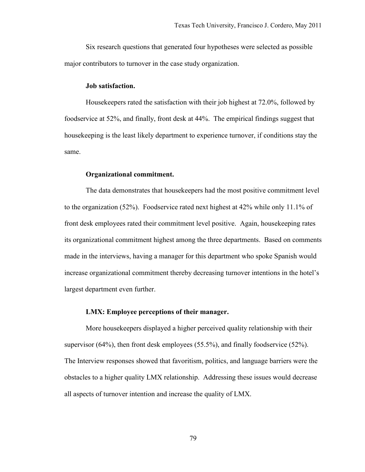Six research questions that generated four hypotheses were selected as possible major contributors to turnover in the case study organization.

## **Job satisfaction.**

Housekeepers rated the satisfaction with their job highest at 72.0%, followed by foodservice at 52%, and finally, front desk at 44%. The empirical findings suggest that housekeeping is the least likely department to experience turnover, if conditions stay the same.

## **Organizational commitment.**

 The data demonstrates that housekeepers had the most positive commitment level to the organization (52%). Foodservice rated next highest at 42% while only 11.1% of front desk employees rated their commitment level positive. Again, housekeeping rates its organizational commitment highest among the three departments. Based on comments made in the interviews, having a manager for this department who spoke Spanish would increase organizational commitment thereby decreasing turnover intentions in the hotel's largest department even further.

# **LMX: Employee perceptions of their manager.**

More housekeepers displayed a higher perceived quality relationship with their supervisor (64%), then front desk employees (55.5%), and finally foodservice (52%). The Interview responses showed that favoritism, politics, and language barriers were the obstacles to a higher quality LMX relationship. Addressing these issues would decrease all aspects of turnover intention and increase the quality of LMX.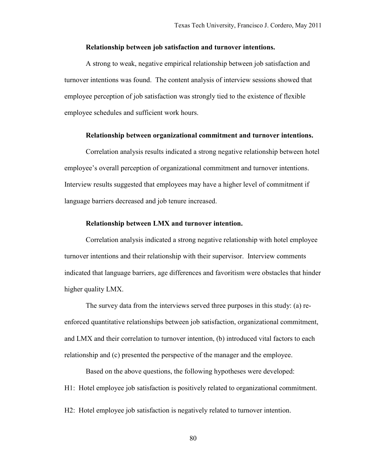### **Relationship between job satisfaction and turnover intentions.**

A strong to weak, negative empirical relationship between job satisfaction and turnover intentions was found. The content analysis of interview sessions showed that employee perception of job satisfaction was strongly tied to the existence of flexible employee schedules and sufficient work hours.

#### **Relationship between organizational commitment and turnover intentions.**

Correlation analysis results indicated a strong negative relationship between hotel employee's overall perception of organizational commitment and turnover intentions. Interview results suggested that employees may have a higher level of commitment if language barriers decreased and job tenure increased.

#### **Relationship between LMX and turnover intention.**

Correlation analysis indicated a strong negative relationship with hotel employee turnover intentions and their relationship with their supervisor. Interview comments indicated that language barriers, age differences and favoritism were obstacles that hinder higher quality LMX.

The survey data from the interviews served three purposes in this study: (a) reenforced quantitative relationships between job satisfaction, organizational commitment, and LMX and their correlation to turnover intention, (b) introduced vital factors to each relationship and (c) presented the perspective of the manager and the employee.

Based on the above questions, the following hypotheses were developed: H1: Hotel employee job satisfaction is positively related to organizational commitment.

H2: Hotel employee job satisfaction is negatively related to turnover intention.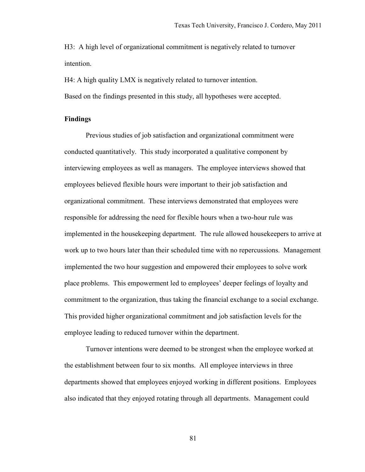H3: A high level of organizational commitment is negatively related to turnover intention.

H4: A high quality LMX is negatively related to turnover intention. Based on the findings presented in this study, all hypotheses were accepted.

## **Findings**

Previous studies of job satisfaction and organizational commitment were conducted quantitatively. This study incorporated a qualitative component by interviewing employees as well as managers. The employee interviews showed that employees believed flexible hours were important to their job satisfaction and organizational commitment. These interviews demonstrated that employees were responsible for addressing the need for flexible hours when a two-hour rule was implemented in the housekeeping department. The rule allowed housekeepers to arrive at work up to two hours later than their scheduled time with no repercussions. Management implemented the two hour suggestion and empowered their employees to solve work place problems. This empowerment led to employees' deeper feelings of loyalty and commitment to the organization, thus taking the financial exchange to a social exchange. This provided higher organizational commitment and job satisfaction levels for the employee leading to reduced turnover within the department.

Turnover intentions were deemed to be strongest when the employee worked at the establishment between four to six months. All employee interviews in three departments showed that employees enjoyed working in different positions. Employees also indicated that they enjoyed rotating through all departments. Management could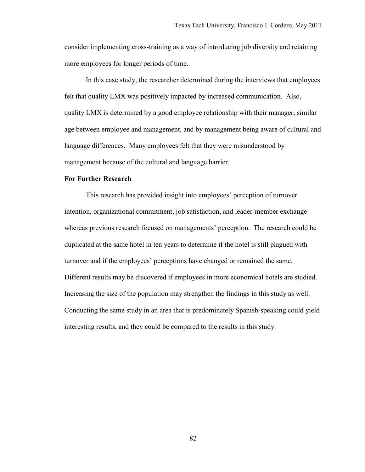consider implementing cross-training as a way of introducing job diversity and retaining more employees for longer periods of time.

In this case study, the researcher determined during the interviews that employees felt that quality LMX was positively impacted by increased communication. Also, quality LMX is determined by a good employee relationship with their manager, similar age between employee and management, and by management being aware of cultural and language differences. Many employees felt that they were misunderstood by management because of the cultural and language barrier.

# **For Further Research**

 This research has provided insight into employees' perception of turnover intention, organizational commitment, job satisfaction, and leader-member exchange whereas previous research focused on managements' perception. The research could be duplicated at the same hotel in ten years to determine if the hotel is still plagued with turnover and if the employees' perceptions have changed or remained the same. Different results may be discovered if employees in more economical hotels are studied. Increasing the size of the population may strengthen the findings in this study as well. Conducting the same study in an area that is predominately Spanish-speaking could yield interesting results, and they could be compared to the results in this study.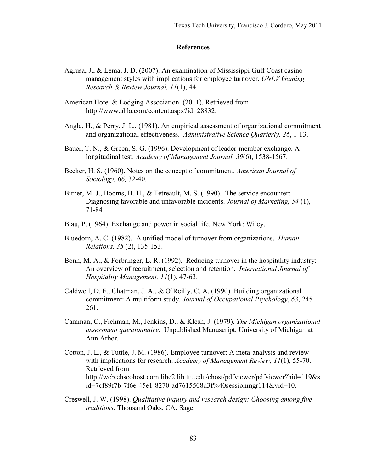## **References**

- Agrusa, J., & Lema, J. D. (2007). An examination of Mississippi Gulf Coast casino management styles with implications for employee turnover. *UNLV Gaming Research & Review Journal, 11*(1), 44.
- American Hotel & Lodging Association (2011). Retrieved from http://www.ahla.com/content.aspx?id=28832.
- Angle, H., & Perry, J. L., (1981). An empirical assessment of organizational commitment and organizational effectiveness. *Administrative Science Quarterly, 26*, 1-13.
- Bauer, T. N., & Green, S. G. (1996). Development of leader-member exchange. A longitudinal test. *Academy of Management Journal, 39*(6), 1538-1567.
- Becker, H. S. (1960). Notes on the concept of commitment. *American Journal of Sociology, 66,* 32-40.
- Bitner, M. J., Booms, B. H., & Tetreault, M. S. (1990). The service encounter: Diagnosing favorable and unfavorable incidents. *Journal of Marketing, 54* (1), 71-84
- Blau, P. (1964). Exchange and power in social life. New York: Wiley.
- Bluedorn, A. C. (1982). A unified model of turnover from organizations. *Human Relations, 35* (2), 135-153.
- Bonn, M. A., & Forbringer, L. R. (1992). Reducing turnover in the hospitality industry: An overview of recruitment, selection and retention. *International Journal of Hospitality Management, 11*(1), 47-63.
- Caldwell, D. F., Chatman, J. A., & O'Reilly, C. A. (1990). Building organizational commitment: A multiform study. *Journal of Occupational Psychology*, *63*, 245- 261.
- Camman, C., Fichman, M., Jenkins, D., & Klesh, J. (1979). *The Michigan organizational assessment questionnaire*. Unpublished Manuscript, University of Michigan at Ann Arbor.
- Cotton, J. L., & Tuttle, J. M. (1986). Employee turnover: A meta-analysis and review with implications for research. *Academy of Management Review, 11*(1), 55-70. Retrieved from http://web.ebscohost.com.libe2.lib.ttu.edu/ehost/pdfviewer/pdfviewer?hid=119&s id=7cf89f7b-7f6e-45e1-8270-ad7615508d3f%40sessionmgr114&vid=10.
- Creswell, J. W. (1998). *Qualitative inquiry and research design: Choosing among five traditions*. Thousand Oaks, CA: Sage.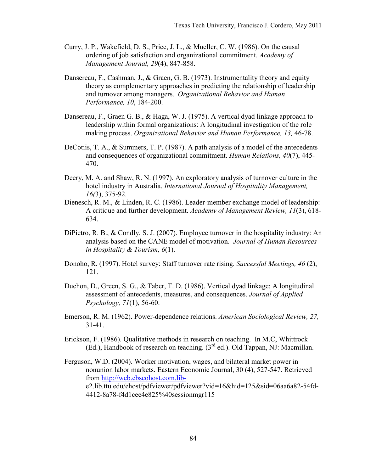- Curry, J. P., Wakefield, D. S., Price, J. L., & Mueller, C. W. (1986). On the causal ordering of job satisfaction and organizational commitment. *Academy of Management Journal, 29*(4), 847-858.
- Dansereau, F., Cashman, J., & Graen, G. B. (1973). Instrumentality theory and equity theory as complementary approaches in predicting the relationship of leadership and turnover among managers. *Organizational Behavior and Human Performance, 10*, 184-200.
- Dansereau, F., Graen G. B., & Haga, W. J. (1975). A vertical dyad linkage approach to leadership within formal organizations: A longitudinal investigation of the role making process. *Organizational Behavior and Human Performance, 13,* 46-78.
- DeCotiis, T. A., & Summers, T. P. (1987). A path analysis of a model of the antecedents and consequences of organizational commitment. *Human Relations, 40*(7), 445- 470.
- Deery, M. A. and Shaw, R. N. (1997). An exploratory analysis of turnover culture in the hotel industry in Australia. *International Journal of Hospitality Management, 16(*3), 375-92.
- Dienesch, R. M., & Linden, R. C. (1986). Leader-member exchange model of leadership: A critique and further development. *Academy of Management Review, 11*(3), 618- 634.
- DiPietro, R. B., & Condly, S. J. (2007). Employee turnover in the hospitality industry: An analysis based on the CANE model of motivation. *Journal of Human Resources in Hospitality & Tourism, 6*(1).
- Donoho, R. (1997). Hotel survey: Staff turnover rate rising. *Successful Meetings, 46* (2), 121.
- Duchon, D., Green, S. G., & Taber, T. D. (1986). Vertical dyad linkage: A longitudinal assessment of antecedents, measures, and consequences. *Journal of Applied Psychology, 71*(1), 56-60.
- Emerson, R. M. (1962). Power-dependence relations. *American Sociological Review, 27,*  31-41.
- Erickson, F. (1986). Qualitative methods in research on teaching. In M.C, Whittrock (Ed.), Handbook of research on teaching.  $(3<sup>rd</sup>$  ed.). Old Tappan, NJ: Macmillan.
- Ferguson, W.D. (2004). Worker motivation, wages, and bilateral market power in nonunion labor markets. Eastern Economic Journal, 30 (4), 527-547. Retrieved from http://web.ebscohost.com.libe2.lib.ttu.edu/ehost/pdfviewer/pdfviewer?vid=16&hid=125&sid=06aa6a82-54fd-4412-8a78-f4d1cee4e825%40sessionmgr115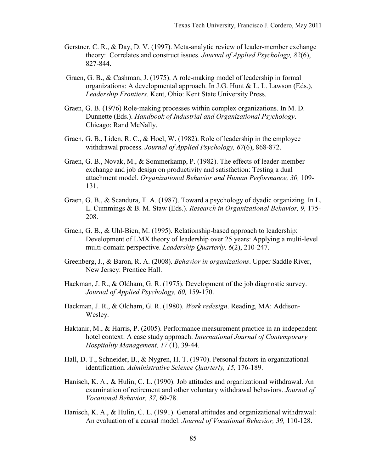- Gerstner, C. R., & Day, D. V. (1997). Meta-analytic review of leader-member exchange theory: Correlates and construct issues. *Journal of Applied Psychology, 82*(6), 827-844.
- Graen, G. B., & Cashman, J. (1975). A role-making model of leadership in formal organizations: A developmental approach. In J.G. Hunt & L. L. Lawson (Eds.), *Leadership Frontiers*. Kent, Ohio: Kent State University Press.
- Graen, G. B. (1976) Role-making processes within complex organizations. In M. D. Dunnette (Eds.). *Handbook of Industrial and Organizational Psychology*. Chicago: Rand McNally.
- Graen, G. B., Liden, R. C., & Hoel, W. (1982). Role of leadership in the employee withdrawal process. *Journal of Applied Psychology, 67*(6), 868-872.
- Graen, G. B., Novak, M., & Sommerkamp, P. (1982). The effects of leader-member exchange and job design on productivity and satisfaction: Testing a dual attachment model. *Organizational Behavior and Human Performance, 30,* 109- 131.
- Graen, G. B., & Scandura, T. A. (1987). Toward a psychology of dyadic organizing. In L. L. Cummings & B. M. Staw (Eds.). *Research in Organizational Behavior, 9,* 175- 208.
- Graen, G. B., & Uhl-Bien, M. (1995). Relationship-based approach to leadership: Development of LMX theory of leadership over 25 years: Applying a multi-level multi-domain perspective. *Leadership Quarterly, 6*(2), 210-247.
- Greenberg, J., & Baron, R. A. (2008). *Behavior in organizations*. Upper Saddle River, New Jersey: Prentice Hall.
- Hackman, J. R., & Oldham, G. R. (1975). Development of the job diagnostic survey. *Journal of Applied Psychology, 60,* 159-170.
- Hackman, J. R., & Oldham, G. R. (1980). *Work redesign*. Reading, MA: Addison-Wesley.
- Haktanir, M., & Harris, P. (2005). Performance measurement practice in an independent hotel context: A case study approach. *International Journal of Contemporary Hospitality Management, 17* (1), 39-44.
- Hall, D. T., Schneider, B., & Nygren, H. T. (1970). Personal factors in organizational identification. *Administrative Science Quarterly, 15,* 176-189.
- Hanisch, K. A., & Hulin, C. L. (1990). Job attitudes and organizational withdrawal. An examination of retirement and other voluntary withdrawal behaviors. *Journal of Vocational Behavior, 37,* 60-78.
- Hanisch, K. A., & Hulin, C. L. (1991). General attitudes and organizational withdrawal: An evaluation of a causal model. *Journal of Vocational Behavior, 39,* 110-128.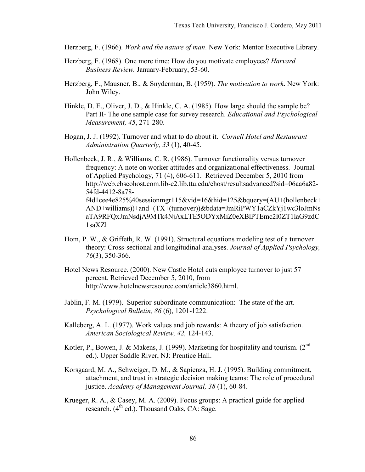Herzberg, F. (1966). *Work and the nature of man*. New York: Mentor Executive Library.

- Herzberg, F. (1968). One more time: How do you motivate employees? *Harvard Business Review.* January-February, 53-60.
- Herzberg, F., Mausner, B., & Snyderman, B. (1959). *The motivation to work*. New York: John Wiley.
- Hinkle, D. E., Oliver, J. D., & Hinkle, C. A. (1985). How large should the sample be? Part II- The one sample case for survey research. *Educational and Psychological Measurement, 45*, 271-280.
- Hogan, J. J. (1992). Turnover and what to do about it. *Cornell Hotel and Restaurant Administration Quarterly, 33* (1), 40-45.
- Hollenbeck, J. R., & Williams, C. R. (1986). Turnover functionality versus turnover frequency: A note on worker attitudes and organizational effectiveness. Journal of Applied Psychology, 71 (4), 606-611. Retrieved December 5, 2010 from http://web.ebscohost.com.lib-e2.lib.ttu.edu/ehost/resultsadvanced?sid=06aa6a82- 54fd-4412-8a78 f4d1cee4e825%40sessionmgr115&vid=16&hid=125&bquery=(AU+(hollenbeck+ AND+williams))+and+(TX+(turnover))&bdata=JmRiPWY1aCZkYj1wc3loJmNs aTA9RFQxJmNsdjA9MTk4NjAxLTE5ODYxMiZ0eXBlPTEmc2l0ZT1laG9zdC 1saXZl
- Hom, P. W., & Griffeth, R. W. (1991). Structural equations modeling test of a turnover theory: Cross-sectional and longitudinal analyses. *Journal of Applied Psychology, 76*(3), 350-366.
- Hotel News Resource. (2000). New Castle Hotel cuts employee turnover to just 57 percent. Retrieved December 5, 2010, from http://www.hotelnewsresource.com/article3860.html.
- Jablin, F. M. (1979). Superior-subordinate communication: The state of the art. *Psychological Bulletin, 86* (6), 1201-1222.
- Kalleberg, A. L. (1977). Work values and job rewards: A theory of job satisfaction. *American Sociological Review, 42,* 124-143.
- Kotler, P., Bowen, J. & Makens, J. (1999). Marketing for hospitality and tourism.  $2^{nd}$ ed.). Upper Saddle River, NJ: Prentice Hall.
- Korsgaard, M. A., Schweiger, D. M., & Sapienza, H. J. (1995). Building commitment, attachment, and trust in strategic decision making teams: The role of procedural justice. *Academy of Management Journal, 38* (1), 60-84.
- Krueger, R. A., & Casey, M. A. (2009). Focus groups: A practical guide for applied research.  $(4^{th}$  ed.). Thousand Oaks, CA: Sage.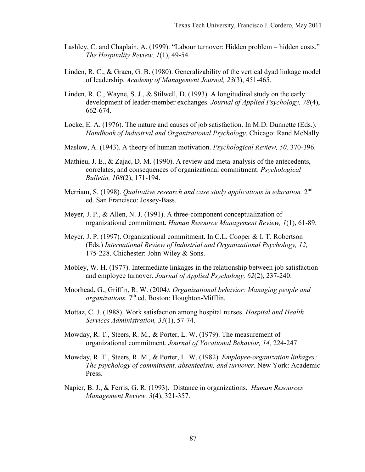- Lashley, C. and Chaplain, A. (1999). "Labour turnover: Hidden problem hidden costs." *The Hospitality Review, 1*(1), 49-54.
- Linden, R. C., & Graen, G. B. (1980). Generalizability of the vertical dyad linkage model of leadership. *Academy of Management Journal, 23*(3), 451-465.
- Linden, R. C., Wayne, S. J., & Stilwell, D. (1993). A longitudinal study on the early development of leader-member exchanges. *Journal of Applied Psychology, 78*(4), 662-674.
- Locke, E. A. (1976). The nature and causes of job satisfaction. In M.D. Dunnette (Eds.). *Handbook of Industrial and Organizational Psychology*. Chicago: Rand McNally.
- Maslow, A. (1943). A theory of human motivation. *Psychological Review, 50,* 370-396.
- Mathieu, J. E., & Zajac, D. M. (1990). A review and meta-analysis of the antecedents, correlates, and consequences of organizational commitment. *Psychological Bulletin, 108*(2), 171-194.
- Merriam, S. (1998). *Qualitative research and case study applications in education.* 2nd ed. San Francisco: Jossey-Bass.
- Meyer, J. P., & Allen, N. J. (1991). A three-component conceptualization of organizational commitment. *Human Resource Management Review, 1*(1), 61-89.
- Meyer, J. P. (1997). Organizational commitment. In C.L. Cooper & I. T. Robertson (Eds.) *International Review of Industrial and Organizational Psychology, 12,*  175-228. Chichester: John Wiley & Sons.
- Mobley, W. H. (1977). Intermediate linkages in the relationship between job satisfaction and employee turnover. *Journal of Applied Psychology, 62*(2), 237-240.
- Moorhead, G., Griffin, R. W. (2004*). Organizational behavior: Managing people and organizations.* 7<sup>th</sup> ed. Boston: Houghton-Mifflin.
- Mottaz, C. J. (1988). Work satisfaction among hospital nurses. *Hospital and Health Services Administration, 33*(1), 57-74.
- Mowday, R. T., Steers, R. M., & Porter, L. W. (1979). The measurement of organizational commitment. *Journal of Vocational Behavior, 14,* 224-247.
- Mowday, R. T., Steers, R. M., & Porter, L. W. (1982). *Employee-organization linkages: The psychology of commitment, absenteeism, and turnover*. New York: Academic Press.
- Napier, B. J., & Ferris, G. R. (1993). Distance in organizations. *Human Resources Management Review, 3*(4), 321-357.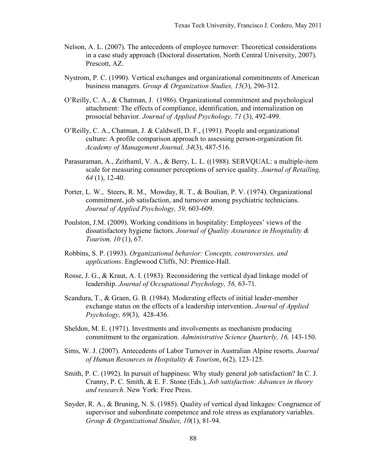- Nelson, A. L. (2007). The antecedents of employee turnover: Theoretical considerations in a case study approach (Doctoral dissertation, North Central University, 2007). Prescott, AZ.
- Nystrom, P. C. (1990). Vertical exchanges and organizational commitments of American business managers. *Group & Organization Studies, 15*(3), 296-312.
- O'Reilly, C. A., & Chatman, J. (1986). Organizational commitment and psychological attachment: The effects of compliance, identification, and internalization on prosocial behavior. *Journal of Applied Psychology, 71* (3), 492-499.
- O'Reilly, C. A., Chatman, J. & Caldwell, D. F., (1991). People and organizational culture: A profile comparison approach to assessing person-organization fit. *Academy of Management Journal, 34*(3), 487-516.
- Parasuraman, A., Zeithaml, V. A., & Berry, L. L. ((1988). SERVQUAL: a multiple-item scale for measuring consumer perceptions of service quality. *Journal of Retailing, 64* (1), 12-40.
- Porter, L. W., Steers, R. M., Mowday, R. T., & Boulian, P. V. (1974). Organizational commitment, job satisfaction, and turnover among psychiatric technicians. *Journal of Applied Psychology, 59,* 603-609.
- Poulston, J.M. (2009). Working conditions in hospitality: Employees' views of the dissatisfactory hygiene factors. *Journal of Quality Assurance in Hospitality & Tourism, 10* (1), 67.
- Robbins, S. P. (1993). *Organizational behavior: Concepts, controversies, and applications*. Englewood Cliffs, NJ: Prentice-Hall.
- Rosse, J. G., & Kraut, A. I. (1983). Reconsidering the vertical dyad linkage model of leadership. *Journal of Occupational Psychology, 56,* 63-71.
- Scandura, T., & Graen, G. B. (1984). Moderating effects of initial leader-member exchange status on the effects of a leadership intervention. *Journal of Applied Psychology, 69*(3), 428-436.
- Sheldon, M. E. (1971). Investments and involvements as mechanism producing commitment to the organization. *Administrative Science Quarterly, 16,* 143-150.
- Sims, W. J. (2007). Antecedents of Labor Turnover in Australian Alpine resorts. *Journal of Human Resources in Hospitality & Tourism*, 6(2), 123-125.
- Smith, P. C. (1992). In pursuit of happiness: Why study general job satisfaction? In C. J. Cranny, P. C. Smith, & E. F. Stone (Eds.), *Job satisfaction: Advances in theory and research*. New York: Free Press.
- Snyder, R. A., & Bruning, N. S. (1985). Quality of vertical dyad linkages: Congruence of supervisor and subordinate competence and role stress as explanatory variables. *Group & Organizational Studies, 10*(1), 81-94.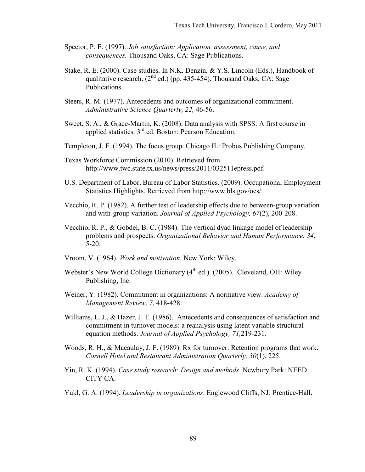- Spector, P. E. (1997). *Job satisfaction: Application, assessment, cause, and consequences.* Thousand Oaks, CA: Sage Publications.
- Stake, R. E. (2000). Case studies. In N.K. Denzin, & Y.S. Lincoln (Eds.), Handbook of qualitative research.  $(2^{nd}$  ed.) (pp. 435-454). Thousand Oaks, CA: Sage Publications.
- Steers, R. M. (1977). Antecedents and outcomes of organizational commitment. *Administrative Science Quarterly, 22,* 46-56.
- Sweet, S. A., & Grace-Martin, K. (2008). Data analysis with SPSS: A first course in applied statistics. 3<sup>rd</sup> ed. Boston: Pearson Education.
- Templeton, J. F. (1994). The focus group. Chicago IL: Probus Publishing Company.
- Texas Workforce Commission (2010). Retrieved from http://www.twc.state.tx.us/news/press/2011/032511epress.pdf.
- U.S. Department of Labor, Bureau of Labor Statistics. (2009). Occupational Employment Statistics Highlights. Retrieved from http://www.bls.gov/oes/.
- Vecchio, R. P. (1982). A further test of leadership effects due to between-group variation and with-group variation. *Journal of Applied Psychology, 67*(2), 200-208.
- Vecchio, R. P., & Gobdel, B. C. (1984). The vertical dyad linkage model of leadership problems and prospects. *Organizational Behavior and Human Performance. 34*, 5-20.
- Vroom, V. (1964). *Work and motivation*. New York: Wiley.
- Webster's New World College Dictionary  $(4<sup>th</sup>$  ed.). (2005). Cleveland, OH: Wiley Publishing, Inc.
- Weiner, Y. (1982). Commitment in organizations: A normative view. *Academy of Management Review*, *7*, 418-428.
- Williams, L. J., & Hazer, J. T. (1986). Antecedents and consequences of satisfaction and commitment in turnover models: a reanalysis using latent variable structural equation methods. *Journal of Applied Psychology, 71,*219-231.
- Woods, R. H., & Macaulay, J. F. (1989). Rx for turnover: Retention programs that work. *Cornell Hotel and Restaurant Administration Quarterly, 30*(1), 225.
- Yin, R. K. (1994). *Case study research: Design and methods*. Newbury Park: NEED CITY CA.
- Yukl, G. A. (1994). *Leadership in organizations*. Englewood Cliffs, NJ: Prentice-Hall.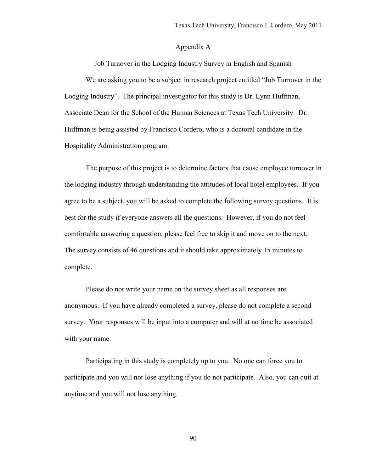## Appendix A

Job Turnover in the Lodging Industry Survey in English and Spanish

We are asking you to be a subject in research project entitled "Job Turnover in the Lodging Industry". The principal investigator for this study is Dr. Lynn Huffman, Associate Dean for the School of the Human Sciences at Texas Tech University. Dr. Huffman is being assisted by Francisco Cordero, who is a doctoral candidate in the Hospitality Administration program.

The purpose of this project is to determine factors that cause employee turnover in the lodging industry through understanding the attitudes of local hotel employees. If you agree to be a subject, you will be asked to complete the following survey questions. It is best for the study if everyone answers all the questions. However, if you do not feel comfortable answering a question, please feel free to skip it and move on to the next. The survey consists of 46 questions and it should take approximately 15 minutes to complete.

Please do not write your name on the survey sheet as all responses are anonymous. If you have already completed a survey, please do not complete a second survey. Your responses will be input into a computer and will at no time be associated with your name.

Participating in this study is completely up to you. No one can force you to participate and you will not lose anything if you do not participate. Also, you can quit at anytime and you will not lose anything.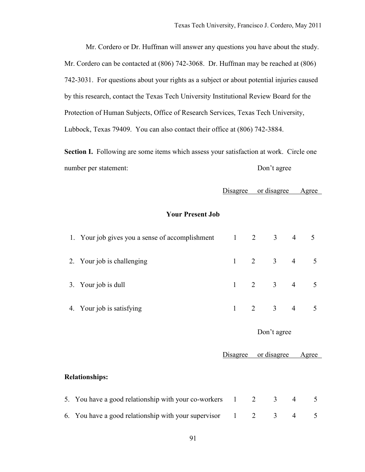Mr. Cordero or Dr. Huffman will answer any questions you have about the study. Mr. Cordero can be contacted at (806) 742-3068. Dr. Huffman may be reached at (806) 742-3031. For questions about your rights as a subject or about potential injuries caused by this research, contact the Texas Tech University Institutional Review Board for the Protection of Human Subjects, Office of Research Services, Texas Tech University, Lubbock, Texas 79409. You can also contact their office at (806) 742-3884.

**Section I.** Following are some items which assess your satisfaction at work. Circle one number per statement: Don't agree

Disagree or disagree Agree

# **Your Present Job**

| 1. Your job gives you a sense of accomplishment 1 2 3 4 5 |                     |  |  |
|-----------------------------------------------------------|---------------------|--|--|
| 2. Your job is challenging                                | $1 \t2 \t3 \t4 \t5$ |  |  |
| 3. Your job is dull                                       | $1 \t2 \t3 \t4 \t5$ |  |  |
| 4. Your job is satisfying                                 | $1 \t2 \t3 \t4 \t5$ |  |  |

|                                                          | or disagree<br>Disagree |  |                          |                | Agree |  |  |
|----------------------------------------------------------|-------------------------|--|--------------------------|----------------|-------|--|--|
|                                                          |                         |  |                          |                |       |  |  |
| <b>Relationships:</b>                                    |                         |  |                          |                |       |  |  |
|                                                          |                         |  |                          |                |       |  |  |
| 5. You have a good relationship with your co-workers 1 2 |                         |  | 3                        | $\overline{4}$ |       |  |  |
| 6. You have a good relationship with your supervisor 1 2 |                         |  | $\overline{\phantom{a}}$ |                |       |  |  |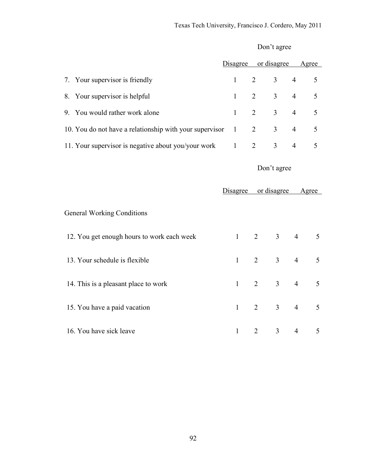|                                                         | Disagree     |                | or disagree    |                | Agree |
|---------------------------------------------------------|--------------|----------------|----------------|----------------|-------|
| 7. Your supervisor is friendly                          | $\mathbf{1}$ | $\overline{2}$ | $\overline{3}$ | $\overline{4}$ | 5     |
| 8. Your supervisor is helpful                           | $\mathbf{1}$ | $\overline{2}$ | $\overline{3}$ | $\overline{4}$ | 5     |
| 9. You would rather work alone                          | $\mathbf{1}$ | $\overline{2}$ | $\overline{3}$ | $\overline{4}$ | 5     |
| 10. You do not have a relationship with your supervisor | $\mathbf{1}$ | $\overline{2}$ | $\overline{3}$ | $\overline{4}$ | 5     |
| 11. Your supervisor is negative about you/your work     | $\mathbf{1}$ | $\overline{2}$ | $\overline{3}$ | $\overline{4}$ | 5     |
|                                                         |              |                | Don't agree    |                |       |
|                                                         | Disagree     |                | or disagree    |                | Agree |
| <b>General Working Conditions</b>                       |              |                |                |                |       |
| 12. You get enough hours to work each week              | $\mathbf{1}$ | 2              | $\overline{3}$ | $\overline{4}$ | 5     |
| 13. Your schedule is flexible                           | $\mathbf{1}$ | $\overline{2}$ | $\overline{3}$ | $\overline{4}$ | 5     |
| 14. This is a pleasant place to work                    | $\mathbf{1}$ | $\overline{2}$ | $\overline{3}$ | $\overline{4}$ | 5     |
| 15. You have a paid vacation                            | $\mathbf{1}$ | $\overline{2}$ | $\overline{3}$ | $\overline{4}$ | 5     |
| 16. You have sick leave                                 | 1            | $\overline{2}$ | $\overline{3}$ | $\overline{4}$ | 5     |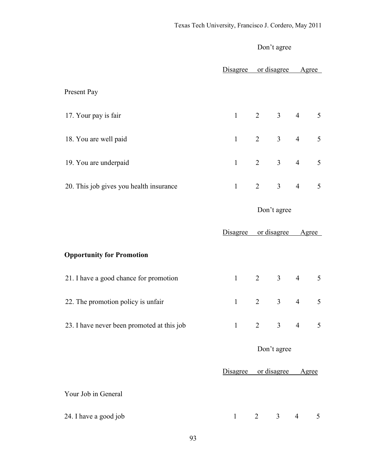|                                            | Disagree             | or disagree         |                | Agree           |                 |
|--------------------------------------------|----------------------|---------------------|----------------|-----------------|-----------------|
| Present Pay                                |                      |                     |                |                 |                 |
| 17. Your pay is fair                       | $\mathbf{1}$         | $2 \qquad \qquad 3$ |                | $\overline{4}$  | $5\overline{)}$ |
| 18. You are well paid                      | $\mathbf{1}$         | $\overline{2}$      | $\overline{3}$ | $\overline{4}$  | 5               |
| 19. You are underpaid                      | $\mathbf{1}$         | $\overline{2}$      | $\overline{3}$ | $\overline{4}$  | 5               |
| 20. This job gives you health insurance    | $\mathbf{1}$         | $\overline{2}$      | $\mathfrak{Z}$ | $4\overline{ }$ | 5               |
|                                            |                      | Don't agree         |                |                 |                 |
|                                            | Disagree or disagree |                     |                | Agree           |                 |
| <b>Opportunity for Promotion</b>           |                      |                     |                |                 |                 |
| 21. I have a good chance for promotion     | 1                    | $2 \qquad \qquad 3$ |                | $\overline{4}$  | $5\overline{)}$ |
| 22. The promotion policy is unfair         | $\mathbf{1}$         | $\overline{2}$      | $\mathfrak{Z}$ | $\overline{4}$  | 5               |
| 23. I have never been promoted at this job | $\mathbf{1}$         | $\overline{2}$      | $\mathfrak{Z}$ | $\overline{4}$  | 5               |
|                                            | Don't agree          |                     |                |                 |                 |
|                                            | Disagree or disagree |                     |                | Agree           |                 |
| Your Job in General                        |                      |                     |                |                 |                 |
| 24. I have a good job                      | $\mathbf{1}$         | $\overline{2}$      | $\mathfrak{Z}$ | $\overline{4}$  | 5               |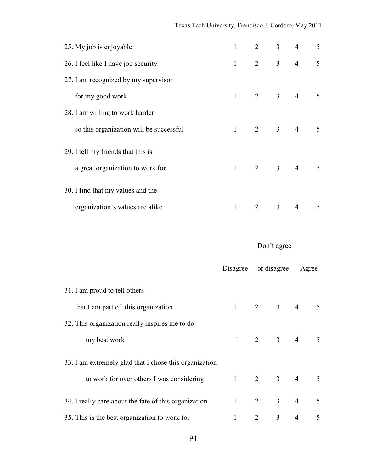| 25. My job is enjoyable                 | $\mathbf{1}$ |                         | $2 \t 3 \t 4$           |                       | $5\overline{)}$ |
|-----------------------------------------|--------------|-------------------------|-------------------------|-----------------------|-----------------|
| 26. I feel like I have job security     | $\mathbf{1}$ |                         |                         | $2 \qquad 3 \qquad 4$ | $\overline{5}$  |
| 27. I am recognized by my supervisor    |              |                         |                         |                       |                 |
| for my good work                        |              | $1 \t 2 \t 3 \t 4 \t 5$ |                         |                       |                 |
| 28. I am willing to work harder         |              |                         |                         |                       |                 |
| so this organization will be successful | 1            | 2 3 4 5                 |                         |                       |                 |
| 29. I tell my friends that this is      |              |                         |                         |                       |                 |
| a great organization to work for        |              | $1 \t 2 \t 3 \t 4 \t 5$ |                         |                       |                 |
| 30. I find that my values and the       |              |                         |                         |                       |                 |
| organization's values are alike         | $\mathbf{1}$ | 2                       | $\overline{\mathbf{3}}$ | $\overline{4}$        | 5               |

|                                                        | Disagree               | or disagree    |                                | Agree          |                 |
|--------------------------------------------------------|------------------------|----------------|--------------------------------|----------------|-----------------|
| 31. I am proud to tell others                          |                        |                |                                |                |                 |
| that I am part of this organization                    |                        |                | $2 \qquad 3 \qquad 4 \qquad 5$ |                |                 |
| 32. This organization really inspires me to do         |                        |                |                                |                |                 |
| my best work                                           | $\mathbf{1}$           |                | $2 \t3 \t4 \t5$                |                |                 |
| 33. I am extremely glad that I chose this organization |                        |                |                                |                |                 |
| to work for over others I was considering              |                        |                | $1 \qquad 2 \qquad 3 \qquad 4$ |                | $5\overline{)}$ |
| 34. I really care about the fate of this organization  | $1 \quad \blacksquare$ |                | $2 \quad 3 \quad 4$            |                | 5               |
| 35. This is the best organization to work for          | 1                      | $\overline{2}$ | 3                              | $\overline{4}$ | 5               |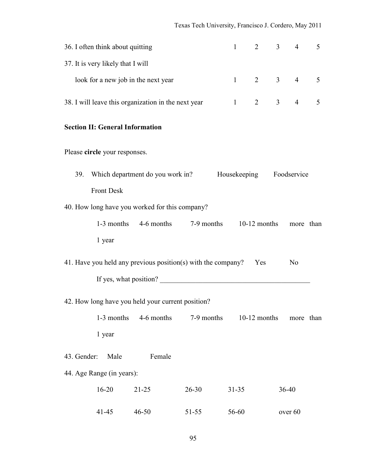| 36. I often think about quitting<br>$\mathbf{1}$                    |                                        |                                                              |            |              |                | $\overline{3}$ | $\overline{4}$ | 5 |
|---------------------------------------------------------------------|----------------------------------------|--------------------------------------------------------------|------------|--------------|----------------|----------------|----------------|---|
|                                                                     | 37. It is very likely that I will      |                                                              |            |              |                |                |                |   |
|                                                                     |                                        | look for a new job in the next year                          |            | 1            | $\overline{2}$ | 3 <sup>7</sup> | $\overline{4}$ | 5 |
|                                                                     |                                        | 38. I will leave this organization in the next year          |            | $\mathbf{1}$ | $\overline{2}$ | 3 <sup>1</sup> | $\overline{4}$ | 5 |
|                                                                     | <b>Section II: General Information</b> |                                                              |            |              |                |                |                |   |
|                                                                     | Please circle your responses.          |                                                              |            |              |                |                |                |   |
| Which department do you work in?<br>Housekeeping Foodservice<br>39. |                                        |                                                              |            |              |                |                |                |   |
| <b>Front Desk</b>                                                   |                                        |                                                              |            |              |                |                |                |   |
| 40. How long have you worked for this company?                      |                                        |                                                              |            |              |                |                |                |   |
|                                                                     |                                        | 1-3 months $4-6$ months $7-9$ months $10-12$ months          |            |              |                |                | more than      |   |
|                                                                     | 1 year                                 |                                                              |            |              |                |                |                |   |
|                                                                     |                                        | 41. Have you held any previous position(s) with the company? |            |              | Yes            |                | N <sub>0</sub> |   |
|                                                                     |                                        | If yes, what position?                                       |            |              |                |                |                |   |
|                                                                     |                                        | 42. How long have you held your current position?            |            |              |                |                |                |   |
|                                                                     | 1-3 months                             | 4-6 months                                                   | 7-9 months |              | $10-12$ months |                | more than      |   |
|                                                                     | 1 year                                 |                                                              |            |              |                |                |                |   |
| 43. Gender:                                                         | Male                                   | Female                                                       |            |              |                |                |                |   |
|                                                                     | 44. Age Range (in years):              |                                                              |            |              |                |                |                |   |
|                                                                     | $16 - 20$                              | $21 - 25$                                                    | $26 - 30$  | $31 - 35$    |                |                | 36-40          |   |
|                                                                     | $41 - 45$                              | $46 - 50$                                                    | $51 - 55$  | 56-60        |                |                | over 60        |   |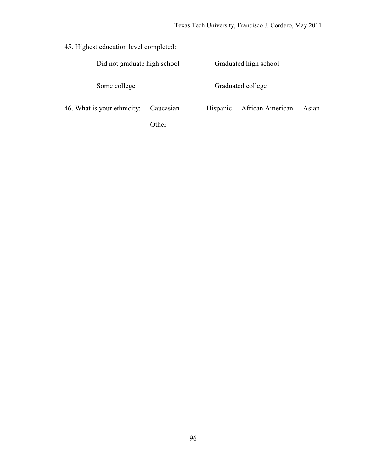| 45. Highest education level completed: |           |                       |                   |       |  |
|----------------------------------------|-----------|-----------------------|-------------------|-------|--|
| Did not graduate high school           |           | Graduated high school |                   |       |  |
| Some college                           |           |                       | Graduated college |       |  |
| 46. What is your ethnicity:            | Caucasian | Hispanic              | African American  | Asian |  |
|                                        | .)ther    |                       |                   |       |  |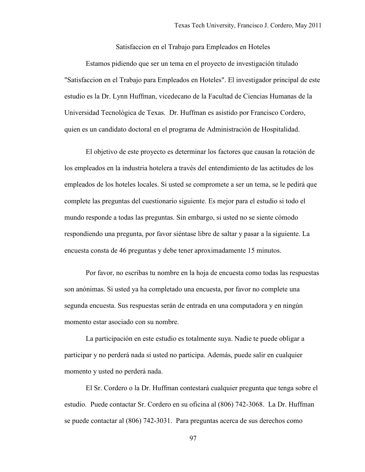Satisfaccion en el Trabajo para Empleados en Hoteles

Estamos pidiendo que ser un tema en el proyecto de investigación titulado "Satisfaccion en el Trabajo para Empleados en Hoteles". El investigador principal de este estudio es la Dr. Lynn Huffman, vicedecano de la Facultad de Ciencias Humanas de la Universidad Tecnológica de Texas. Dr. Huffman es asistido por Francisco Cordero, quien es un candidato doctoral en el programa de Administración de Hospitalidad.

El objetivo de este proyecto es determinar los factores que causan la rotación de los empleados en la industria hotelera a través del entendimiento de las actitudes de los empleados de los hoteles locales. Si usted se compromete a ser un tema, se le pedirá que complete las preguntas del cuestionario siguiente. Es mejor para el estudio si todo el mundo responde a todas las preguntas. Sin embargo, si usted no se siente cómodo respondiendo una pregunta, por favor siéntase libre de saltar y pasar a la siguiente. La encuesta consta de 46 preguntas y debe tener aproximadamente 15 minutos.

Por favor, no escribas tu nombre en la hoja de encuesta como todas las respuestas son anónimas. Si usted ya ha completado una encuesta, por favor no complete una segunda encuesta. Sus respuestas serán de entrada en una computadora y en ningún momento estar asociado con su nombre.

La participación en este estudio es totalmente suya. Nadie te puede obligar a participar y no perderá nada si usted no participa. Además, puede salir en cualquier momento y usted no perderá nada.

El Sr. Cordero o la Dr. Huffman contestará cualquier pregunta que tenga sobre el estudio. Puede contactar Sr. Cordero en su oficina al (806) 742-3068. La Dr. Huffman se puede contactar al (806) 742-3031. Para preguntas acerca de sus derechos como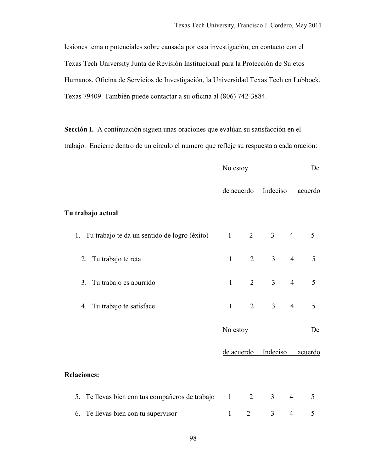lesiones tema o potenciales sobre causada por esta investigación, en contacto con el Texas Tech University Junta de Revisión Institucional para la Protección de Sujetos Humanos, Oficina de Servicios de Investigación, la Universidad Texas Tech en Lubbock, Texas 79409. También puede contactar a su oficina al (806) 742-3884.

**Sección I.** A continuación siguen unas oraciones que evalúan su satisfacción en el trabajo. Encierre dentro de un círculo el numero que refleje su respuesta a cada oración:

|                                                 | No estoy                 |                |                |                | De      |
|-------------------------------------------------|--------------------------|----------------|----------------|----------------|---------|
|                                                 | de acuerdo Indeciso      |                |                |                | acuerdo |
| Tu trabajo actual                               |                          |                |                |                |         |
| 1. Tu trabajo te da un sentido de logro (éxito) | $\mathbf{1}$             | $\overline{2}$ | 3 <sup>7</sup> | $\overline{4}$ | 5       |
| 2. Tu trabajo te reta                           | $\mathbf{1}$             | $\overline{2}$ | $\overline{3}$ | $\overline{4}$ | 5       |
| 3. Tu trabajo es aburrido                       | $\mathbf{1}$             | $\overline{2}$ | $\overline{3}$ | $\overline{4}$ | 5       |
| 4. Tu trabajo te satisface                      | $\mathbf{1}$             | $\overline{2}$ | $\overline{3}$ | $\overline{4}$ | 5       |
|                                                 | No estoy                 |                |                |                | De      |
|                                                 |                          | de acuerdo     | Indeciso       |                | acuerdo |
| <b>Relaciones:</b>                              |                          |                |                |                |         |
| 5. Te llevas bien con tus compañeros de trabajo | $\overline{\phantom{0}}$ | 2              | $\mathfrak{Z}$ | $\overline{4}$ | 5       |
| 6. Te llevas bien con tu supervisor             | $\mathbf{1}$             | $\overline{2}$ | $\mathfrak{Z}$ | $\overline{4}$ | 5       |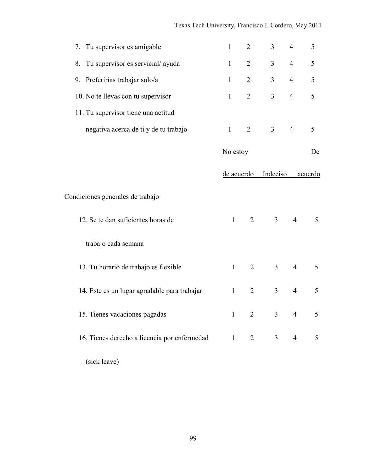| 7. Tu supervisor es amigable                 | $\mathbf{1}$ | 2              | 3                   | $\overline{4}$ | 5       |
|----------------------------------------------|--------------|----------------|---------------------|----------------|---------|
| 8. Tu supervisor es servicial/ayuda          | $\mathbf{1}$ | 2              | $\overline{3}$      | $\overline{4}$ | 5       |
| 9. Preferirías trabajar solo/a               | $\mathbf{1}$ | $\overline{2}$ | 3 <sup>7</sup>      | $\overline{4}$ | 5       |
| 10. No te llevas con tu supervisor           | $\mathbf{1}$ | $\overline{2}$ | $\overline{3}$      | $\overline{4}$ | 5       |
| 11. Tu supervisor tiene una actitud          |              |                |                     |                |         |
| negativa acerca de ti y de tu trabajo        | $\mathbf{1}$ | $\overline{2}$ | 3 <sup>7</sup>      | $\overline{4}$ | 5       |
|                                              | No estoy     |                |                     |                | De      |
|                                              |              |                | de acuerdo Indeciso |                | acuerdo |
| Condiciones generales de trabajo             |              |                |                     |                |         |
| 12. Se te dan suficientes horas de           | $\mathbf{1}$ | $\overline{2}$ | 3 <sup>7</sup>      | $\overline{4}$ | 5       |
| trabajo cada semana                          |              |                |                     |                |         |
| 13. Tu horario de trabajo es flexible        | $\mathbf{1}$ | $\overline{2}$ | 3 <sup>7</sup>      | $\overline{4}$ | 5       |
| 14. Este es un lugar agradable para trabajar | $\mathbf{1}$ | $\overline{2}$ | $\overline{3}$      | $\overline{4}$ | 5       |
| 15. Tienes vacaciones pagadas                | $\mathbf{1}$ | $\overline{2}$ | 3 <sup>7</sup>      | $\overline{4}$ | 5       |
| 16. Tienes derecho a licencia por enfermedad | 1            |                | $2 \qquad \qquad 3$ | $\overline{4}$ | 5       |
| (sick leave)                                 |              |                |                     |                |         |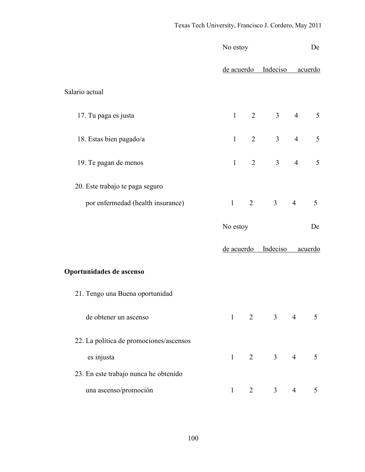|                                         | No estoy               |                |                                  |                 | De             |
|-----------------------------------------|------------------------|----------------|----------------------------------|-----------------|----------------|
|                                         |                        |                | de acuerdo Indeciso              |                 | acuerdo        |
| Salario actual                          |                        |                |                                  |                 |                |
| 17. Tu paga es justa                    | $1 \qquad \qquad$      |                | $2 \qquad 3 \qquad 4$            |                 | 5              |
| 18. Estas bien pagado/a                 | $1 \quad \blacksquare$ |                | 3 <sup>7</sup><br>$\overline{2}$ | $\overline{4}$  | 5              |
| 19. Te pagan de menos                   | $1 \quad \blacksquare$ |                | 3 <sup>1</sup><br>$\overline{2}$ | $\overline{4}$  | 5              |
| 20. Este trabajo te paga seguro         |                        |                |                                  |                 |                |
| por enfermedad (health insurance)       |                        |                | $1 \quad 2 \quad 3$              | $4\overline{ }$ | 5              |
|                                         | No estoy               |                |                                  |                 | De             |
|                                         |                        |                | de acuerdo Indeciso              |                 | <u>acuerdo</u> |
| Oportunidades de ascenso                |                        |                |                                  |                 |                |
| 21. Tengo una Buena oportunidad         |                        |                |                                  |                 |                |
| de obtener un ascenso                   | $\mathbf{1}$           |                | $2 \qquad \qquad 3$              | $\overline{4}$  | 5              |
| 22. La política de promociones/ascensos |                        |                |                                  |                 |                |
| es injusta                              |                        |                | $1 \quad 2 \quad 3$              | $\overline{4}$  | 5              |
| 23. En este trabajo nunca he obtenido   |                        |                |                                  |                 |                |
| una ascenso/promoción                   | $\mathbf{1}$           | $\overline{2}$ | 3 <sup>7</sup>                   | $\overline{4}$  | 5              |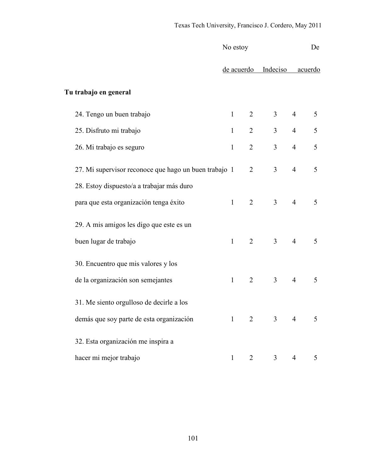|                                                       | No estoy     |                |                                  |                | De             |
|-------------------------------------------------------|--------------|----------------|----------------------------------|----------------|----------------|
|                                                       |              |                | de acuerdo Indeciso              |                | <u>acuerdo</u> |
| Tu trabajo en general                                 |              |                |                                  |                |                |
| 24. Tengo un buen trabajo                             | $\mathbf{1}$ | 2              | 3 <sup>1</sup>                   | $\overline{4}$ | 5              |
| 25. Disfruto mi trabajo                               | $\mathbf{1}$ | $\overline{2}$ | 3 <sup>7</sup>                   | $\overline{4}$ | $\mathfrak s$  |
| 26. Mi trabajo es seguro                              | $\mathbf{1}$ | $\overline{2}$ | $\overline{3}$                   | $\overline{4}$ | 5              |
| 27. Mi supervisor reconoce que hago un buen trabajo 1 |              | 2              | $\mathfrak{Z}$                   | $\overline{4}$ | 5              |
| 28. Estoy dispuesto/a a trabajar más duro             |              |                |                                  |                |                |
| para que esta organización tenga éxito                | $\mathbf{1}$ | 2              | 3 <sup>7</sup>                   | $\overline{4}$ | 5              |
| 29. A mis amigos les digo que este es un              |              |                |                                  |                |                |
| buen lugar de trabajo                                 | $\mathbf{1}$ | 2              | 3 <sup>7</sup>                   | $\overline{4}$ | 5              |
| 30. Encuentro que mis valores y los                   |              |                |                                  |                |                |
| de la organización son semejantes                     | $\mathbf{1}$ | 2              | 3 <sup>7</sup>                   | $\overline{4}$ | 5              |
| 31. Me siento orgulloso de decirle a los              |              |                |                                  |                |                |
| demás que soy parte de esta organización              | $\mathbf{1}$ |                | 3 <sup>7</sup><br>$\overline{2}$ | $\overline{4}$ | 5              |
| 32. Esta organización me inspira a                    |              |                |                                  |                |                |
| hacer mi mejor trabajo                                | $\mathbf{1}$ | $\overline{2}$ | $\mathfrak{Z}$                   | 4              | 5              |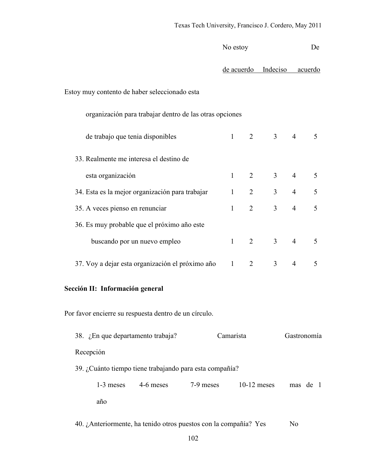| No estoy                                                         |              |   |                                  | De             |          |
|------------------------------------------------------------------|--------------|---|----------------------------------|----------------|----------|
|                                                                  |              |   | de acuerdo Indeciso              |                | acuerdo  |
| Estoy muy contento de haber seleccionado esta                    |              |   |                                  |                |          |
| organización para trabajar dentro de las otras opciones          |              |   |                                  |                |          |
| de trabajo que tenia disponibles                                 | $\mathbf{1}$ |   | $\overline{2}$<br>3 <sup>1</sup> | $\overline{4}$ | 5        |
| 33. Realmente me interesa el destino de                          |              |   |                                  |                |          |
| esta organización                                                | $\mathbf{1}$ | 2 | 3 <sup>7</sup>                   | $\overline{4}$ | 5        |
| 34. Esta es la mejor organización para trabajar                  | $\mathbf{1}$ | 2 | 3 <sup>7</sup>                   | $\overline{4}$ | 5        |
| 35. A veces pienso en renunciar                                  | $\mathbf{1}$ | 2 | 3 <sup>1</sup>                   | $\overline{4}$ | 5        |
| 36. Es muy probable que el próximo año este                      |              |   |                                  |                |          |
| buscando por un nuevo empleo                                     | $\mathbf{1}$ | 2 | $\mathfrak{Z}$                   | $\overline{4}$ | 5        |
| 37. Voy a dejar esta organización el próximo año                 | $\mathbf{1}$ | 2 | $\overline{3}$                   | $\overline{4}$ | 5        |
| Sección II: Información general                                  |              |   |                                  |                |          |
| Por favor encierre su respuesta dentro de un círculo.            |              |   |                                  |                |          |
| 38. ¿En que departamento trabaja?                                | Camarista    |   |                                  | Gastronomía    |          |
| Recepción                                                        |              |   |                                  |                |          |
| 39. ¿Cuánto tiempo tiene trabajando para esta compañía?          |              |   |                                  |                |          |
| 4-6 meses<br>1-3 meses<br>7-9 meses                              |              |   | $10-12$ meses                    |                | mas de 1 |
| año                                                              |              |   |                                  |                |          |
| 40. ¿Anteriormente, ha tenido otros puestos con la compañía? Yes |              |   |                                  | N <sub>0</sub> |          |
| 102                                                              |              |   |                                  |                |          |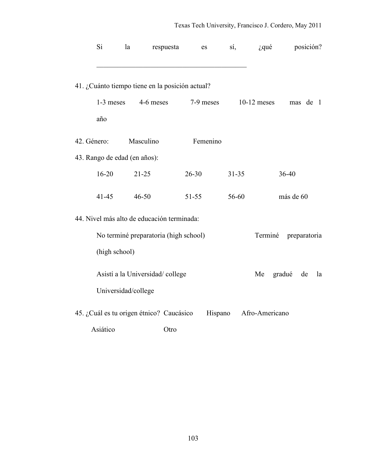| Si                           | la | respuesta                                       | es        | sí,       | $i$ , qué      | posición?    |    |
|------------------------------|----|-------------------------------------------------|-----------|-----------|----------------|--------------|----|
|                              |    | 41. ¿Cuánto tiempo tiene en la posición actual? |           |           |                |              |    |
| 1-3 meses<br>año             |    | 4-6 meses                                       | 7-9 meses |           | $10-12$ meses  | mas de 1     |    |
| 42. Género:                  |    | Masculino                                       | Femenino  |           |                |              |    |
| 43. Rango de edad (en años): |    |                                                 |           |           |                |              |    |
| $16 - 20$                    |    | $21 - 25$                                       | $26 - 30$ | $31 - 35$ |                | 36-40        |    |
| $41 - 45$                    |    | $46 - 50$                                       | $51 - 55$ | 56-60     |                | más de 60    |    |
|                              |    | 44. Nivel más alto de educación terminada:      |           |           |                |              |    |
|                              |    | No terminé preparatoria (high school)           |           |           | Terminé        | preparatoria |    |
| (high school)                |    |                                                 |           |           |                |              |    |
|                              |    | Asistí a la Universidad/college                 |           |           | Me             | gradué<br>de | la |
| Universidad/college          |    |                                                 |           |           |                |              |    |
|                              |    | 45. ¿Cuál es tu origen étnico? Caucásico        | Hispano   |           | Afro-Americano |              |    |
| Asiático                     |    | Otro                                            |           |           |                |              |    |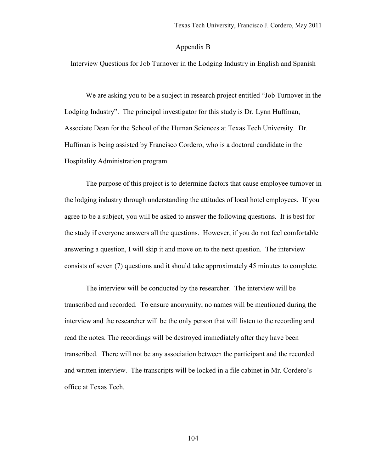#### Appendix B

Interview Questions for Job Turnover in the Lodging Industry in English and Spanish

We are asking you to be a subject in research project entitled "Job Turnover in the Lodging Industry". The principal investigator for this study is Dr. Lynn Huffman, Associate Dean for the School of the Human Sciences at Texas Tech University. Dr. Huffman is being assisted by Francisco Cordero, who is a doctoral candidate in the Hospitality Administration program.

The purpose of this project is to determine factors that cause employee turnover in the lodging industry through understanding the attitudes of local hotel employees. If you agree to be a subject, you will be asked to answer the following questions. It is best for the study if everyone answers all the questions. However, if you do not feel comfortable answering a question, I will skip it and move on to the next question. The interview consists of seven (7) questions and it should take approximately 45 minutes to complete.

The interview will be conducted by the researcher. The interview will be transcribed and recorded. To ensure anonymity, no names will be mentioned during the interview and the researcher will be the only person that will listen to the recording and read the notes. The recordings will be destroyed immediately after they have been transcribed. There will not be any association between the participant and the recorded and written interview. The transcripts will be locked in a file cabinet in Mr. Cordero's office at Texas Tech.

104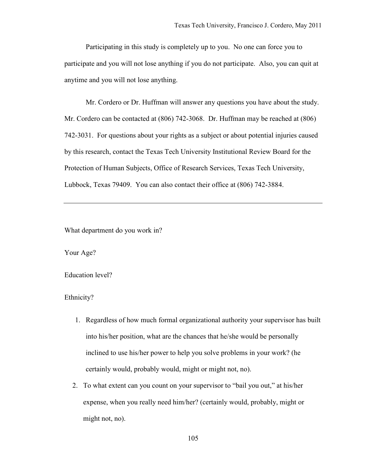Participating in this study is completely up to you. No one can force you to participate and you will not lose anything if you do not participate. Also, you can quit at anytime and you will not lose anything.

Mr. Cordero or Dr. Huffman will answer any questions you have about the study. Mr. Cordero can be contacted at (806) 742-3068. Dr. Huffman may be reached at (806) 742-3031. For questions about your rights as a subject or about potential injuries caused by this research, contact the Texas Tech University Institutional Review Board for the Protection of Human Subjects, Office of Research Services, Texas Tech University, Lubbock, Texas 79409. You can also contact their office at (806) 742-3884.

What department do you work in?

Your Age?

Education level?

Ethnicity?

- 1. Regardless of how much formal organizational authority your supervisor has built into his/her position, what are the chances that he/she would be personally inclined to use his/her power to help you solve problems in your work? (he certainly would, probably would, might or might not, no).
- 2. To what extent can you count on your supervisor to "bail you out," at his/her expense, when you really need him/her? (certainly would, probably, might or might not, no).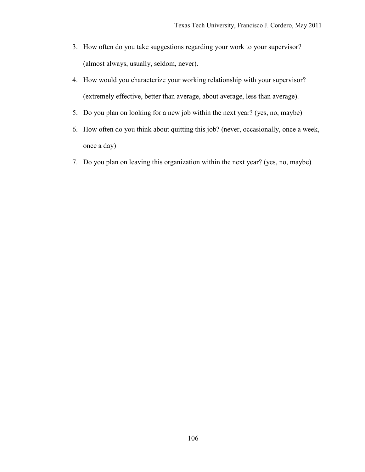- 3. How often do you take suggestions regarding your work to your supervisor? (almost always, usually, seldom, never).
- 4. How would you characterize your working relationship with your supervisor? (extremely effective, better than average, about average, less than average).
- 5. Do you plan on looking for a new job within the next year? (yes, no, maybe)
- 6. How often do you think about quitting this job? (never, occasionally, once a week, once a day)
- 7. Do you plan on leaving this organization within the next year? (yes, no, maybe)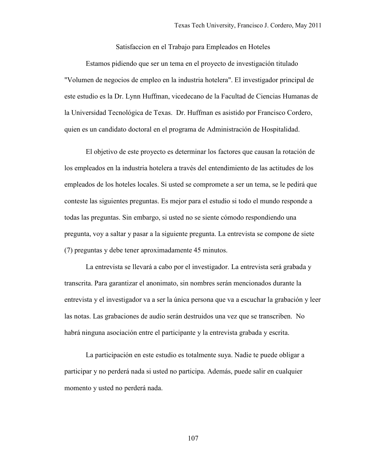Satisfaccion en el Trabajo para Empleados en Hoteles

Estamos pidiendo que ser un tema en el proyecto de investigación titulado "Volumen de negocios de empleo en la industria hotelera". El investigador principal de este estudio es la Dr. Lynn Huffman, vicedecano de la Facultad de Ciencias Humanas de la Universidad Tecnológica de Texas. Dr. Huffman es asistido por Francisco Cordero, quien es un candidato doctoral en el programa de Administración de Hospitalidad.

El objetivo de este proyecto es determinar los factores que causan la rotación de los empleados en la industria hotelera a través del entendimiento de las actitudes de los empleados de los hoteles locales. Si usted se compromete a ser un tema, se le pedirá que conteste las siguientes preguntas. Es mejor para el estudio si todo el mundo responde a todas las preguntas. Sin embargo, si usted no se siente cómodo respondiendo una pregunta, voy a saltar y pasar a la siguiente pregunta. La entrevista se compone de siete (7) preguntas y debe tener aproximadamente 45 minutos.

La entrevista se llevará a cabo por el investigador. La entrevista será grabada y transcrita. Para garantizar el anonimato, sin nombres serán mencionados durante la entrevista y el investigador va a ser la única persona que va a escuchar la grabación y leer las notas. Las grabaciones de audio serán destruidos una vez que se transcriben. No habrá ninguna asociación entre el participante y la entrevista grabada y escrita.

La participación en este estudio es totalmente suya. Nadie te puede obligar a participar y no perderá nada si usted no participa. Además, puede salir en cualquier momento y usted no perderá nada.

107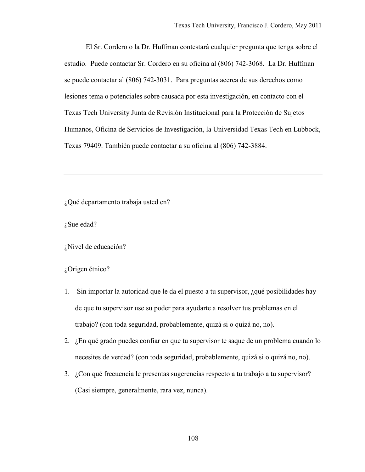El Sr. Cordero o la Dr. Huffman contestará cualquier pregunta que tenga sobre el estudio. Puede contactar Sr. Cordero en su oficina al (806) 742-3068. La Dr. Huffman se puede contactar al (806) 742-3031. Para preguntas acerca de sus derechos como lesiones tema o potenciales sobre causada por esta investigación, en contacto con el Texas Tech University Junta de Revisión Institucional para la Protección de Sujetos Humanos, Oficina de Servicios de Investigación, la Universidad Texas Tech en Lubbock, Texas 79409. También puede contactar a su oficina al (806) 742-3884.

¿Qué departamento trabaja usted en?

¿Sue edad?

¿Nivel de educación?

¿Origen étnico?

- 1. Sin importar la autoridad que le da el puesto a tu supervisor, ¿qué posibilidades hay de que tu supervisor use su poder para ayudarte a resolver tus problemas en el trabajo? (con toda seguridad, probablemente, quizá si o quizá no, no).
- 2. ¿En qué grado puedes confiar en que tu supervisor te saque de un problema cuando lo necesites de verdad? (con toda seguridad, probablemente, quizá si o quizá no, no).
- 3. ¿Con qué frecuencia le presentas sugerencias respecto a tu trabajo a tu supervisor? (Casi siempre, generalmente, rara vez, nunca).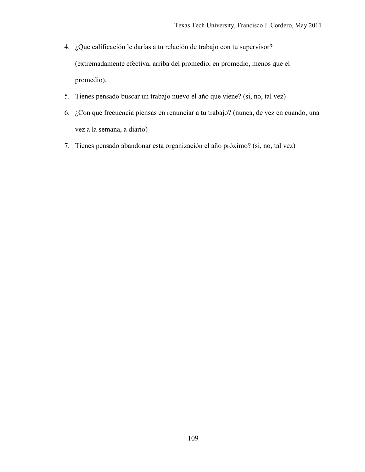- 4. ¿Que calificación le darías a tu relación de trabajo con tu supervisor? (extremadamente efectiva, arriba del promedio, en promedio, menos que el promedio).
- 5. Tienes pensado buscar un trabajo nuevo el año que viene? (si, no, tal vez)
- 6. ¿Con que frecuencia piensas en renunciar a tu trabajo? (nunca, de vez en cuando, una vez a la semana, a diario)
- 7. Tienes pensado abandonar esta organización el año próximo? (si, no, tal vez)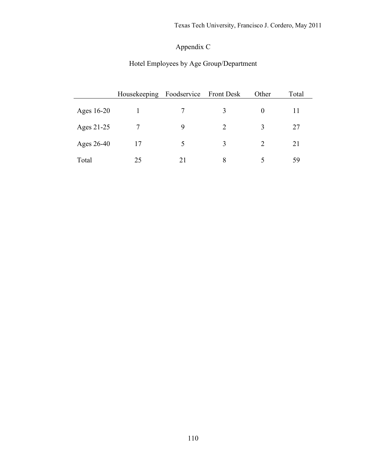## Appendix C

## Hotel Employees by Age Group/Department

|            | Housekeeping | Foodservice Front Desk |               | Other         | Total |
|------------|--------------|------------------------|---------------|---------------|-------|
| Ages 16-20 |              |                        | 3             | $\theta$      | 11    |
| Ages 21-25 |              | 9                      | $\mathcal{D}$ | $\mathbf{c}$  | 27    |
| Ages 26-40 | 17           | 5                      | $\mathcal{R}$ | $\mathcal{D}$ | 21    |
| Total      | 25           | 21                     | 8             |               | 59    |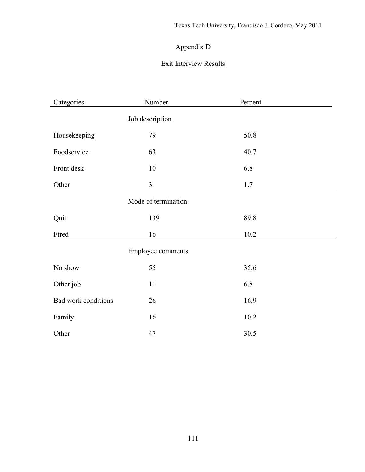### Appendix D

### Exit Interview Results

| Categories          | Number                   | Percent |  |
|---------------------|--------------------------|---------|--|
|                     | Job description          |         |  |
| Housekeeping        | 79                       | 50.8    |  |
| Foodservice         | 63                       | 40.7    |  |
| Front desk          | $10\,$                   | 6.8     |  |
| Other               | 3                        | $1.7\,$ |  |
|                     | Mode of termination      |         |  |
| Quit                | 139                      | 89.8    |  |
| Fired               | 16                       | 10.2    |  |
|                     | <b>Employee comments</b> |         |  |
| No show             | 55                       | 35.6    |  |
| Other job           | 11                       | 6.8     |  |
| Bad work conditions | 26                       | 16.9    |  |
| Family              | 16                       | 10.2    |  |
| Other               | 47                       | 30.5    |  |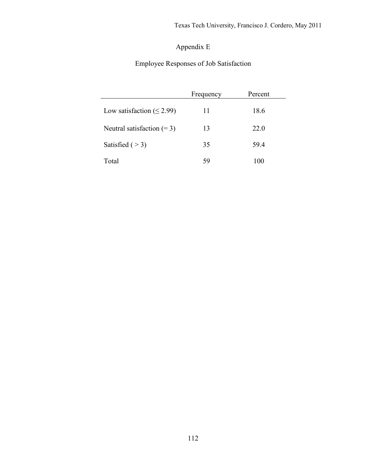### Appendix E

Employee Responses of Job Satisfaction

|                                 | Frequency | Percent |
|---------------------------------|-----------|---------|
| Low satisfaction ( $\leq$ 2.99) | 11        | 18.6    |
| Neutral satisfaction $(= 3)$    | 13        | 22.0    |
| Satisfied $($ > 3)              | 35        | 594     |
| Total                           | 59        | 100     |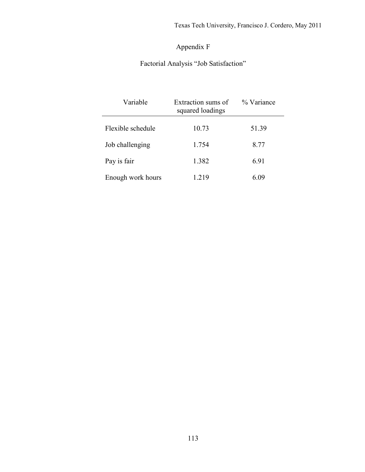## Appendix F

## Factorial Analysis "Job Satisfaction"

| Variable          | Extraction sums of<br>squared loadings | % Variance |
|-------------------|----------------------------------------|------------|
| Flexible schedule | 10.73                                  | 51.39      |
| Job challenging   | 1.754                                  | 8.77       |
| Pay is fair       | 1.382                                  | 6.91       |
| Enough work hours | 1 219                                  | 6 (19      |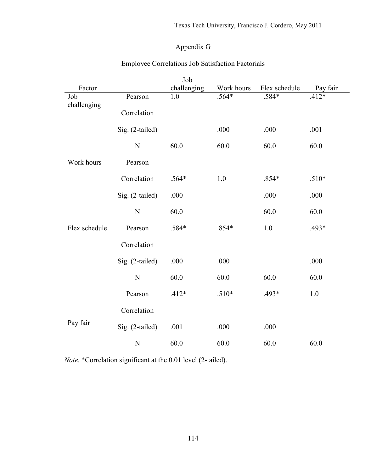#### Appendix G

|               |                 | Job         |            |               |          |
|---------------|-----------------|-------------|------------|---------------|----------|
| Factor        |                 | challenging | Work hours | Flex schedule | Pay fair |
| Job           | Pearson         | 1.0         | $.564*$    | .584*         | $.412*$  |
| challenging   |                 |             |            |               |          |
|               | Correlation     |             |            |               |          |
|               |                 |             |            |               |          |
|               | Sig. (2-tailed) |             | .000       | .000          | .001     |
|               | $\overline{N}$  | 60.0        | 60.0       | 60.0          | 60.0     |
|               |                 |             |            |               |          |
| Work hours    | Pearson         |             |            |               |          |
|               |                 |             |            |               |          |
|               | Correlation     | .564*       | 1.0        | $.854*$       | $.510*$  |
|               |                 |             |            |               |          |
|               | Sig. (2-tailed) | .000        |            | .000          | .000     |
|               |                 |             |            |               |          |
|               | N               | 60.0        |            | 60.0          | 60.0     |
| Flex schedule | Pearson         | .584*       | $.854*$    | 1.0           | .493*    |
|               |                 |             |            |               |          |
|               | Correlation     |             |            |               |          |
|               |                 |             |            |               |          |
|               | Sig. (2-tailed) | .000        | .000       |               | .000     |
|               |                 |             |            |               |          |
|               | $\overline{N}$  | 60.0        | 60.0       | 60.0          | 60.0     |
|               |                 |             |            |               |          |
|               | Pearson         | $.412*$     | $.510*$    | .493*         | 1.0      |
|               |                 |             |            |               |          |
|               | Correlation     |             |            |               |          |
| Pay fair      | Sig. (2-tailed) | .001        | .000       | .000          |          |
|               |                 |             |            |               |          |
|               | $\mathbf N$     | 60.0        | 60.0       | 60.0          | 60.0     |
|               |                 |             |            |               |          |

#### Employee Correlations Job Satisfaction Factorials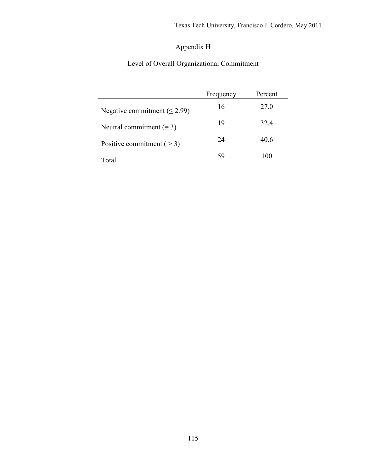## Appendix H

## Level of Overall Organizational Commitment

|                                   | Frequency | Percent |  |
|-----------------------------------|-----------|---------|--|
| Negative commitment $(\leq 2.99)$ | 16        | 27.0    |  |
| Neutral commitment $(= 3)$        | 19        | 32.4    |  |
| Positive commitment $($ > 3)      | 24        | 40.6    |  |
| Total                             | 59        | 100     |  |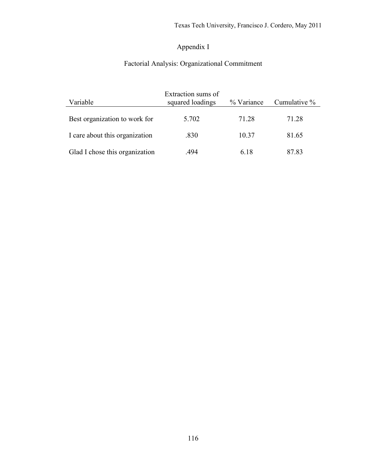### Appendix I

# Factorial Analysis: Organizational Commitment

| Variable                       | Extraction sums of<br>squared loadings | % Variance | Cumulative % |
|--------------------------------|----------------------------------------|------------|--------------|
| Best organization to work for  | 5.702                                  | 71 28      | 71.28        |
| I care about this organization | .830                                   | 10.37      | 81.65        |
| Glad I chose this organization | 494                                    | 6 18       | 87.83        |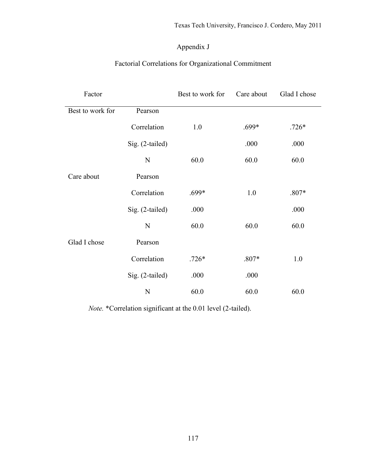#### Appendix J

### Factorial Correlations for Organizational Commitment

| Factor           |                 | Best to work for | Care about | Glad I chose |
|------------------|-----------------|------------------|------------|--------------|
| Best to work for | Pearson         |                  |            |              |
|                  | Correlation     | 1.0              | $.699*$    | $.726*$      |
|                  | Sig. (2-tailed) |                  | .000       | .000         |
|                  | N               | 60.0             | 60.0       | 60.0         |
| Care about       | Pearson         |                  |            |              |
|                  | Correlation     | $.699*$          | 1.0        | $.807*$      |
|                  | Sig. (2-tailed) | .000             |            | .000         |
|                  | $\mathbf N$     | 60.0             | 60.0       | 60.0         |
| Glad I chose     | Pearson         |                  |            |              |
|                  | Correlation     | $.726*$          | $.807*$    | 1.0          |
|                  | Sig. (2-tailed) | .000             | .000       |              |
|                  | N               | 60.0             | 60.0       | 60.0         |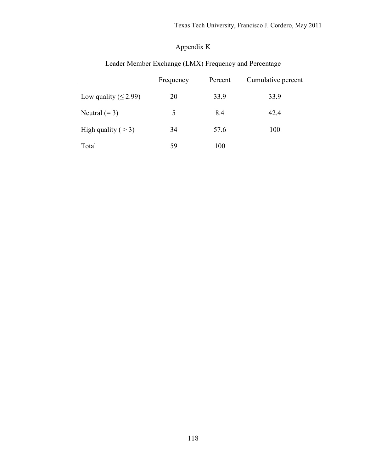### Appendix K

|                            | Frequency | Percent | Cumulative percent |
|----------------------------|-----------|---------|--------------------|
| Low quality ( $\leq$ 2.99) | 20        | 33.9    | 33.9               |
| Neutral $(= 3)$            | 5         | 8.4     | 42.4               |
| High quality ( $>$ 3)      | 34        | 57.6    | 100                |
| Total                      | 59        | 100     |                    |

#### Leader Member Exchange (LMX) Frequency and Percentage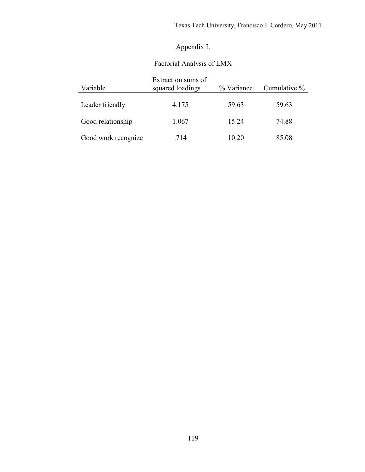### Appendix L

#### Factorial Analysis of LMX

| Variable            | Extraction sums of<br>squared loadings | Cumulative % |       |
|---------------------|----------------------------------------|--------------|-------|
| Leader friendly     | 4.175                                  | 59.63        | 59.63 |
| Good relationship   | 1.067                                  | 15 24        | 74.88 |
| Good work recognize | .714                                   | 10 20        | 85.08 |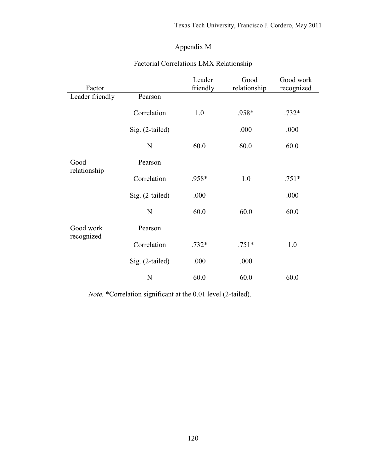#### Appendix M

| Factor                  |                 | Leader<br>friendly | Good<br>relationship | Good work<br>recognized |
|-------------------------|-----------------|--------------------|----------------------|-------------------------|
| Leader friendly         | Pearson         |                    |                      |                         |
|                         | Correlation     | 1.0                | .958*                | $.732*$                 |
|                         | Sig. (2-tailed) |                    | .000                 | .000                    |
|                         | $\mathbf N$     | 60.0               | 60.0                 | 60.0                    |
| Good<br>relationship    | Pearson         |                    |                      |                         |
|                         | Correlation     | .958*              | 1.0                  | $.751*$                 |
|                         | Sig. (2-tailed) | .000               |                      | .000                    |
|                         | $\mathbf N$     | 60.0               | 60.0                 | 60.0                    |
| Good work<br>recognized | Pearson         |                    |                      |                         |
|                         | Correlation     | $.732*$            | $.751*$              | 1.0                     |
|                         | Sig. (2-tailed) | .000               | .000                 |                         |
|                         | N               | 60.0               | 60.0                 | 60.0                    |

#### Factorial Correlations LMX Relationship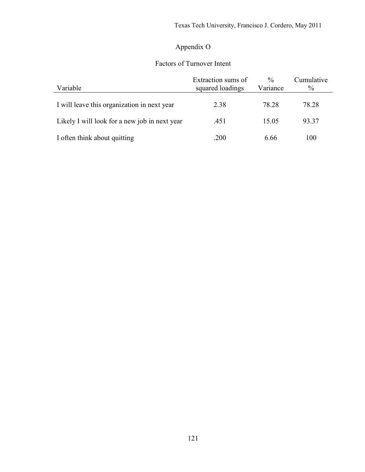## Appendix O

### Factors of Turnover Intent

| Variable                                      | Extraction sums of<br>squared loadings | $\frac{0}{0}$<br>Variance | Cumulative<br>$\%$ |
|-----------------------------------------------|----------------------------------------|---------------------------|--------------------|
| I will leave this organization in next year   | 2.38                                   | 78.28                     | 78.28              |
| Likely I will look for a new job in next year | .451                                   | 15.05                     | 93.37              |
| I often think about quitting                  | .200                                   | 6.66                      | 100                |